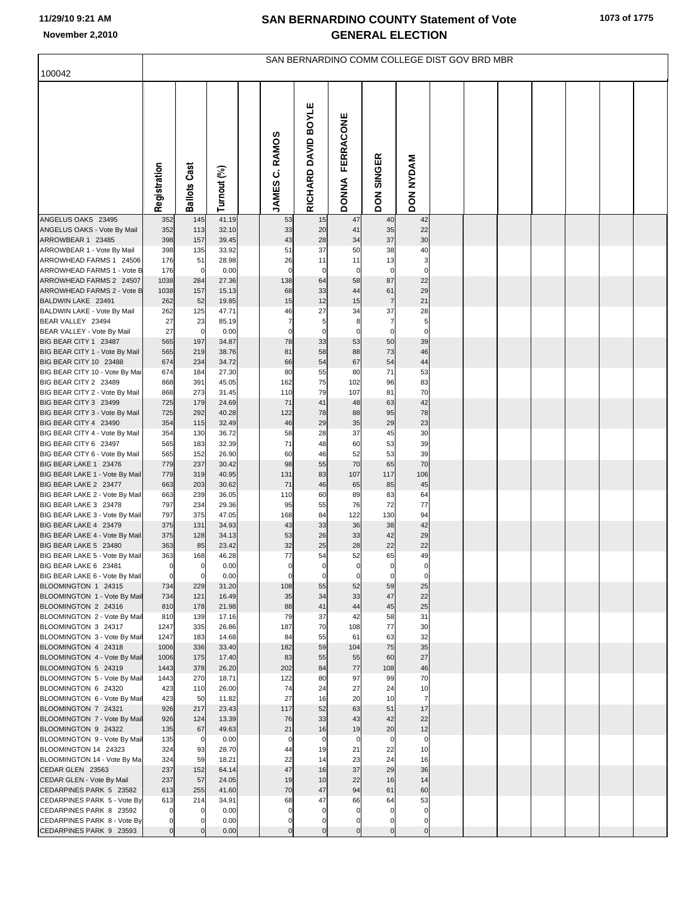| 100042                                                  |                |                     |                |                   |                     |                                  |                      | SAN BERNARDINO COMM COLLEGE DIST GOV BRD MBR |  |  |  |  |
|---------------------------------------------------------|----------------|---------------------|----------------|-------------------|---------------------|----------------------------------|----------------------|----------------------------------------------|--|--|--|--|
|                                                         |                |                     |                |                   |                     |                                  |                      |                                              |  |  |  |  |
|                                                         | Registration   | <b>Ballots Cast</b> | Turnout (%)    | C. RAMOS<br>JAMES | RICHARD DAVID BOYLE | <b>FERRACONE</b><br><b>DONNA</b> | SINGER<br><b>NOQ</b> | <b>DON NYDAM</b>                             |  |  |  |  |
| ANGELUS OAKS 23495<br>ANGELUS OAKS - Vote By Mail       | 352<br>352     | 145<br>113          | 41.19<br>32.10 | 53<br>33          | 15<br>20            | 47<br>41                         | 40<br>35             | 42<br>22                                     |  |  |  |  |
| ARROWBEAR 1 23485                                       | 398            | 157                 | 39.45          | 43                | 28                  | 34                               | 37                   | 30                                           |  |  |  |  |
| ARROWBEAR 1 - Vote By Mail                              | 398            | 135                 | 33.92          | 51                | 37                  | 50                               | 38                   | 40                                           |  |  |  |  |
| ARROWHEAD FARMS 1 24506                                 | 176            | 51                  | 28.98          | 26                | 11                  | 11                               | 13                   | 3                                            |  |  |  |  |
| ARROWHEAD FARMS 1 - Vote B                              | 176            | $\mathbf 0$         | 0.00           | $\mathbf 0$       | $\mathbf 0$         | $\mathbf 0$                      | $\overline{0}$       | $\Omega$                                     |  |  |  |  |
| ARROWHEAD FARMS 2 24507<br>ARROWHEAD FARMS 2 - Vote B   | 1038<br>1038   | 284<br>157          | 27.36<br>15.13 | 138<br>68         | 64<br>33            | 58<br>44                         | 87<br>61             | 22<br>29                                     |  |  |  |  |
| BALDWIN LAKE 23491                                      | 262            | 52                  | 19.85          | 15                | 12                  | 15                               | $\overline{7}$       | 21                                           |  |  |  |  |
| BALDWIN LAKE - Vote By Mail                             | 262            | 125                 | 47.71          | 46                | 27                  | 34                               | 37                   | 28                                           |  |  |  |  |
| BEAR VALLEY 23494                                       | 27             | 23                  | 85.19          | $\overline{7}$    | 5                   | 8                                | $\overline{7}$       | 5                                            |  |  |  |  |
| BEAR VALLEY - Vote By Mail                              | 27<br>565      | $\mathbf 0$         | 0.00           | $\mathbf 0$<br>78 | $\Omega$<br>33      | $\Omega$<br>53                   | $\mathbf 0$<br>50    | $\mathbf 0$<br>39                            |  |  |  |  |
| BIG BEAR CITY 1 23487<br>BIG BEAR CITY 1 - Vote By Mail | 565            | 197<br>219          | 34.87<br>38.76 | 81                | 58                  | 88                               | 73                   | 46                                           |  |  |  |  |
| BIG BEAR CITY 10 23488                                  | 674            | 234                 | 34.72          | 66                | 54                  | 67                               | 54                   | 44                                           |  |  |  |  |
| BIG BEAR CITY 10 - Vote By Mai                          | 674            | 184                 | 27.30          | 80                | 55                  | 80                               | 71                   | 53                                           |  |  |  |  |
| BIG BEAR CITY 2 23489                                   | 868            | 391                 | 45.05          | 162               | 75                  | 102                              | 96                   | 83                                           |  |  |  |  |
| BIG BEAR CITY 2 - Vote By Mail<br>BIG BEAR CITY 3 23499 | 868<br>725     | 273<br>179          | 31.45<br>24.69 | 110<br>71         | 79<br>41            | 107<br>48                        | 81<br>63             | 70<br>42                                     |  |  |  |  |
| BIG BEAR CITY 3 - Vote By Mail                          | 725            | 292                 | 40.28          | 122               | 78                  | 88                               | 95                   | 78                                           |  |  |  |  |
| BIG BEAR CITY 4 23490                                   | 354            | 115                 | 32.49          | 46                | 29                  | 35                               | 29                   | 23                                           |  |  |  |  |
| BIG BEAR CITY 4 - Vote By Mail                          | 354            | 130                 | 36.72          | 58                | 28                  | 37                               | 45                   | 30                                           |  |  |  |  |
| BIG BEAR CITY 6 23497                                   | 565            | 183                 | 32.39<br>26.90 | 71<br>60          | 48<br>46            | 60                               | 53<br>53             | 39<br>39                                     |  |  |  |  |
| BIG BEAR CITY 6 - Vote By Mail<br>BIG BEAR LAKE 1 23476 | 565<br>779     | 152<br>237          | 30.42          | 98                | 55                  | 52<br>70                         | 65                   | 70                                           |  |  |  |  |
| BIG BEAR LAKE 1 - Vote By Mail                          | 779            | 319                 | 40.95          | 131               | 83                  | 107                              | 117                  | 106                                          |  |  |  |  |
| BIG BEAR LAKE 2 23477                                   | 663            | 203                 | 30.62          | 71                | 46                  | 65                               | 85                   | 45                                           |  |  |  |  |
| BIG BEAR LAKE 2 - Vote By Mail                          | 663            | 239                 | 36.05          | 110               | 60                  | 89                               | 83                   | 64                                           |  |  |  |  |
| BIG BEAR LAKE 3 23478<br>BIG BEAR LAKE 3 - Vote By Mail | 797<br>797     | 234<br>375          | 29.36<br>47.05 | 95<br>168         | 55<br>84            | 76<br>122                        | 72<br>130            | 77<br>94                                     |  |  |  |  |
| BIG BEAR LAKE 4 23479                                   | 375            | 131                 | 34.93          | 43                | 33                  | 36                               | 38                   | 42                                           |  |  |  |  |
| BIG BEAR LAKE 4 - Vote By Mail                          | 375            | 128                 | 34.13          | 53                | 26                  | 33                               | 42                   | 29                                           |  |  |  |  |
| BIG BEAR LAKE 5 23480                                   | 363            | 85                  | 23.42          | 32                | 25                  | 28                               | 22                   | 22                                           |  |  |  |  |
| BIG BEAR LAKE 5 - Vote By Mail<br>BIG BEAR LAKE 6 23481 | 363            | 168                 | 46.28<br>0.00  | 77                | 54                  | 52                               | 65                   | 49                                           |  |  |  |  |
| BIG BEAR LAKE 6 - Vote By Mail                          | $\mathbf 0$    | $\Omega$            | 0.00           | $\mathbf 0$       | $\Omega$            | $\Omega$                         | $\mathbf 0$          | $\Omega$                                     |  |  |  |  |
| BLOOMINGTON 1 24315                                     | 734            | 229                 | 31.20          | 108               | 55                  | 52                               | 59                   | 25                                           |  |  |  |  |
| BLOOMINGTON 1 - Vote By Mail                            | 734            | 121                 | 16.49          | 35                | 34                  | 33                               | 47                   | 22                                           |  |  |  |  |
| BLOOMINGTON 2 24316<br>BLOOMINGTON 2 - Vote By Mail     | 810<br>810     | 178<br>139          | 21.98<br>17.16 | 88<br>79          | 41<br>37            | 44<br>42                         | 45<br>58             | 25<br>31                                     |  |  |  |  |
| BLOOMINGTON 3 24317                                     | 1247           | 335                 | 26.86          | 187               | 70                  | 108                              | 77                   | 30                                           |  |  |  |  |
| BLOOMINGTON 3 - Vote By Mail                            | 1247           | 183                 | 14.68          | 84                | 55                  | 61                               | 63                   | 32                                           |  |  |  |  |
| BLOOMINGTON 4 24318                                     | 1006           | 336                 | 33.40          | 182               | 59                  | 104                              | 75                   | 35                                           |  |  |  |  |
| BLOOMINGTON 4 - Vote By Mail<br>BLOOMINGTON 5 24319     | 1006<br>1443   | 175<br>378          | 17.40<br>26.20 | 83<br>202         | 55<br>84            | 55<br>77                         | 60<br>108            | 27<br>46                                     |  |  |  |  |
| BLOOMINGTON 5 - Vote By Mail                            | 1443           | 270                 | 18.71          | 122               | 80                  | 97                               | 99                   | 70                                           |  |  |  |  |
| BLOOMINGTON 6 24320                                     | 423            | 110                 | 26.00          | 74                | 24                  | 27                               | 24                   | 10                                           |  |  |  |  |
| BLOOMINGTON 6 - Vote By Mail                            | 423            | 50                  | 11.82          | 27                | 16                  | 20                               | 10                   | $\overline{7}$                               |  |  |  |  |
| BLOOMINGTON 7 24321                                     | 926            | 217                 | 23.43          | 117               | 52                  | 63                               | 51                   | 17                                           |  |  |  |  |
| BLOOMINGTON 7 - Vote By Mail<br>BLOOMINGTON 9 24322     | 926<br>135     | 124<br>67           | 13.39<br>49.63 | 76<br>21          | 33<br>16            | 43<br>19                         | 42<br>20             | 22<br>12                                     |  |  |  |  |
| BLOOMINGTON 9 - Vote By Mail                            | 135            | $\mathbf 0$         | 0.00           | $\overline{0}$    | $\mathbf 0$         | $\mathbf 0$                      | $\overline{0}$       | $\mathbf 0$                                  |  |  |  |  |
| BLOOMINGTON 14 24323                                    | 324            | 93                  | 28.70          | 44                | 19                  | 21                               | 22                   | 10                                           |  |  |  |  |
| BLOOMINGTON 14 - Vote By Ma                             | 324            | 59                  | 18.21          | 22                | 14                  | 23                               | 24                   | 16                                           |  |  |  |  |
| CEDAR GLEN 23563                                        | 237            | 152                 | 64.14          | 47                | 16                  | 37                               | 29                   | 36                                           |  |  |  |  |
| CEDAR GLEN - Vote By Mail<br>CEDARPINES PARK 5 23582    | 237<br>613     | 57<br>255           | 24.05<br>41.60 | 19<br>70          | 10<br>47            | 22<br>94                         | 16<br>61             | 14<br>60                                     |  |  |  |  |
| CEDARPINES PARK 5 - Vote By                             | 613            | 214                 | 34.91          | 68                | 47                  | 66                               | 64                   | 53                                           |  |  |  |  |
| CEDARPINES PARK 8 23592                                 | $\Omega$       |                     | 0.00           | $\mathbf 0$       | $\mathbf 0$         | $\Omega$                         |                      | $\mathbf 0$                                  |  |  |  |  |
| CEDARPINES PARK 8 - Vote By                             | $\mathbf 0$    |                     | 0.00           | 0                 | 0                   | 0                                | 0                    | $\mathbf 0$                                  |  |  |  |  |
| CEDARPINES PARK 9 23593                                 | $\overline{0}$ |                     | 0.00           | $\mathbf 0$       | $\mathbf 0$         | $\overline{0}$                   | $\overline{0}$       | $\overline{0}$                               |  |  |  |  |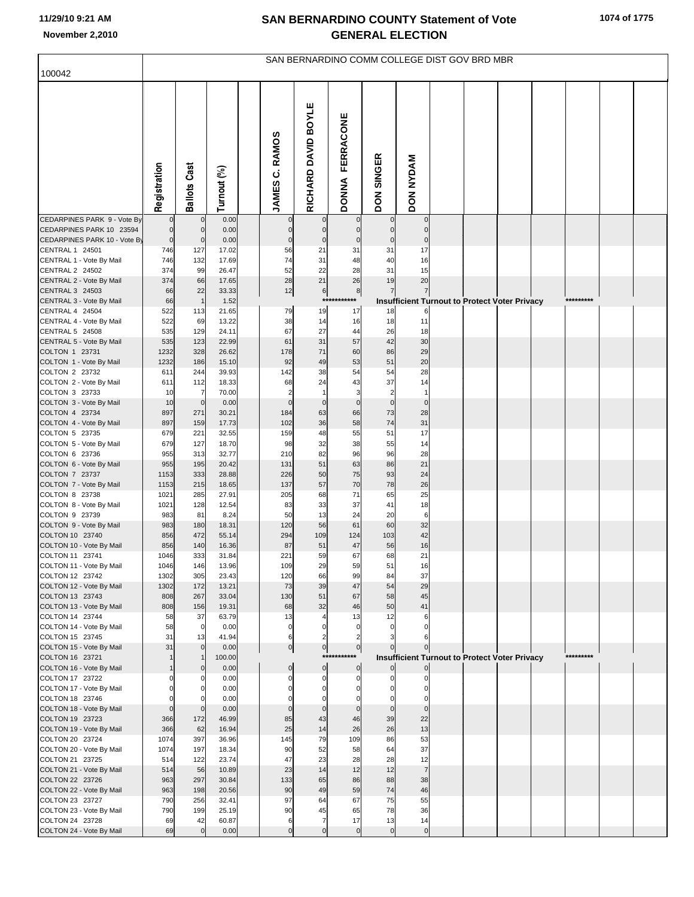| 100042                                                   |                        |                               |                |                               |                               |                                  |                             | SAN BERNARDINO COMM COLLEGE DIST GOV BRD MBR                    |  |  |           |  |
|----------------------------------------------------------|------------------------|-------------------------------|----------------|-------------------------------|-------------------------------|----------------------------------|-----------------------------|-----------------------------------------------------------------|--|--|-----------|--|
|                                                          |                        |                               |                |                               |                               |                                  |                             |                                                                 |  |  |           |  |
|                                                          | Registration           | <b>Ballots Cast</b>           | Turnout (%)    | JAMES C. RAMOS                | RICHARD DAVID BOYLE           | <b>FERRACONE</b><br><b>DONNA</b> | <b>SINGER</b><br><b>NOD</b> | <b>DON NYDAM</b>                                                |  |  |           |  |
| CEDARPINES PARK 9 - Vote By                              |                        | $\mathbf 0$                   | 0.00           |                               | $\mathbf 0$                   | $\mathbf 0$                      |                             | $\overline{0}$                                                  |  |  |           |  |
| CEDARPINES PARK 10 23594<br>CEDARPINES PARK 10 - Vote By | $\pmb{0}$<br>$\pmb{0}$ | $\mathbf 0$<br>$\overline{0}$ | 0.00<br>0.00   | $\Omega$<br>$\mathbf 0$       | $\mathbf 0$<br>$\pmb{0}$      | $\mathbf 0$<br>$\mathbf 0$       | $\mathbf 0$                 | $\mathbf 0$<br>$\mathbf 0$                                      |  |  |           |  |
| CENTRAL 1 24501                                          | 746                    | 127                           | 17.02          | 56                            | 21                            | 31                               | 31                          | 17                                                              |  |  |           |  |
| CENTRAL 1 - Vote By Mail                                 | 746                    | 132                           | 17.69          | 74                            | 31                            | 48                               | 40                          | 16                                                              |  |  |           |  |
| CENTRAL 2 24502                                          | 374                    | 99                            | 26.47          | 52                            | 22                            | 28                               | 31                          | 15                                                              |  |  |           |  |
| CENTRAL 2 - Vote By Mail<br>CENTRAL 3 24503              | 374<br>66              | 66<br>22                      | 17.65<br>33.33 | 28<br>12                      | 21                            | 26                               | 19<br>$\overline{7}$        | 20                                                              |  |  |           |  |
| CENTRAL 3 - Vote By Mail                                 | 66                     | $\mathbf{1}$                  | 1.52           |                               | 6                             | $^8$<br>***********              |                             | $\overline{7}$<br>Insufficient Turnout to Protect Voter Privacy |  |  | ********* |  |
| CENTRAL 4 24504                                          | 522                    | 113                           | 21.65          | 79                            | 19                            | 17                               | 18                          | 6                                                               |  |  |           |  |
| CENTRAL 4 - Vote By Mail                                 | 522                    | 69                            | 13.22          | 38                            | 14                            | 16                               | 18                          | 11                                                              |  |  |           |  |
| CENTRAL 5 24508                                          | 535                    | 129                           | 24.11          | 67                            | 27                            | 44                               | 26                          | 18                                                              |  |  |           |  |
| CENTRAL 5 - Vote By Mail<br>COLTON 1 23731               | 535<br>1232            | 123<br>328                    | 22.99<br>26.62 | 61<br>178                     | 31<br>71                      | 57<br>60                         | 42<br>86                    | 30<br>29                                                        |  |  |           |  |
| COLTON 1 - Vote By Mail                                  | 1232                   | 186                           | 15.10          | 92                            | 49                            | 53                               | 51                          | 20                                                              |  |  |           |  |
| COLTON 2 23732                                           | 611                    | 244                           | 39.93          | 142                           | 38                            | 54                               | 54                          | 28                                                              |  |  |           |  |
| COLTON 2 - Vote By Mail                                  | 611                    | 112                           | 18.33          | 68                            | 24                            | 43                               | 37                          | 14                                                              |  |  |           |  |
| COLTON 3 23733                                           | 10                     | $\overline{7}$                | 70.00          | $\overline{2}$                | $\overline{1}$                | 3                                | $\overline{2}$              | $\mathbf{1}$                                                    |  |  |           |  |
| COLTON 3 - Vote By Mail<br>COLTON 4 23734                | 10<br>897              | $\overline{0}$<br>271         | 0.00<br>30.21  | $\mathbf 0$<br>184            | $\mathbf 0$<br>63             | $\mathbf 0$<br>66                | $\mathbf 0$<br>73           | $\mathbf 0$<br>28                                               |  |  |           |  |
| COLTON 4 - Vote By Mail                                  | 897                    | 159                           | 17.73          | 102                           | 36                            | 58                               | 74                          | 31                                                              |  |  |           |  |
| COLTON 5 23735                                           | 679                    | 221                           | 32.55          | 159                           | 48                            | 55                               | 51                          | 17                                                              |  |  |           |  |
| COLTON 5 - Vote By Mail                                  | 679                    | 127                           | 18.70          | 98                            | 32                            | 38                               | 55                          | 14                                                              |  |  |           |  |
| COLTON 6 23736<br>COLTON 6 - Vote By Mail                | 955<br>955             | 313<br>195                    | 32.77<br>20.42 | 210<br>131                    | 82<br>51                      | 96<br>63                         | 96<br>86                    | 28<br>21                                                        |  |  |           |  |
| COLTON 7 23737                                           | 1153                   | 333                           | 28.88          | 226                           | 50                            | 75                               | 93                          | 24                                                              |  |  |           |  |
| COLTON 7 - Vote By Mail                                  | 1153                   | 215                           | 18.65          | 137                           | 57                            | 70                               | 78                          | 26                                                              |  |  |           |  |
| COLTON 8 23738                                           | 1021                   | 285                           | 27.91          | 205                           | 68                            | 71                               | 65                          | 25                                                              |  |  |           |  |
| COLTON 8 - Vote By Mail                                  | 1021                   | 128                           | 12.54          | 83                            | 33                            | 37                               | 41                          | 18                                                              |  |  |           |  |
| COLTON 9 23739<br>COLTON 9 - Vote By Mail                | 983<br>983             | 81<br>180                     | 8.24<br>18.31  | 50<br>120                     | 13<br>56                      | 24<br>61                         | 20<br>60                    | $6\phantom{1}$<br>32                                            |  |  |           |  |
| COLTON 10 23740                                          | 856                    | 472                           | 55.14          | 294                           | 109                           | 124                              | 103                         | 42                                                              |  |  |           |  |
| COLTON 10 - Vote By Mail                                 | 856                    | 140                           | 16.36          | 87                            | 51                            | 47                               | 56                          | 16                                                              |  |  |           |  |
| COLTON 11 23741                                          | 1046                   | 333                           | 31.84          | 221                           | 59                            | 67                               | 68                          | 21                                                              |  |  |           |  |
| COLTON 11 - Vote By Mail<br>COLTON 12 23742              | 1046<br>1302           | 146<br>305                    | 13.96<br>23.43 | 109<br>120                    | 29<br>66                      | 59<br>99                         | 51<br>84                    | 16<br>37                                                        |  |  |           |  |
| COLTON 12 - Vote By Mail                                 | 1302                   | 172                           | 13.21          | 73                            | 39                            | 47                               | 54                          | 29                                                              |  |  |           |  |
| COLTON 13 23743                                          | 808                    | 267                           | 33.04          | 130                           | 51                            | 67                               | 58                          | 45                                                              |  |  |           |  |
| COLTON 13 - Vote By Mail                                 | 808                    | 156                           | 19.31          | 68                            | 32                            | 46                               | 50                          | 41                                                              |  |  |           |  |
| COLTON 14 23744<br>COLTON 14 - Vote By Mail              | 58<br>58               | 37<br>$\overline{0}$          | 63.79<br>0.00  | 13<br>$\mathbf 0$             | $\overline{4}$<br>$\mathbf 0$ | 13<br>$\mathbf 0$                | 12<br>$\Omega$              | 6<br>$\Omega$                                                   |  |  |           |  |
| COLTON 15 23745                                          | 31                     | 13                            | 41.94          | 6                             | $\overline{2}$                |                                  |                             |                                                                 |  |  |           |  |
| COLTON 15 - Vote By Mail                                 | 31                     | $\overline{0}$                | 0.00           | $\overline{0}$                | $\circ$                       | $\overline{0}$                   |                             |                                                                 |  |  |           |  |
| COLTON 16 23721                                          | $\mathbf{1}$           |                               | 100.00         |                               |                               | *****<br>******                  |                             | <b>Insufficient Turnout to Protect Voter Privacy</b>            |  |  | ********* |  |
| COLTON 16 - Vote By Mail<br>COLTON 17 23722              |                        | $\overline{0}$<br>0           | 0.00<br>0.00   | $\mathbf{0}$<br>$\mathcal{C}$ | $\overline{0}$<br>$\Omega$    | $\mathbf 0$<br>$\mathbf 0$       | $\Omega$                    | $\overline{0}$<br>$\Omega$                                      |  |  |           |  |
| COLTON 17 - Vote By Mail                                 | $\Omega$               | $\Omega$                      | 0.00           | $\Omega$                      | $\mathbf 0$                   | $\mathbf 0$                      |                             | $\mathbf 0$                                                     |  |  |           |  |
| COLTON 18 23746                                          |                        |                               | 0.00           |                               | $\Omega$                      | $\Omega$                         |                             | $\Omega$                                                        |  |  |           |  |
| COLTON 18 - Vote By Mail                                 | $\overline{0}$         | $\mathbf{0}$                  | 0.00           | $\Omega$                      | $\mathbf 0$                   | $\mathbf 0$                      | $\mathbf 0$                 | $\mathbf 0$                                                     |  |  |           |  |
| COLTON 19 23723                                          | 366                    | 172                           | 46.99          | 85                            | 43                            | 46<br>26                         | 39<br>26                    | 22<br>13                                                        |  |  |           |  |
| COLTON 19 - Vote By Mail<br>COLTON 20 23724              | 366<br>1074            | 62<br>397                     | 16.94<br>36.96 | 25<br>145                     | 14<br>79                      | 109                              | 86                          | 53                                                              |  |  |           |  |
| COLTON 20 - Vote By Mail                                 | 1074                   | 197                           | 18.34          | 90                            | 52                            | 58                               | 64                          | 37                                                              |  |  |           |  |
| COLTON 21 23725                                          | 514                    | 122                           | 23.74          | 47                            | 23                            | 28                               | 28                          | 12                                                              |  |  |           |  |
| COLTON 21 - Vote By Mail                                 | 514                    | 56                            | 10.89          | 23                            | 14                            | 12                               | 12                          | $\overline{7}$                                                  |  |  |           |  |
| COLTON 22 23726<br>COLTON 22 - Vote By Mail              | 963<br>963             | 297<br>198                    | 30.84<br>20.56 | 133<br>90                     | 65<br>49                      | 86<br>59                         | 88<br>74                    | 38<br>46                                                        |  |  |           |  |
| COLTON 23 23727                                          | 790                    | 256                           | 32.41          | 97                            | 64                            | 67                               | 75                          | 55                                                              |  |  |           |  |
| COLTON 23 - Vote By Mail                                 | 790                    | 199                           | 25.19          | 90                            | 45                            | 65                               | 78                          | 36                                                              |  |  |           |  |
| COLTON 24 23728                                          | 69                     | 42                            | 60.87          | 6                             | $\overline{7}$                | 17                               | 13                          | 14                                                              |  |  |           |  |
| COLTON 24 - Vote By Mail                                 | 69                     | $\overline{0}$                | 0.00           | $\Omega$                      | $\mathbf 0$                   | $\overline{0}$                   | $\mathbf 0$                 | $\overline{0}$                                                  |  |  |           |  |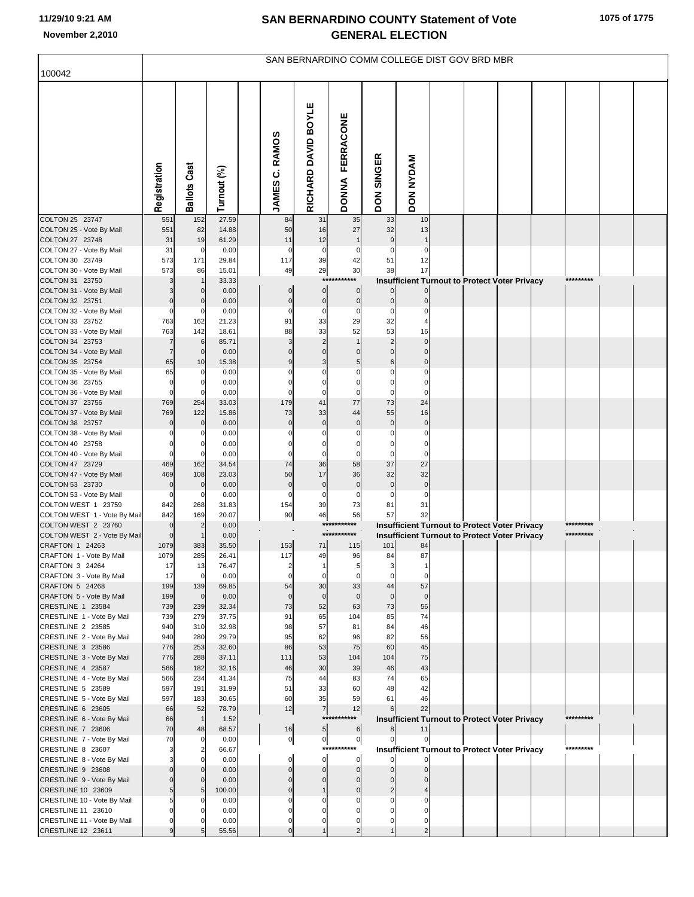| 100042                                              |                            |                     |                |                          |                               |                            |                             | SAN BERNARDINO COMM COLLEGE DIST GOV BRD MBR               |  |  |                        |  |
|-----------------------------------------------------|----------------------------|---------------------|----------------|--------------------------|-------------------------------|----------------------------|-----------------------------|------------------------------------------------------------|--|--|------------------------|--|
|                                                     |                            |                     |                |                          |                               |                            |                             |                                                            |  |  |                        |  |
|                                                     | Registration               | <b>Ballots Cast</b> | Turnout (%)    | C. RAMOS<br><b>JAMES</b> | RICHARD DAVID BOYLE           | FERRACONE<br><b>DONNA</b>  | <b>SINGER</b><br><b>NOQ</b> | DON NYDAM                                                  |  |  |                        |  |
| COLTON 25 23747<br>COLTON 25 - Vote By Mail         | 551<br>551                 | 152<br>82           | 27.59<br>14.88 | 84<br>50                 | 31<br>16                      | 35<br>27                   | 33<br>32                    | 10<br>13                                                   |  |  |                        |  |
| COLTON 27 23748                                     | 31                         | 19                  | 61.29          | 11                       | 12                            |                            | 9                           |                                                            |  |  |                        |  |
| COLTON 27 - Vote By Mail                            | 31                         | 0                   | 0.00           | $\Omega$                 | $\mathbf 0$                   |                            |                             | 0                                                          |  |  |                        |  |
| COLTON 30 23749<br>COLTON 30 - Vote By Mail         | 573<br>573                 | 171<br>86           | 29.84<br>15.01 | 117<br>49                | 39<br>29                      | 42<br>30                   | 51<br>38                    | 12<br>17                                                   |  |  |                        |  |
| COLTON 31 23750                                     | 3                          |                     | 33.33          |                          |                               | ***********                |                             | <b>Insufficient Turnout to Protect Voter Privacy</b>       |  |  | *********              |  |
| COLTON 31 - Vote By Mail                            |                            | $\Omega$            | 0.00           | $\mathbf 0$              | $\mathbf 0$                   | $\mathbf 0$                |                             | $\overline{0}$                                             |  |  |                        |  |
| COLTON 32 23751                                     | $\Omega$<br>$\mathbf 0$    |                     | 0.00<br>0.00   | $\mathbf 0$<br>0         | $\overline{0}$<br>$\mathbf 0$ | $\mathbf 0$<br>$\Omega$    | $\mathbf 0$<br>$\Omega$     | $\mathbf{0}$<br>$\Omega$                                   |  |  |                        |  |
| COLTON 32 - Vote By Mail<br>COLTON 33 23752         | 763                        | 162                 | 21.23          | 91                       | 33                            | 29                         | 32                          |                                                            |  |  |                        |  |
| COLTON 33 - Vote By Mail                            | 763                        | 142                 | 18.61          | 88                       | 33                            | 52                         | 53                          | 16                                                         |  |  |                        |  |
| COLTON 34 23753                                     | $\overline{7}$             | 6                   | 85.71          | 3                        | $\overline{2}$                |                            | $\overline{2}$              | $\mathbf 0$                                                |  |  |                        |  |
| COLTON 34 - Vote By Mail<br>COLTON 35 23754         | 7<br>65                    | $\mathbf 0$<br>10   | 0.00<br>15.38  | $\Omega$<br>9            | $\Omega$<br>3                 | $\mathsf{C}$<br>5          | $\Omega$<br>6               | $\mathbf 0$<br>$\mathbf 0$                                 |  |  |                        |  |
| COLTON 35 - Vote By Mail                            | 65                         | $\Omega$            | 0.00           |                          |                               |                            | $\Omega$                    | $\Omega$                                                   |  |  |                        |  |
| COLTON 36 23755                                     | $\Omega$                   | $\Omega$            | 0.00           | C                        | $\Omega$                      |                            | $\Omega$                    | $\Omega$                                                   |  |  |                        |  |
| COLTON 36 - Vote By Mail                            | $\mathbf 0$<br>769         | 254                 | 0.00<br>33.03  | 179                      | $\Omega$<br>41                | $\sqrt{ }$<br>77           | $\Omega$<br>73              | $\Omega$<br>24                                             |  |  |                        |  |
| COLTON 37 23756<br>COLTON 37 - Vote By Mail         | 769                        | 122                 | 15.86          | 73                       | 33                            | 44                         | 55                          | 16                                                         |  |  |                        |  |
| COLTON 38 23757                                     | $\mathbf 0$                | $\mathbf 0$         | 0.00           | $\mathbf 0$              | $\mathbf 0$                   | $\mathbf 0$                | $\mathbf 0$                 | $\mathbf 0$                                                |  |  |                        |  |
| COLTON 38 - Vote By Mail                            |                            |                     | 0.00           | $\Omega$                 | $\Omega$                      |                            |                             | $\Omega$                                                   |  |  |                        |  |
| COLTON 40 23758<br>COLTON 40 - Vote By Mail         | $\Omega$<br>$\Omega$       |                     | 0.00<br>0.00   | 0<br>$\Omega$            | $\Omega$<br>$\Omega$          |                            | $\Omega$                    | $\Omega$<br>$\Omega$                                       |  |  |                        |  |
| COLTON 47 23729                                     | 469                        | 162                 | 34.54          | 74                       | 36                            | 58                         | 37                          | 27                                                         |  |  |                        |  |
| COLTON 47 - Vote By Mail                            | 469                        | 108                 | 23.03          | 50                       | 17                            | 36                         | 32                          | 32                                                         |  |  |                        |  |
| COLTON 53 23730<br>COLTON 53 - Vote By Mail         | $\mathbf 0$<br>$\mathbf 0$ | $\Omega$<br>0       | 0.00<br>0.00   | $\mathbf 0$<br>$\Omega$  | $\mathbf 0$<br>$\mathbf 0$    | $\mathbf 0$<br>$\mathbf 0$ | $\overline{0}$<br>$\Omega$  | $\mathbf 0$<br>$\Omega$                                    |  |  |                        |  |
| COLTON WEST 1 23759                                 | 842                        | 268                 | 31.83          | 154                      | 39                            | 73                         | 81                          | 31                                                         |  |  |                        |  |
| COLTON WEST 1 - Vote By Mail                        | 842                        | 169                 | 20.07          | 90                       | 46                            | 56                         | 57                          | 32                                                         |  |  |                        |  |
| COLTON WEST 2 23760<br>COLTON WEST 2 - Vote By Mail | $\mathbf 0$<br>$\Omega$    | $\overline{2}$      | 0.00<br>0.00   |                          |                               | ***********<br>*********** |                             | Insufficient Turnout to Protect Voter Privacy              |  |  | *********<br>********* |  |
| CRAFTON 1 24263                                     | 1079                       | 383                 | 35.50          | 153                      | 71                            | 115                        | 101                         | <b>Insufficient Turnout to Protect Voter Privacy</b><br>84 |  |  |                        |  |
| CRAFTON 1 - Vote By Mail                            | 1079                       | 285                 | 26.41          | 117                      | 49                            | 96                         | 84                          | 87                                                         |  |  |                        |  |
| CRAFTON 3 24264<br>CRAFTON 3 - Vote By Mail         | 17<br>17                   | 13<br>$\mathbf 0$   | 76.47          | $\mathbf 0$              | $\mathbf 0$                   | 5<br>$\mathbf 0$           | $\mathbf 0$                 | $\mathbf 0$                                                |  |  |                        |  |
| CRAFTON 5 24268                                     | 199                        | 139                 | 0.00<br>69.85  | 54                       | 30                            | 33                         | 44                          | 57                                                         |  |  |                        |  |
| CRAFTON 5 - Vote By Mail                            | 199                        | $\overline{0}$      | 0.00           | $\mathbf 0$              | $\overline{0}$                | $\overline{0}$             | $\mathbf 0$                 | $\overline{0}$                                             |  |  |                        |  |
| CRESTLINE 1 23584                                   | 739                        | 239                 | 32.34          | 73                       | 52                            | 63                         | 73                          | 56                                                         |  |  |                        |  |
| CRESTLINE 1 - Vote By Mail<br>CRESTLINE 2 23585     | 739<br>940                 | 279<br>310          | 37.75<br>32.98 | 91<br>98                 | 65<br>57                      | 104<br>81                  | 85<br>84                    | 74<br>46                                                   |  |  |                        |  |
| CRESTLINE 2 - Vote By Mail                          | 940                        | 280                 | 29.79          | 95                       | 62                            | 96                         | 82                          | 56                                                         |  |  |                        |  |
| CRESTLINE 3 23586                                   | 776                        | 253                 | 32.60          | 86                       | 53                            | 75                         | 60                          | 45                                                         |  |  |                        |  |
| CRESTLINE 3 - Vote By Mail<br>CRESTLINE 4 23587     | 776<br>566                 | 288<br>182          | 37.11<br>32.16 | 111<br>46                | 53<br>30                      | 104<br>39                  | 104<br>46                   | 75<br>43                                                   |  |  |                        |  |
| CRESTLINE 4 - Vote By Mail                          | 566                        | 234                 | 41.34          | 75                       | 44                            | 83                         | 74                          | 65                                                         |  |  |                        |  |
| CRESTLINE 5 23589                                   | 597                        | 191                 | 31.99          | 51                       | 33                            | 60                         | 48                          | 42                                                         |  |  |                        |  |
| CRESTLINE 5 - Vote By Mail                          | 597                        | 183                 | 30.65          | 60                       | 35                            | 59                         | 61<br>$6 \mid$              | 46                                                         |  |  |                        |  |
| CRESTLINE 6 23605<br>CRESTLINE 6 - Vote By Mail     | 66<br>66                   | 52<br>$\mathbf{1}$  | 78.79<br>1.52  | 12                       | $\overline{7}$<br>***         | 12<br>*******              |                             | 22<br><b>Insufficient Turnout to Protect Voter Privacy</b> |  |  | *********              |  |
| CRESTLINE 7 23606                                   | 70                         | 48                  | 68.57          | 16                       | 5                             | 6                          | 8 <sup>1</sup>              | 11                                                         |  |  |                        |  |
| CRESTLINE 7 - Vote By Mail                          | 70                         | 0                   | 0.00           | $\overline{0}$           | $\overline{0}$                | $\bf 0$                    | $\mathbf{0}$                | $\mathbf{0}$                                               |  |  | *********              |  |
| CRESTLINE 8 23607<br>CRESTLINE 8 - Vote By Mail     | 3                          |                     | 66.67<br>0.00  | $\mathbf 0$              | $\mathbf 0$                   | ***********<br>$\mathbf 0$ | <sub>0</sub>                | <b>Insufficient Turnout to Protect Voter Privacy</b>       |  |  |                        |  |
| CRESTLINE 9 23608                                   | $\Omega$                   |                     | 0.00           | $\mathbf 0$              | $\overline{0}$                | $\mathbf 0$                | $\Omega$                    | $\Omega$                                                   |  |  |                        |  |
| CRESTLINE 9 - Vote By Mail                          | $\Omega$                   |                     | 0.00           | $\Omega$                 | $\Omega$                      | $\Omega$                   |                             |                                                            |  |  |                        |  |
| CRESTLINE 10 23609                                  | 5                          |                     | 100.00         | $\mathbf 0$              |                               | $\Omega$                   | $\Omega$                    |                                                            |  |  |                        |  |
| CRESTLINE 10 - Vote By Mail<br>CRESTLINE 11 23610   | 5<br>$\Omega$              |                     | 0.00<br>0.00   | 0<br>$\Omega$            | $\Omega$                      | $\sqrt{ }$                 | $\Omega$                    |                                                            |  |  |                        |  |
| CRESTLINE 11 - Vote By Mail                         | $\Omega$                   |                     | 0.00           | $\Omega$                 |                               | $\sqrt{ }$                 | $\Omega$                    | O                                                          |  |  |                        |  |
| CRESTLINE 12 23611                                  | 9                          |                     | 55.56          | $\Omega$                 |                               | 2                          |                             | $\overline{2}$                                             |  |  |                        |  |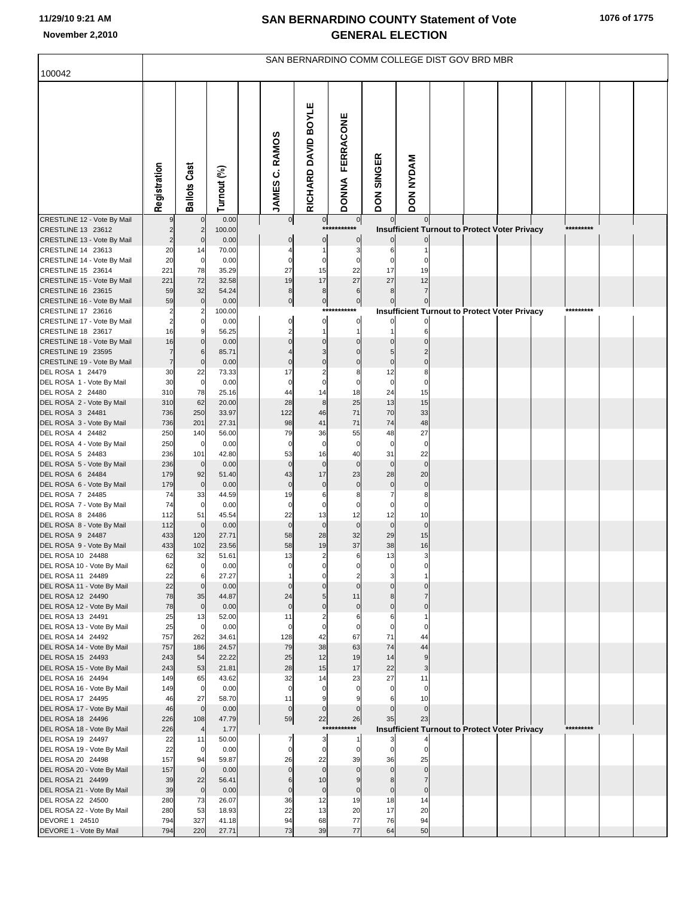|                                                   |                      |                               |                |                       |                                           |                               |                             | SAN BERNARDINO COMM COLLEGE DIST GOV BRD MBR         |  |  |           |  |
|---------------------------------------------------|----------------------|-------------------------------|----------------|-----------------------|-------------------------------------------|-------------------------------|-----------------------------|------------------------------------------------------|--|--|-----------|--|
| 100042                                            |                      |                               |                |                       |                                           |                               |                             |                                                      |  |  |           |  |
|                                                   | Registration         | <b>Ballots Cast</b>           | Turnout (%)    | <b>JAMES C. RAMOS</b> | RICHARD DAVID BOYLE                       | FERRACONE<br><b>DONNA</b>     | <b>SINGER</b><br><b>NOQ</b> | <b>DON NYDAM</b>                                     |  |  |           |  |
| CRESTLINE 12 - Vote By Mail                       |                      |                               | 0.00           | 0                     | $\overline{0}$                            | $\pmb{0}$                     | $\overline{0}$              | $\overline{0}$                                       |  |  |           |  |
| CRESTLINE 13 23612                                | $\overline{c}$       | $\overline{2}$<br>$\mathbf 0$ | 100.00<br>0.00 |                       |                                           |                               |                             | Insufficient Turnout to Protect Voter Privacy        |  |  | ********* |  |
| CRESTLINE 13 - Vote By Mail<br>CRESTLINE 14 23613 | 20                   | 14                            | 70.00          | 0                     | $\pmb{0}$<br>1                            | 0<br>3                        | 6                           |                                                      |  |  |           |  |
| CRESTLINE 14 - Vote By Mail                       | 20                   | $\mathbf 0$                   | 0.00           | $\mathbf 0$           | $\overline{0}$                            | $\Omega$                      | $\Omega$                    |                                                      |  |  |           |  |
| CRESTLINE 15 23614                                | 221                  | 78                            | 35.29          | 27                    | 15                                        | 22                            | 17                          | 19                                                   |  |  |           |  |
| CRESTLINE 15 - Vote By Mail                       | 221                  | 72                            | 32.58          | 19                    | 17                                        | 27                            | 27                          | 12                                                   |  |  |           |  |
| CRESTLINE 16 23615                                | 59                   | 32                            | 54.24          | 8                     | $\boldsymbol{8}$                          | 6                             | 8                           |                                                      |  |  |           |  |
| CRESTLINE 16 - Vote By Mail                       | 59                   | $\mathbf 0$                   | 0.00           | $\overline{0}$        | $\overline{0}$                            | $\pmb{0}$                     |                             |                                                      |  |  |           |  |
| CRESTLINE 17 23616                                | $\overline{2}$       |                               | 100.00         |                       | ***                                       |                               |                             | <b>Insufficient Turnout to Protect Voter Privacy</b> |  |  |           |  |
| CRESTLINE 17 - Vote By Mail<br>CRESTLINE 18 23617 | $\overline{c}$<br>16 | 0<br>9                        | 0.00<br>56.25  | $\mathbf 0$<br>2      | $\mathbf{0}$<br>1                         | $\mathbf 0$<br>$\overline{1}$ |                             | 6                                                    |  |  |           |  |
| CRESTLINE 18 - Vote By Mail                       | 16                   |                               | 0.00           | $\Omega$              | $\mathbf 0$                               | $\Omega$                      |                             |                                                      |  |  |           |  |
| CRESTLINE 19 23595                                | $\overline{7}$       | 6                             | 85.71          |                       | 3                                         |                               |                             |                                                      |  |  |           |  |
| CRESTLINE 19 - Vote By Mail                       | $\overline{7}$       | $\mathbf 0$                   | 0.00           | $\mathbf 0$           | $\Omega$                                  | $\mathsf{C}$                  | $\Omega$                    | $\Omega$                                             |  |  |           |  |
| DEL ROSA 1 24479                                  | 30                   | 22                            | 73.33          | 17                    | $\overline{2}$                            | 8                             | 12                          | 8                                                    |  |  |           |  |
| DEL ROSA 1 - Vote By Mail                         | 30                   | $\mathbf 0$                   | 0.00           | $\mathbf 0$           | $\mathbf 0$                               | $\mathcal{C}$                 | $\mathbf 0$                 | $\Omega$                                             |  |  |           |  |
| DEL ROSA 2 24480<br>DEL ROSA 2 - Vote By Mail     | 310<br>310           | 78<br>62                      | 25.16<br>20.00 | 44<br>28              | 14<br>8                                   | 18<br>25                      | 24<br>13                    | 15<br>15                                             |  |  |           |  |
| DEL ROSA 3 24481                                  | 736                  | 250                           | 33.97          | 122                   | 46                                        | 71                            | 70                          | 33                                                   |  |  |           |  |
| DEL ROSA 3 - Vote By Mail                         | 736                  | 201                           | 27.31          | 98                    | 41                                        | 71                            | 74                          | 48                                                   |  |  |           |  |
| DEL ROSA 4 24482                                  | 250                  | 140                           | 56.00          | 79                    | 36                                        | 55                            | 48                          | 27                                                   |  |  |           |  |
| DEL ROSA 4 - Vote By Mail                         | 250                  | $\mathbf 0$                   | 0.00           | $\mathbf 0$           | $\mathbf 0$                               | $\mathbf 0$                   | $\mathbf 0$                 | $\mathbf 0$                                          |  |  |           |  |
| DEL ROSA 5 24483                                  | 236                  | 101                           | 42.80          | 53                    | 16                                        | 40                            | 31                          | 22                                                   |  |  |           |  |
| DEL ROSA 5 - Vote By Mail<br>DEL ROSA 6 24484     | 236<br>179           | $\mathbf 0$<br>92             | 0.00<br>51.40  | $\mathbf 0$<br>43     | $\mathbf 0$<br>17                         | $\overline{0}$<br>23          | $\mathbf 0$<br>28           | $\overline{0}$<br>20                                 |  |  |           |  |
| DEL ROSA 6 - Vote By Mail                         | 179                  | $\mathbf 0$                   | 0.00           | $\mathbf 0$           | $\mathbf 0$                               | $\mathsf{C}$                  | $\mathbf 0$                 | $\mathbf 0$                                          |  |  |           |  |
| DEL ROSA 7 24485                                  | 74                   | 33                            | 44.59          | 19                    | 6                                         | 8                             |                             | 8                                                    |  |  |           |  |
| DEL ROSA 7 - Vote By Mail                         | 74                   | $\mathbf 0$                   | 0.00           | $\mathbf 0$           | 0                                         | C                             | $\Omega$                    | $\Omega$                                             |  |  |           |  |
| DEL ROSA 8 24486                                  | 112                  | 51                            | 45.54          | 22                    | 13                                        | 12                            | 12                          | 10                                                   |  |  |           |  |
| DEL ROSA 8 - Vote By Mail                         | 112                  | $\mathbf 0$                   | 0.00           | $\mathbf 0$           | $\mathbf 0$                               | $\Omega$                      | $\mathbf 0$                 | $\overline{0}$                                       |  |  |           |  |
| DEL ROSA 9 24487<br>DEL ROSA 9 - Vote By Mail     | 433<br>433           | 120<br>102                    | 27.71<br>23.56 | 58<br>58              | 28<br>19                                  | 32<br>37                      | 29<br>38                    | 15<br>16                                             |  |  |           |  |
| DEL ROSA 10 24488                                 | 62                   | 32                            | 51.61          | 13                    | $\overline{2}$                            | $\,6$                         | 13                          | $\overline{\mathbf{3}}$                              |  |  |           |  |
| DEL ROSA 10 - Vote By Mail                        | 62                   | $\overline{0}$                | 0.00           |                       |                                           |                               |                             |                                                      |  |  |           |  |
| DEL ROSA 11 24489                                 | 22                   | 6                             | 27.27          |                       | $\Omega$                                  | $\overline{2}$                |                             |                                                      |  |  |           |  |
| DEL ROSA 11 - Vote By Mail                        | 22                   | $\Omega$                      | 0.00           | $\Omega$              | $\Omega$                                  | $\Omega$                      |                             | $\Omega$                                             |  |  |           |  |
| DEL ROSA 12 24490<br>DEL ROSA 12 - Vote By Mail   | 78<br>78             | 35<br>$\mathbf 0$             | 44.87<br>0.00  | 24<br>$\mathbf 0$     | 5<br>$\Omega$                             | 11<br>$\mathbf 0$             | $\Omega$                    | $\Omega$                                             |  |  |           |  |
| DEL ROSA 13 24491                                 | 25                   | 13                            | 52.00          | 11                    | 2                                         | 6                             | 6                           |                                                      |  |  |           |  |
| DEL ROSA 13 - Vote By Mail                        | 25                   | $\mathbf 0$                   | 0.00           | $\mathbf 0$           | $\mathbf 0$                               | $\Omega$                      | $\Omega$                    | 0                                                    |  |  |           |  |
| DEL ROSA 14 24492                                 | 757                  | 262                           | 34.61          | 128                   | 42                                        | 67                            | 71                          | 44                                                   |  |  |           |  |
| DEL ROSA 14 - Vote By Mail                        | 757                  | 186                           | 24.57          | 79                    | 38                                        | 63                            | 74                          | 44                                                   |  |  |           |  |
| DEL ROSA 15 24493                                 | 243                  | 54                            | 22.22          | 25                    | 12                                        | 19                            | 14                          | 9                                                    |  |  |           |  |
| DEL ROSA 15 - Vote By Mail<br>DEL ROSA 16 24494   | 243<br>149           | 53<br>65                      | 21.81<br>43.62 | 28<br>32              | 15<br>14                                  | 17<br>23                      | 22<br>27                    | 3<br>11                                              |  |  |           |  |
| DEL ROSA 16 - Vote By Mail                        | 149                  | $\mathbf 0$                   | 0.00           | $\overline{0}$        | $\mathbf 0$                               |                               | $\Omega$                    | $\mathbf 0$                                          |  |  |           |  |
| DEL ROSA 17 24495                                 | 46                   | 27                            | 58.70          | 11                    | 9                                         |                               |                             | 10                                                   |  |  |           |  |
| DEL ROSA 17 - Vote By Mail                        | 46                   | $\mathbf 0$                   | 0.00           | $\overline{0}$        | $\overline{0}$                            | $\Omega$                      |                             | $\overline{0}$                                       |  |  |           |  |
| DEL ROSA 18 24496                                 | 226                  | 108                           | 47.79          | 59                    | 22                                        | 26                            | 35                          | 23                                                   |  |  |           |  |
| DEL ROSA 18 - Vote By Mail                        | 226                  | $\overline{4}$                | 1.77           |                       | ***                                       | ****                          |                             | <b>Insufficient Turnout to Protect Voter Privacy</b> |  |  | ********* |  |
| DEL ROSA 19 24497<br>DEL ROSA 19 - Vote By Mail   | 22<br>22             | 11<br>$\mathbf 0$             | 50.00<br>0.00  | 7<br>$\overline{0}$   | $\overline{\mathbf{3}}$<br>$\overline{0}$ | -1<br>$\mathbf 0$             | $\Omega$                    | $\mathbf 0$                                          |  |  |           |  |
| DEL ROSA 20 24498                                 | 157                  | 94                            | 59.87          | 26                    | 22                                        | 39                            | 36                          | 25                                                   |  |  |           |  |
| DEL ROSA 20 - Vote By Mail                        | 157                  | $\mathbf 0$                   | 0.00           | $\mathbf 0$           | $\mathbf 0$                               | $\Omega$                      | $\Omega$                    | $\overline{0}$                                       |  |  |           |  |
| DEL ROSA 21 24499                                 | 39                   | 22                            | 56.41          | 6                     | 10                                        | $\mathbf{Q}$                  | $\mathsf{R}$                |                                                      |  |  |           |  |
| DEL ROSA 21 - Vote By Mail                        | 39                   | $\mathbf 0$                   | 0.00           | $\mathbf 0$           | $\pmb{0}$                                 | $\mathbf 0$                   | $\mathbf 0$                 | $\mathbf 0$                                          |  |  |           |  |
| DEL ROSA 22 24500                                 | 280<br>280           | 73<br>53                      | 26.07<br>18.93 | 36<br>22              | 12<br>13                                  | 19<br>20                      | 18<br>17                    | 14<br>20                                             |  |  |           |  |
| DEL ROSA 22 - Vote By Mail<br>DEVORE 1 24510      | 794                  | 327                           | 41.18          | 94                    | 68                                        | 77                            | 76                          | 94                                                   |  |  |           |  |
| DEVORE 1 - Vote By Mail                           | 794                  | 220                           | 27.71          | 73                    | 39                                        | 77                            | 64                          | 50                                                   |  |  |           |  |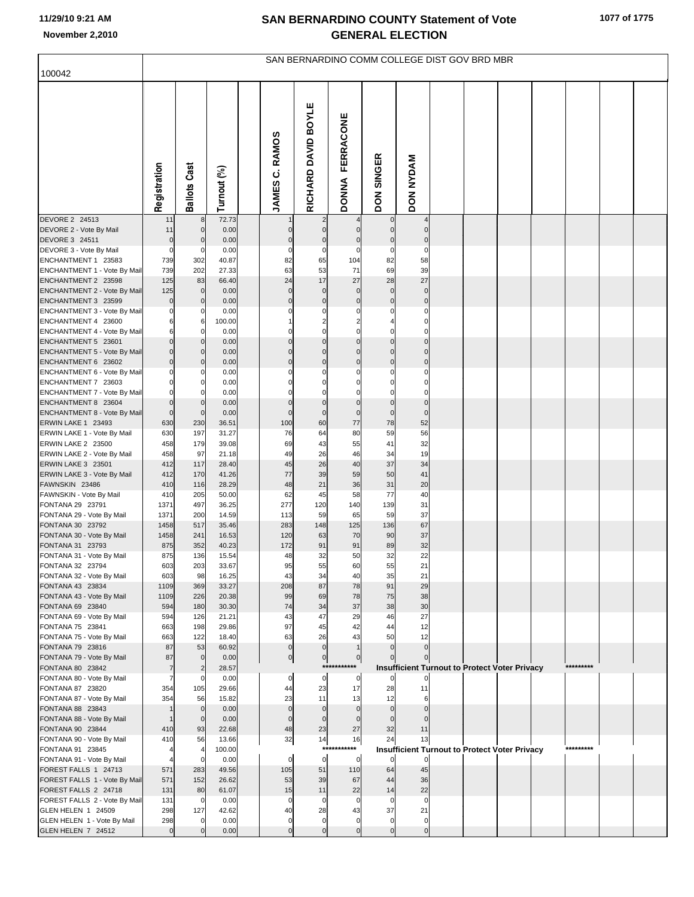| 100042                                                   |                      |                         |                 |                          |                                          | SAN BERNARDINO COMM COLLEGE DIST GOV BRD MBR |                            |                   |  |                                                      |           |  |
|----------------------------------------------------------|----------------------|-------------------------|-----------------|--------------------------|------------------------------------------|----------------------------------------------|----------------------------|-------------------|--|------------------------------------------------------|-----------|--|
|                                                          |                      |                         |                 |                          |                                          |                                              |                            |                   |  |                                                      |           |  |
|                                                          | Registration         | <b>Ballots Cast</b>     | Turnout (%)     | C. RAMOS<br><b>JAMES</b> | RICHARD DAVID BOYLE                      | <b>FERRACONE</b><br><b>DONNA</b>             | DON SINGER                 | <b>DON NYDAM</b>  |  |                                                      |           |  |
| DEVORE 2 24513<br>DEVORE 2 - Vote By Mail                | 11<br>11             | 8<br>$\overline{0}$     | 72.73<br>0.00   | $\mathbf 0$              | $\mathbf 0$                              | $\mathbf 0$                                  | $\mathbf 0$<br>$\mathbf 0$ | $\Omega$          |  |                                                      |           |  |
| DEVORE 3 24511                                           | $\mathbf 0$          | $\overline{0}$          | 0.00            | $\mathbf 0$              | $\mathbf 0$                              | $\mathbf 0$                                  | $\bf 0$                    | $\mathbf 0$       |  |                                                      |           |  |
| DEVORE 3 - Vote By Mail                                  | $\mathbf 0$          | $\mathbf 0$             | 0.00            | $\mathbf 0$              | $\mathbf 0$                              | $\mathbf 0$                                  | $\mathbf 0$                | $\mathbf 0$       |  |                                                      |           |  |
| ENCHANTMENT 1 23583                                      | 739<br>739           | 302<br>202              | 40.87<br>27.33  | 82<br>63                 | 65<br>53                                 | 104<br>71                                    | 82<br>69                   | 58<br>39          |  |                                                      |           |  |
| ENCHANTMENT 1 - Vote By Mail<br>ENCHANTMENT 2 23598      | 125                  | 83                      | 66.40           | 24                       | 17                                       | 27                                           | 28                         | 27                |  |                                                      |           |  |
| ENCHANTMENT 2 - Vote By Mail                             | 125                  | $\overline{0}$          | 0.00            | $\overline{0}$           | $\mathbf 0$                              | $\Omega$                                     | $\mathbf 0$                | $\mathbf 0$       |  |                                                      |           |  |
| ENCHANTMENT 3 23599                                      | $\mathbf 0$          | $\overline{0}$          | 0.00            | $\overline{0}$           | $\mathbf 0$                              | $\mathbf 0$                                  | $\mathbf 0$                | $\mathbf 0$       |  |                                                      |           |  |
| ENCHANTMENT 3 - Vote By Mail                             | O                    | $\mathbf 0$             | 0.00            | C                        | C                                        | C                                            | $\Omega$                   | $\Omega$          |  |                                                      |           |  |
| ENCHANTMENT 4 23600                                      | 6<br>6               | 6<br>$\mathbf 0$        | 100.00<br>0.00  | $\mathcal{C}$            | $\overline{\mathbf{c}}$<br>$\mathcal{C}$ | $\overline{\mathbf{c}}$<br>$\Omega$          | 4<br>$\Omega$              | 0<br>$\Omega$     |  |                                                      |           |  |
| ENCHANTMENT 4 - Vote By Mail<br>ENCHANTMENT 5 23601      | $\Omega$             | $\overline{0}$          | 0.00            | $\Omega$                 | $\mathbf 0$                              | $\mathbf 0$                                  | $\mathbf 0$                | $\mathbf 0$       |  |                                                      |           |  |
| ENCHANTMENT 5 - Vote By Mail                             | $\Omega$             | $\mathbf 0$             | 0.00            | $\mathcal{C}$            | $\mathcal{C}$                            | $\Omega$                                     | $\Omega$                   | $\Omega$          |  |                                                      |           |  |
| ENCHANTMENT 6 23602                                      | $\Omega$             | $\overline{0}$          | 0.00            | $\Omega$                 | $\mathbf 0$                              | 0                                            | $\mathbf 0$                | $\mathbf 0$       |  |                                                      |           |  |
| ENCHANTMENT 6 - Vote By Mail                             | $\Omega$             | $\mathbf 0$             | 0.00            | C                        | C                                        | $\Omega$                                     | $\Omega$                   | $\Omega$          |  |                                                      |           |  |
| ENCHANTMENT 7 23603<br>ENCHANTMENT 7 - Vote By Mail      | $\Omega$<br>$\Omega$ | $\Omega$<br>$\mathbf 0$ | 0.00<br>0.00    | C<br>$\mathcal{C}$       | C<br>$\mathcal{C}$                       | 0<br>$\Omega$                                | 0<br>$\Omega$              | 0<br>$\Omega$     |  |                                                      |           |  |
| ENCHANTMENT 8 23604                                      | $\mathbf 0$          | $\overline{0}$          | 0.00            | $\mathbf 0$              | $\mathbf 0$                              | $\mathbf 0$                                  | $\bf 0$                    | $\mathbf 0$       |  |                                                      |           |  |
| ENCHANTMENT 8 - Vote By Mail                             | $\mathbf 0$          | $\mathbf 0$             | 0.00            | $\mathcal{C}$            | $\mathbf 0$                              | $\mathbf 0$                                  | $\mathbf 0$                | $\Omega$          |  |                                                      |           |  |
| ERWIN LAKE 1 23493                                       | 630                  | 230                     | 36.51           | 100                      | 60                                       | 77                                           | 78                         | 52                |  |                                                      |           |  |
| ERWIN LAKE 1 - Vote By Mail<br><b>ERWIN LAKE 2 23500</b> | 630<br>458           | 197<br>179              | 31.27<br>39.08  | 76<br>69                 | 64<br>43                                 | 80<br>55                                     | 59<br>41                   | 56<br>32          |  |                                                      |           |  |
| ERWIN LAKE 2 - Vote By Mail                              | 458                  | 97                      | 21.18           | 49                       | 26                                       | 46                                           | 34                         | 19                |  |                                                      |           |  |
| ERWIN LAKE 3 23501                                       | 412                  | 117                     | 28.40           | 45                       | 26                                       | 40                                           | 37                         | 34                |  |                                                      |           |  |
| ERWIN LAKE 3 - Vote By Mail                              | 412                  | 170                     | 41.26           | 77                       | 39                                       | 59                                           | 50                         | 41                |  |                                                      |           |  |
| FAWNSKIN 23486<br>FAWNSKIN - Vote By Mail                | 410<br>410           | 116<br>205              | 28.29<br>50.00  | 48<br>62                 | 21<br>45                                 | 36<br>58                                     | 31<br>77                   | 20<br>40          |  |                                                      |           |  |
| FONTANA 29 23791                                         | 1371                 | 497                     | 36.25           | 277                      | 120                                      | 140                                          | 139                        | 31                |  |                                                      |           |  |
| FONTANA 29 - Vote By Mail                                | 1371                 | 200                     | 14.59           | 113                      | 59                                       | 65                                           | 59                         | 37                |  |                                                      |           |  |
| FONTANA 30 23792                                         | 1458                 | 517                     | 35.46           | 283                      | 148                                      | 125                                          | 136                        | 67                |  |                                                      |           |  |
| FONTANA 30 - Vote By Mail<br>FONTANA 31 23793            | 1458<br>875          | 241<br>352              | 16.53<br>40.23  | 120<br>172               | 63<br>91                                 | 70<br>91                                     | 90<br>89                   | 37<br>32          |  |                                                      |           |  |
| FONTANA 31 - Vote By Mail                                | 875                  | 136                     | 15.54           | 48                       | 32                                       | 50                                           | 32                         | 22                |  |                                                      |           |  |
| FONTANA 32 23794                                         | 603                  | 203                     | 33.67           | 95                       | 55                                       | 60                                           | 55                         | 21                |  |                                                      |           |  |
| FONTANA 32 - Vote By Mail                                | 603                  | 98                      | 16.25           | 43                       | 34                                       | 40                                           | 35                         | 21                |  |                                                      |           |  |
| FONTANA 43 23834<br>FONTANA 43 - Vote By Mail            | 1109<br>1109         | 369<br>226              | 33.27<br>20.38  | 208<br>99                | 87<br>69                                 | 78<br>78                                     | 91<br>75                   | 29<br>38          |  |                                                      |           |  |
| FONTANA 69 23840                                         | 594                  | 180                     | 30.30           | 74                       | 34                                       | 37                                           | 38                         | 30                |  |                                                      |           |  |
| FONTANA 69 - Vote By Mail                                | 594                  | 126                     | 21.21           | 43                       | 47                                       | 29                                           | 46                         | 27                |  |                                                      |           |  |
| FONTANA 75 23841                                         | 663                  | 198                     | 29.86           | 97                       | 45                                       | 42                                           | 44                         | 12                |  |                                                      |           |  |
| FONTANA 75 - Vote By Mail<br>FONTANA 79 23816            | 663<br>87            | 122<br>53               | 18.40<br>60.92  | 63<br>$\overline{0}$     | 26<br>$\Omega$                           | 43                                           | 50<br>$\mathbf 0$          | 12<br>$\mathbf 0$ |  |                                                      |           |  |
| FONTANA 79 - Vote By Mail                                | 87                   | $\overline{0}$          | 0.00            | $\pmb{0}$                | $\pmb{0}$                                | $\overline{0}$                               | $\Omega$                   | $\Omega$          |  |                                                      |           |  |
| FONTANA 80 23842                                         | $\overline{7}$       |                         | 28.57           |                          | $***$                                    | *******                                      |                            |                   |  | <b>Insufficient Turnout to Protect Voter Privacy</b> | ********* |  |
| FONTANA 80 - Vote By Mail                                | 7                    | 0                       | 0.00            | 0                        | 0                                        | 0                                            |                            |                   |  |                                                      |           |  |
| FONTANA 87 23820<br>FONTANA 87 - Vote By Mail            | 354<br>354           | 105<br>56               | 29.66<br>15.82  | 44<br>23                 | 23<br>11                                 | 17<br>13                                     | 28<br>12                   | 11<br>6           |  |                                                      |           |  |
| FONTANA 88 23843                                         | $\mathbf 1$          | $\overline{0}$          | 0.00            | $\mathbf 0$              | $\mathbf 0$                              | $\mathbf 0$                                  | $\mathbf 0$                |                   |  |                                                      |           |  |
| FONTANA 88 - Vote By Mail                                | $\overline{1}$       | $\overline{0}$          | 0.00            | $\Omega$                 | $\mathbf 0$                              | $\mathbf{0}$                                 | $\mathbf 0$                |                   |  |                                                      |           |  |
| FONTANA 90 23844                                         | 410                  | 93                      | 22.68           | 48                       | 23                                       | 27                                           | 32                         | 11                |  |                                                      |           |  |
| FONTANA 90 - Vote By Mail<br>FONTANA 91 23845            | 410                  | 56<br>$\overline{4}$    | 13.66<br>100.00 | 32                       | 14<br>$***$                              | 16<br>*******                                | 24                         | 13                |  |                                                      | ********* |  |
| FONTANA 91 - Vote By Mail                                |                      | $\mathbf 0$             | 0.00            | $\mathbf 0$              | $\mathbf 0$                              | 0                                            | $\mathbf 0$                |                   |  | <b>Insufficient Turnout to Protect Voter Privacy</b> |           |  |
| FOREST FALLS 1 24713                                     | 571                  | 283                     | 49.56           | 105                      | 51                                       | 110                                          | 64                         | 45                |  |                                                      |           |  |
| FOREST FALLS 1 - Vote By Mail                            | 571                  | 152                     | 26.62           | 53                       | 39                                       | 67                                           | 44                         | 36                |  |                                                      |           |  |
| FOREST FALLS 2 24718                                     | 131                  | 80                      | 61.07           | 15                       | 11                                       | 22                                           | 14                         | 22                |  |                                                      |           |  |
| FOREST FALLS 2 - Vote By Mail<br>GLEN HELEN 1 24509      | 131<br>298           | $\overline{0}$<br>127   | 0.00<br>42.62   | $\mathbf 0$<br>40        | 0<br>28                                  | $\mathbf 0$<br>43                            | $\mathbf 0$<br>37          | $\mathbf 0$<br>21 |  |                                                      |           |  |
| GLEN HELEN 1 - Vote By Mail                              | 298                  |                         | 0.00            | $\mathbf 0$              | $\mathbf 0$                              | $\mathbf 0$                                  | $\mathbf 0$                | $\mathbf 0$       |  |                                                      |           |  |
| GLEN HELEN 7 24512                                       | $\mathbf 0$          | $\mathbf{0}$            | 0.00            | $\mathbf 0$              | $\mathbf 0$                              | $\overline{0}$                               | $\overline{0}$             | $\overline{0}$    |  |                                                      |           |  |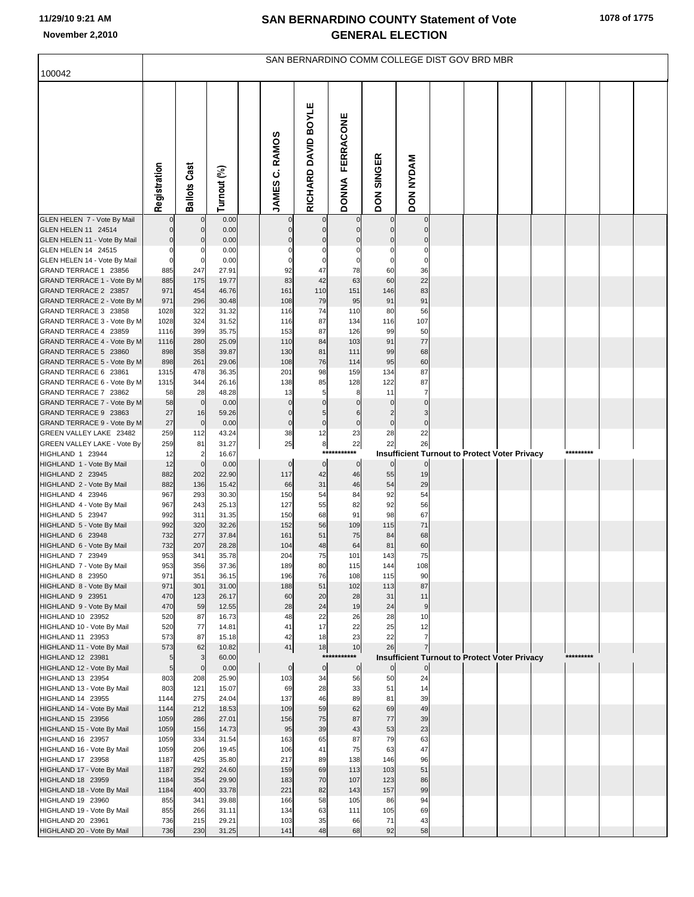| 100042                                               |                      |                         |                |                          |                         |                                  |                             | SAN BERNARDINO COMM COLLEGE DIST GOV BRD MBR               |  |  |           |  |
|------------------------------------------------------|----------------------|-------------------------|----------------|--------------------------|-------------------------|----------------------------------|-----------------------------|------------------------------------------------------------|--|--|-----------|--|
|                                                      |                      |                         |                |                          |                         |                                  |                             |                                                            |  |  |           |  |
|                                                      | Registration         | <b>Ballots Cast</b>     | Turnout (%)    | C. RAMOS<br><b>JAMES</b> | RICHARD DAVID BOYLE     | <b>FERRACONE</b><br><b>DONNA</b> | <b>SINGER</b><br><b>NOQ</b> | DON NYDAM                                                  |  |  |           |  |
| GLEN HELEN 7 - Vote By Mail                          |                      | 0                       | 0.00           | $\mathbf 0$              | $\mathbf 0$             | $\mathbf 0$                      | $\overline{0}$              | $\overline{0}$                                             |  |  |           |  |
| GLEN HELEN 11 24514                                  | $\mathbf 0$          | $\mathbf 0$             | 0.00           | $\mathbf 0$              | $\mathbf 0$             | $\mathbf 0$                      | $\overline{0}$              | $\overline{0}$                                             |  |  |           |  |
| GLEN HELEN 11 - Vote By Mail<br>GLEN HELEN 14 24515  | $\Omega$<br>$\Omega$ | $\mathbf 0$<br>$\Omega$ | 0.00<br>0.00   | $\Omega$                 | $\mathbf 0$<br>$\Omega$ | $\mathbf 0$<br>$\Omega$          | $\mathbf 0$<br>$\Omega$     | $\mathbf 0$<br>$\mathbf 0$                                 |  |  |           |  |
| GLEN HELEN 14 - Vote By Mail                         | $\Omega$             | $\mathbf 0$             | 0.00           | $\Omega$                 | 0                       | 0                                | $\mathbf 0$                 | $\mathbf 0$                                                |  |  |           |  |
| GRAND TERRACE 1 23856                                | 885                  | 247                     | 27.91          | 92                       | 47                      | 78                               | 60                          | 36                                                         |  |  |           |  |
| GRAND TERRACE 1 - Vote By M                          | 885                  | 175                     | 19.77          | 83                       | 42                      | 63                               | 60                          | 22                                                         |  |  |           |  |
| GRAND TERRACE 2 23857<br>GRAND TERRACE 2 - Vote By M | 971<br>971           | 454<br>296              | 46.76<br>30.48 | 161<br>108               | 110<br>79               | 151<br>95                        | 146<br>91                   | 83<br>91                                                   |  |  |           |  |
| GRAND TERRACE 3 23858                                | 1028                 | 322                     | 31.32          | 116                      | 74                      | 110                              | 80                          | 56                                                         |  |  |           |  |
| GRAND TERRACE 3 - Vote By M                          | 1028                 | 324                     | 31.52          | 116                      | 87                      | 134                              | 116                         | 107                                                        |  |  |           |  |
| GRAND TERRACE 4 23859                                | 1116                 | 399                     | 35.75          | 153                      | 87                      | 126                              | 99                          | 50                                                         |  |  |           |  |
| GRAND TERRACE 4 - Vote By M<br>GRAND TERRACE 5 23860 | 1116<br>898          | 280<br>358              | 25.09<br>39.87 | 110<br>130               | 84<br>81                | 103<br>111                       | 91<br>99                    | 77<br>68                                                   |  |  |           |  |
| GRAND TERRACE 5 - Vote By M                          | 898                  | 261                     | 29.06          | 108                      | 76                      | 114                              | 95                          | 60                                                         |  |  |           |  |
| GRAND TERRACE 6 23861                                | 1315                 | 478                     | 36.35          | 201                      | 98                      | 159                              | 134                         | 87                                                         |  |  |           |  |
| GRAND TERRACE 6 - Vote By M                          | 1315                 | 344                     | 26.16          | 138                      | 85                      | 128                              | 122                         | 87                                                         |  |  |           |  |
| GRAND TERRACE 7 23862<br>GRAND TERRACE 7 - Vote By M | 58<br>58             | 28<br>$\mathbf 0$       | 48.28<br>0.00  | 13<br>$\mathbf 0$        | 5<br>$\mathbf 0$        | 8<br>$\mathbf 0$                 | 11<br>$\mathbf 0$           | $\overline{7}$<br>$\mathbf 0$                              |  |  |           |  |
| GRAND TERRACE 9 23863                                | 27                   | 16                      | 59.26          | $\Omega$                 | 5                       | 6                                | $\overline{2}$              | 3                                                          |  |  |           |  |
| GRAND TERRACE 9 - Vote By M                          | 27                   | $\mathbf 0$             | 0.00           | $\mathbf 0$              | $\pmb{0}$               | $\pmb{0}$                        | $\overline{0}$              | $\pmb{0}$                                                  |  |  |           |  |
| GREEN VALLEY LAKE 23482                              | 259                  | 112                     | 43.24          | 38                       | 12                      | 23                               | 28                          | 22                                                         |  |  |           |  |
| GREEN VALLEY LAKE - Vote By<br>HIGHLAND 1 23944      | 259<br>12            | 81<br>2                 | 31.27<br>16.67 | 25                       | 8<br>***                | 22<br>***                        | 22                          | 26<br><b>Insufficient Turnout to Protect Voter Privacy</b> |  |  | ********* |  |
| HIGHLAND 1 - Vote By Mail                            | 12                   | $\mathbf 0$             | 0.00           | $\mathbf 0$              | $\circ$                 | $\mathbf 0$                      | $\overline{0}$              | $\overline{0}$                                             |  |  |           |  |
| HIGHLAND 2 23945                                     | 882                  | 202                     | 22.90          | 117                      | 42                      | 46                               | 55                          | 19                                                         |  |  |           |  |
| HIGHLAND 2 - Vote By Mail                            | 882                  | 136                     | 15.42          | 66                       | 31                      | 46                               | 54                          | 29                                                         |  |  |           |  |
| HIGHLAND 4 23946<br>HIGHLAND 4 - Vote By Mail        | 967<br>967           | 293<br>243              | 30.30<br>25.13 | 150<br>127               | 54<br>55                | 84<br>82                         | 92<br>92                    | 54<br>56                                                   |  |  |           |  |
| HIGHLAND 5 23947                                     | 992                  | 311                     | 31.35          | 150                      | 68                      | 91                               | 98                          | 67                                                         |  |  |           |  |
| HIGHLAND 5 - Vote By Mail                            | 992                  | 320                     | 32.26          | 152                      | 56                      | 109                              | 115                         | 71                                                         |  |  |           |  |
| HIGHLAND 6 23948                                     | 732                  | 277                     | 37.84          | 161                      | 51                      | 75                               | 84                          | 68                                                         |  |  |           |  |
| HIGHLAND 6 - Vote By Mail<br>HIGHLAND 7 23949        | 732<br>953           | 207<br>341              | 28.28<br>35.78 | 104<br>204               | 48<br>75                | 64<br>101                        | 81<br>143                   | 60<br>75                                                   |  |  |           |  |
| HIGHLAND 7 - Vote By Mail                            | 953                  | 356                     | 37.36          | 189                      | 80                      | 115                              | 144                         | 108                                                        |  |  |           |  |
| HIGHLAND 8 23950                                     | 971                  | 351                     | 36.15          | 196                      | 76                      | 108                              | 115                         | 90                                                         |  |  |           |  |
| HIGHLAND 8 - Vote By Mail<br>HIGHLAND 9 23951        | 971<br>470           | 301<br>123              | 31.00<br>26.17 | 188<br>60                | 51<br>20                | 102<br>28                        | 113<br>31                   | 87<br>11                                                   |  |  |           |  |
| HIGHLAND 9 - Vote By Mail                            | 470                  | 59                      | 12.55          | 28                       | 24                      | 19                               | 24                          | 9                                                          |  |  |           |  |
| HIGHLAND 10 23952                                    | 520                  | 87                      | 16.73          | 48                       | 22                      | 26                               | 28                          | 10                                                         |  |  |           |  |
| HIGHLAND 10 - Vote By Mail                           | 520<br>573           | 77<br>87                | 14.81          | 41                       | 17<br>18                | 22<br>23                         | 25<br>22                    | 12<br>$\overline{7}$                                       |  |  |           |  |
| HIGHLAND 11 23953<br>HIGHLAND 11 - Vote By Mail      | 573                  | 62                      | 15.18<br>10.82 | 42<br>41                 | 18                      | 10                               | 26                          | $\overline{7}$                                             |  |  |           |  |
| HIGHLAND 12 23981                                    | 5                    | $\mathbf{3}$            | 60.00          |                          | $***$                   | ***                              |                             | <b>Insufficient Turnout to Protect Voter Privacy</b>       |  |  | ********* |  |
| HIGHLAND 12 - Vote By Mail                           | 5                    | $\mathbf 0$             | 0.00           | $\mathbf 0$              | $\pmb{0}$               | $\mathbf 0$                      | $\overline{0}$              | $\overline{0}$                                             |  |  |           |  |
| HIGHLAND 13 23954<br>HIGHLAND 13 - Vote By Mail      | 803<br>803           | 208<br>121              | 25.90<br>15.07 | 103<br>69                | 34<br>28                | 56<br>33                         | 50<br>51                    | 24<br>14                                                   |  |  |           |  |
| HIGHLAND 14 23955                                    | 1144                 | 275                     | 24.04          | 137                      | 46                      | 89                               | 81                          | 39                                                         |  |  |           |  |
| HIGHLAND 14 - Vote By Mail                           | 1144                 | 212                     | 18.53          | 109                      | 59                      | 62                               | 69                          | 49                                                         |  |  |           |  |
| HIGHLAND 15 23956                                    | 1059                 | 286                     | 27.01          | 156                      | 75                      | 87                               | 77                          | 39                                                         |  |  |           |  |
| HIGHLAND 15 - Vote By Mail<br>HIGHLAND 16 23957      | 1059<br>1059         | 156<br>334              | 14.73<br>31.54 | 95<br>163                | 39<br>65                | 43<br>87                         | 53<br>79                    | 23<br>63                                                   |  |  |           |  |
| HIGHLAND 16 - Vote By Mail                           | 1059                 | 206                     | 19.45          | 106                      | 41                      | 75                               | 63                          | 47                                                         |  |  |           |  |
| HIGHLAND 17 23958                                    | 1187                 | 425                     | 35.80          | 217                      | 89                      | 138                              | 146                         | 96                                                         |  |  |           |  |
| HIGHLAND 17 - Vote By Mail                           | 1187                 | 292                     | 24.60          | 159                      | 69                      | 113                              | 103                         | 51                                                         |  |  |           |  |
| HIGHLAND 18 23959<br>HIGHLAND 18 - Vote By Mail      | 1184<br>1184         | 354<br>400              | 29.90<br>33.78 | 183<br>221               | 70<br>82                | 107<br>143                       | 123<br>157                  | 86<br>99                                                   |  |  |           |  |
| HIGHLAND 19 23960                                    | 855                  | 341                     | 39.88          | 166                      | 58                      | 105                              | 86                          | 94                                                         |  |  |           |  |
| HIGHLAND 19 - Vote By Mail                           | 855                  | 266                     | 31.11          | 134                      | 63                      | 111                              | 105                         | 69                                                         |  |  |           |  |
| HIGHLAND 20 23961                                    | 736                  | 215                     | 29.21          | 103                      | 35                      | 66                               | 71                          | 43                                                         |  |  |           |  |
| HIGHLAND 20 - Vote By Mail                           | 736                  | 230                     | 31.25          | 141                      | 48                      | 68                               | 92                          | 58                                                         |  |  |           |  |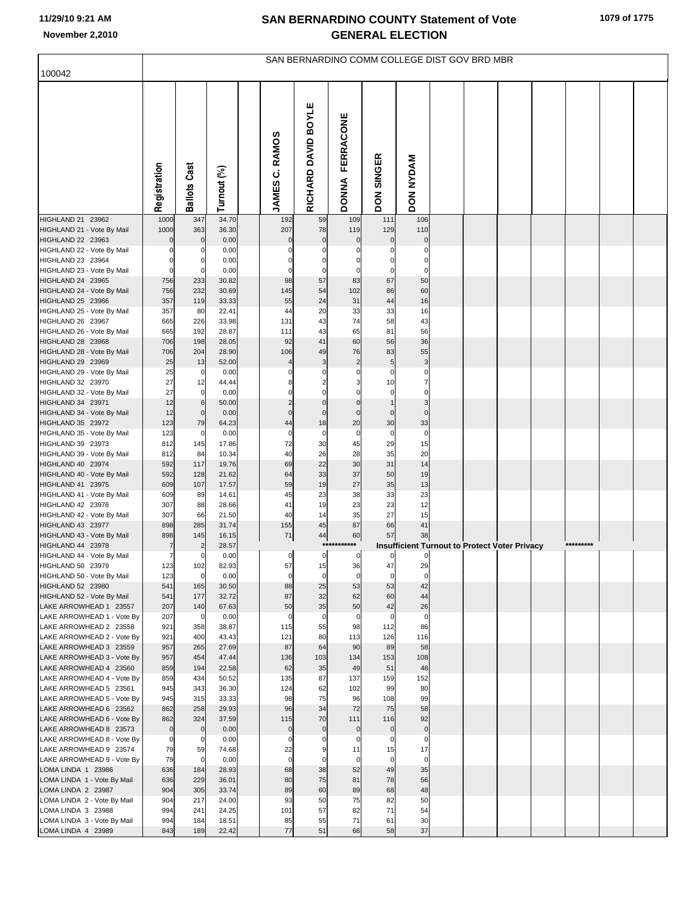| 100042                                               |                    |                      |                |                          |                     | SAN BERNARDINO COMM COLLEGE DIST GOV BRD MBR |                             |                            |  |                                                      |           |  |
|------------------------------------------------------|--------------------|----------------------|----------------|--------------------------|---------------------|----------------------------------------------|-----------------------------|----------------------------|--|------------------------------------------------------|-----------|--|
|                                                      |                    |                      |                |                          |                     |                                              |                             |                            |  |                                                      |           |  |
|                                                      | Registration       | <b>Ballots Cast</b>  | Turnout (%)    | C. RAMOS<br><b>JAMES</b> | RICHARD DAVID BOYLE | FERRACONE<br><b>DONNA</b>                    | <b>SINGER</b><br><b>NOQ</b> | <b>DON NYDAM</b>           |  |                                                      |           |  |
| HIGHLAND 21 23962<br>HIGHLAND 21 - Vote By Mail      | 1000<br>1000       | 347<br>363           | 34.70<br>36.30 | 192<br>207               | 59<br>78            | 109<br>119                                   | 111<br>129                  | 106<br>110                 |  |                                                      |           |  |
| HIGHLAND 22 23963                                    | $\mathbf 0$        | $\mathbf 0$          | 0.00           | $\Omega$                 | $\mathbf 0$         | $\mathbf 0$                                  | $\mathbf 0$                 | $\mathcal{C}$              |  |                                                      |           |  |
| HIGHLAND 22 - Vote By Mail                           | 0                  |                      | 0.00           | 0                        |                     | $\Omega$                                     | $\Omega$                    | C                          |  |                                                      |           |  |
| HIGHLAND 23 23964                                    | $\mathbf 0$        | 0                    | 0.00           |                          |                     |                                              | $\Omega$                    | $\mathbf 0$                |  |                                                      |           |  |
| HIGHLAND 23 - Vote By Mail<br>HIGHLAND 24 23965      | $\mathbf 0$<br>756 | $\Omega$<br>233      | 0.00<br>30.82  | $\Omega$<br>98           | $\Omega$<br>57      | $\Omega$<br>83                               | $\Omega$<br>67              | $\mathsf{C}$<br>50         |  |                                                      |           |  |
| HIGHLAND 24 - Vote By Mail                           | 756                | 232                  | 30.69          | 145                      | 54                  | 102                                          | 86                          | 60                         |  |                                                      |           |  |
| HIGHLAND 25 23966                                    | 357                | 119                  | 33.33          | 55                       | 24                  | 31                                           | 44                          | 16                         |  |                                                      |           |  |
| HIGHLAND 25 - Vote By Mail                           | 357                | 80                   | 22.41          | 44                       | 20                  | 33                                           | 33                          | 16                         |  |                                                      |           |  |
| HIGHLAND 26 23967                                    | 665                | 226                  | 33.98          | 131                      | 43                  | 74                                           | 58                          | 43                         |  |                                                      |           |  |
| HIGHLAND 26 - Vote By Mail<br>HIGHLAND 28 23968      | 665<br>706         | 192<br>198           | 28.87<br>28.05 | 111<br>92                | 43<br>41            | 65<br>60                                     | 81<br>56                    | 56<br>36                   |  |                                                      |           |  |
| HIGHLAND 28 - Vote By Mail                           | 706                | 204                  | 28.90          | 106                      | 49                  | 76                                           | 83                          | 55                         |  |                                                      |           |  |
| HIGHLAND 29 23969                                    | 25                 | 13                   | 52.00          | $\overline{4}$           | 3                   | $\overline{c}$                               | 5                           | 3                          |  |                                                      |           |  |
| HIGHLAND 29 - Vote By Mail                           | 25                 | $\overline{0}$       | 0.00           | 0                        | $\Omega$            | $\Omega$                                     | $\mathbf 0$                 | C                          |  |                                                      |           |  |
| HIGHLAND 32 23970<br>HIGHLAND 32 - Vote By Mail      | 27<br>27           | 12<br>$\overline{0}$ | 44.44<br>0.00  | 8<br>$\Omega$            | 2<br>$\Omega$       | $\Omega$                                     | 10<br>$\mathbf 0$           | $\overline{7}$<br>$\Omega$ |  |                                                      |           |  |
| HIGHLAND 34 23971                                    | 12                 | 6                    | 50.00          | $\overline{a}$           | $\mathbf 0$         | $\overline{0}$                               |                             | 3                          |  |                                                      |           |  |
| HIGHLAND 34 - Vote By Mail                           | 12                 | $\overline{0}$       | 0.00           | $\Omega$                 | $\mathbf{0}$        | $\mathbf 0$                                  | $\mathbf 0$                 | $\Omega$                   |  |                                                      |           |  |
| HIGHLAND 35 23972                                    | 123                | 79                   | 64.23          | 44                       | 18                  | 20                                           | 30                          | 33                         |  |                                                      |           |  |
| HIGHLAND 35 - Vote By Mail                           | 123                | $\mathbf 0$          | 0.00           | $\Omega$                 | $\Omega$            | $\mathbf 0$                                  | $\mathbf 0$                 | $\mathbf 0$                |  |                                                      |           |  |
| HIGHLAND 39 23973<br>HIGHLAND 39 - Vote By Mail      | 812<br>812         | 145<br>84            | 17.86<br>10.34 | 72<br>40                 | 30<br>26            | 45<br>28                                     | 29<br>35                    | 15<br>20                   |  |                                                      |           |  |
| HIGHLAND 40 23974                                    | 592                | 117                  | 19.76          | 69                       | 22                  | 30                                           | 31                          | 14                         |  |                                                      |           |  |
| HIGHLAND 40 - Vote By Mail                           | 592                | 128                  | 21.62          | 64                       | 33                  | 37                                           | 50                          | 19                         |  |                                                      |           |  |
| HIGHLAND 41 23975                                    | 609                | 107                  | 17.57          | 59                       | 19                  | 27                                           | 35                          | 13                         |  |                                                      |           |  |
| HIGHLAND 41 - Vote By Mail<br>HIGHLAND 42 23976      | 609<br>307         | 89<br>88             | 14.61<br>28.66 | 45<br>41                 | 23<br>19            | 38<br>23                                     | 33<br>23                    | 23<br>12                   |  |                                                      |           |  |
| HIGHLAND 42 - Vote By Mail                           | 307                | 66                   | 21.50          | 40                       | 14                  | 35                                           | 27                          | 15                         |  |                                                      |           |  |
| HIGHLAND 43 23977                                    | 898                | 285                  | 31.74          | 155                      | 45                  | 87                                           | 66                          | 41                         |  |                                                      |           |  |
| HIGHLAND 43 - Vote By Mail                           | 898                | 145                  | 16.15          | 71                       | 44                  | 60                                           | 57                          | 38                         |  |                                                      |           |  |
| HIGHLAND 44 23978<br>HIGHLAND 44 - Vote By Mail      | 7<br>7             | 0                    | 28.57<br>0.00  | 0                        | $\pmb{0}$           | ***********<br>$\bf{0}$                      | 0                           | C                          |  | <b>Insufficient Turnout to Protect Voter Privacy</b> | ********* |  |
| HIGHLAND 50 23979                                    | 123                | 102                  | 82.93          | 57                       | 15                  | 36                                           |                             | 29                         |  |                                                      |           |  |
| HIGHLAND 50 - Vote By Mail                           | 123                | $\mathbf 0$          | 0.00           | $\mathbf 0$              | $\mathbf 0$         | $\mathbf 0$                                  | $\mathbf 0$                 | $\mathbf 0$                |  |                                                      |           |  |
| HIGHLAND 52 23980                                    | 541                | 165                  | 30.50          | 88                       | 25                  | 53                                           | 53                          | 42                         |  |                                                      |           |  |
| HIGHLAND 52 - Vote By Mail<br>LAKE ARROWHEAD 1 23557 | 541<br>207         | 177<br>140           | 32.72<br>67.63 | 87<br>50                 | 32<br>35            | 62<br>50                                     | 60<br>42                    | 44<br>26                   |  |                                                      |           |  |
| LAKE ARROWHEAD 1 - Vote By                           | 207                | $\mathbf 0$          | 0.00           | $\Omega$                 | $\Omega$            | 0                                            | $\Omega$                    | $\mathbf 0$                |  |                                                      |           |  |
| LAKE ARROWHEAD 2 23558                               | 921                | 358                  | 38.87          | 115                      | 55                  | 98                                           | 112                         | 86                         |  |                                                      |           |  |
| LAKE ARROWHEAD 2 - Vote By                           | 921                | 400                  | 43.43          | 121                      | 80                  | 113                                          | 126                         | 116                        |  |                                                      |           |  |
| LAKE ARROWHEAD 3 23559<br>LAKE ARROWHEAD 3 - Vote By | 957<br>957         | 265<br>454           | 27.69<br>47.44 | 87<br>136                | 64<br>103           | 90<br>134                                    | 89<br>153                   | 58<br>108                  |  |                                                      |           |  |
| LAKE ARROWHEAD 4 23560                               | 859                | 194                  | 22.58          | 62                       | 35                  | 49                                           | 51                          | 48                         |  |                                                      |           |  |
| LAKE ARROWHEAD 4 - Vote By                           | 859                | 434                  | 50.52          | 135                      | 87                  | 137                                          | 159                         | 152                        |  |                                                      |           |  |
| LAKE ARROWHEAD 5 23561                               | 945                | 343                  | 36.30          | 124                      | 62                  | 102                                          | 99                          | 80                         |  |                                                      |           |  |
| LAKE ARROWHEAD 5 - Vote By<br>LAKE ARROWHEAD 6 23562 | 945<br>862         | 315<br>258           | 33.33<br>29.93 | 98<br>96                 | 75<br>34            | 96<br>72                                     | 108<br>75                   | 99<br>58                   |  |                                                      |           |  |
| LAKE ARROWHEAD 6 - Vote By                           | 862                | 324                  | 37.59          | 115                      | 70                  | 111                                          | 116                         | 92                         |  |                                                      |           |  |
| LAKE ARROWHEAD 8 23573                               | $\mathbf 0$        | $\mathbf 0$          | 0.00           | $\mathbf 0$              | $\mathbf 0$         | $\mathbf 0$                                  | $\mathbf 0$                 | $\pmb{0}$                  |  |                                                      |           |  |
| LAKE ARROWHEAD 8 - Vote By                           | $\mathbf 0$        | $\mathbf 0$          | 0.00           | $\Omega$                 |                     | $\Omega$                                     | 0                           | $\mathbf 0$                |  |                                                      |           |  |
| LAKE ARROWHEAD 9 23574                               | 79                 | 59                   | 74.68          | 22                       | $\Omega$            | 11                                           | 15                          | 17                         |  |                                                      |           |  |
| LAKE ARROWHEAD 9 - Vote By<br>LOMA LINDA 1 23986     | 79<br>636          | $\mathbf 0$<br>184   | 0.00<br>28.93  | $\mathbf 0$<br>68        | 38                  | $\mathbf 0$<br>52                            | $\mathbf 0$<br>49           | $\mathbf 0$<br>35          |  |                                                      |           |  |
| LOMA LINDA 1 - Vote By Mail                          | 636                | 229                  | 36.01          | 80                       | 75                  | 81                                           | 78                          | 56                         |  |                                                      |           |  |
| LOMA LINDA 2 23987                                   | 904                | 305                  | 33.74          | 89                       | 60                  | 89                                           | 68                          | 48                         |  |                                                      |           |  |
| LOMA LINDA 2 - Vote By Mail                          | 904                | 217                  | 24.00          | 93                       | 50                  | 75                                           | 82                          | 50                         |  |                                                      |           |  |
| LOMA LINDA 3 23988<br>LOMA LINDA 3 - Vote By Mail    | 994<br>994         | 241<br>184           | 24.25<br>18.51 | 101<br>85                | 57<br>55            | 82<br>71                                     | 71<br>61                    | 54<br>30                   |  |                                                      |           |  |
| LOMA LINDA 4 23989                                   | 843                | 189                  | 22.42          | 77                       | 51                  | 66                                           | 58                          | 37                         |  |                                                      |           |  |
|                                                      |                    |                      |                |                          |                     |                                              |                             |                            |  |                                                      |           |  |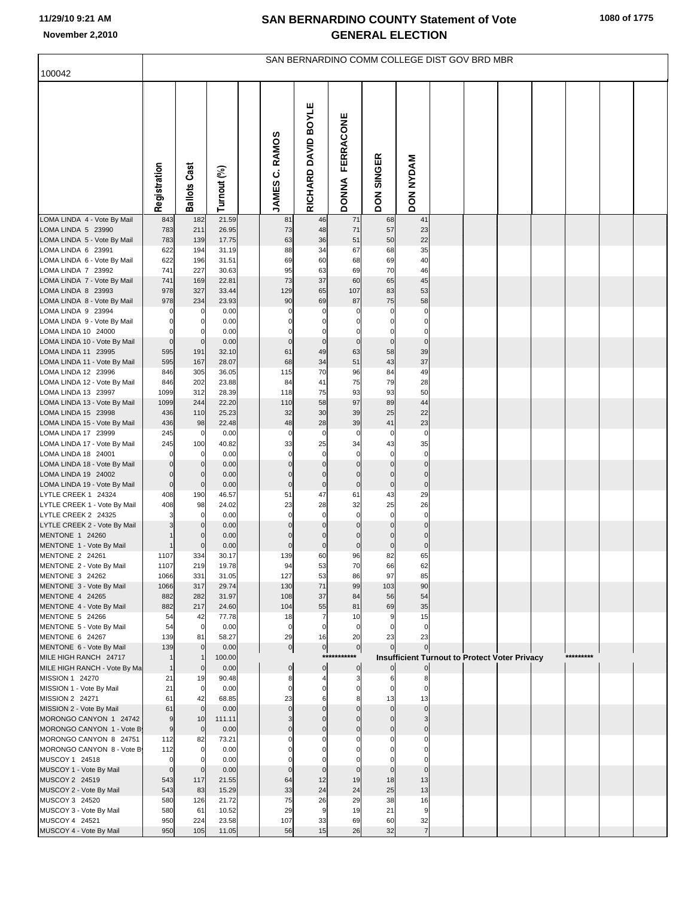| 100042                                              |                         |                            |                |                   |                            |                             |                            | SAN BERNARDINO COMM COLLEGE DIST GOV BRD MBR         |  |  |           |  |
|-----------------------------------------------------|-------------------------|----------------------------|----------------|-------------------|----------------------------|-----------------------------|----------------------------|------------------------------------------------------|--|--|-----------|--|
|                                                     |                         |                            |                |                   |                            |                             |                            |                                                      |  |  |           |  |
|                                                     | Registration            | <b>Ballots Cast</b>        | Turnout (%)    | JAMES C. RAMOS    | RICHARD DAVID BOYLE        | FERRACONE<br><b>DONNA</b>   | DON SINGER                 | <b>DON NYDAM</b>                                     |  |  |           |  |
| LOMA LINDA 4 - Vote By Mail                         | 843                     | 182                        | 21.59          | 81                | 46                         | 71                          | 68                         | 41                                                   |  |  |           |  |
| LOMA LINDA 5 23990<br>LOMA LINDA 5 - Vote By Mail   | 783<br>783              | 211<br>139                 | 26.95<br>17.75 | 73<br>63          | 48<br>36                   | 71<br>51                    | 57<br>50                   | 23<br>22                                             |  |  |           |  |
| LOMA LINDA 6 23991                                  | 622                     | 194                        | 31.19          | 88                | 34                         | 67                          | 68                         | 35                                                   |  |  |           |  |
| LOMA LINDA 6 - Vote By Mail                         | 622                     | 196                        | 31.51          | 69                | 60                         | 68                          | 69                         | 40                                                   |  |  |           |  |
| LOMA LINDA 7 23992<br>LOMA LINDA 7 - Vote By Mail   | 741<br>741              | 227<br>169                 | 30.63<br>22.81 | 95<br>73          | 63<br>37                   | 69<br>60                    | 70<br>65                   | 46<br>45                                             |  |  |           |  |
| LOMA LINDA 8 23993                                  | 978                     | 327                        | 33.44          | 129               | 65                         | 107                         | 83                         | 53                                                   |  |  |           |  |
| LOMA LINDA 8 - Vote By Mail                         | 978                     | 234                        | 23.93          | 90                | 69                         | 87                          | 75                         | 58                                                   |  |  |           |  |
| LOMA LINDA 9 23994<br>LOMA LINDA 9 - Vote By Mail   | 0<br>$\Omega$           | 0<br>0                     | 0.00<br>0.00   | $\Omega$<br>0     | $\Omega$<br>$\Omega$       | $\Omega$<br>0               | $\Omega$<br>$\Omega$       | $\mathbf 0$<br>0                                     |  |  |           |  |
| LOMA LINDA 10 24000                                 | $\Omega$                |                            | 0.00           | $\Omega$          | $\Omega$                   | C                           | $\Omega$                   | 0                                                    |  |  |           |  |
| LOMA LINDA 10 - Vote By Mail                        | $\mathbf 0$             | $\mathbf 0$                | 0.00           | $\mathbf 0$       | $\pmb{0}$                  | $\mathbf 0$                 | $\mathbf 0$                | $\overline{0}$                                       |  |  |           |  |
| LOMA LINDA 11 23995<br>LOMA LINDA 11 - Vote By Mail | 595<br>595              | 191<br>167                 | 32.10<br>28.07 | 61<br>68          | 49<br>34                   | 63<br>51                    | 58<br>43                   | 39<br>37                                             |  |  |           |  |
| LOMA LINDA 12 23996                                 | 846                     | 305                        | 36.05          | 115               | 70                         | 96                          | 84                         | 49                                                   |  |  |           |  |
| LOMA LINDA 12 - Vote By Mail                        | 846                     | 202                        | 23.88          | 84                | 41                         | 75                          | 79                         | 28                                                   |  |  |           |  |
| LOMA LINDA 13 23997<br>LOMA LINDA 13 - Vote By Mail | 1099<br>1099            | 312<br>244                 | 28.39<br>22.20 | 118<br>110        | 75<br>58                   | 93<br>97                    | 93<br>89                   | 50<br>44                                             |  |  |           |  |
| LOMA LINDA 15 23998                                 | 436                     | 110                        | 25.23          | 32                | 30                         | 39                          | 25                         | 22                                                   |  |  |           |  |
| LOMA LINDA 15 - Vote By Mail                        | 436                     | 98                         | 22.48          | 48                | 28                         | 39                          | 41                         | 23                                                   |  |  |           |  |
| LOMA LINDA 17 23999<br>LOMA LINDA 17 - Vote By Mail | 245<br>245              | 0<br>100                   | 0.00<br>40.82  | $\mathbf 0$<br>33 | $\mathbf 0$<br>25          | $\mathbf 0$<br>34           | $\mathbf 0$<br>43          | $\mathbf 0$<br>35                                    |  |  |           |  |
| LOMA LINDA 18 24001                                 | $\Omega$                | 0                          | 0.00           | $\mathbf 0$       | $\mathbf 0$                | $\Omega$                    | $\mathbf 0$                | $\overline{0}$                                       |  |  |           |  |
| LOMA LINDA 18 - Vote By Mail                        | $\mathbf 0$             | $\mathbf 0$                | 0.00           | 0                 | $\mathbf 0$                | $\mathbf 0$                 | $\mathbf 0$                | $\overline{0}$                                       |  |  |           |  |
| LOMA LINDA 19 24002<br>LOMA LINDA 19 - Vote By Mail | $\Omega$<br>$\mathbf 0$ | $\mathbf 0$<br>$\mathbf 0$ | 0.00<br>0.00   | 0<br>$\mathbf 0$  | $\mathbf 0$<br>$\pmb{0}$   | $\mathsf{C}$<br>$\mathbf 0$ | $\Omega$<br>$\pmb{0}$      | $\mathbf 0$<br>$\overline{0}$                        |  |  |           |  |
| LYTLE CREEK 1 24324                                 | 408                     | 190                        | 46.57          | 51                | 47                         | 61                          | 43                         | 29                                                   |  |  |           |  |
| LYTLE CREEK 1 - Vote By Mail                        | 408                     | 98                         | 24.02          | 23                | 28                         | 32                          | 25                         | 26                                                   |  |  |           |  |
| LYTLE CREEK 2 24325<br>LYTLE CREEK 2 - Vote By Mail | 3                       | $\Omega$<br>$\Omega$       | 0.00<br>0.00   | $\mathbf 0$<br>0  | $\mathbf 0$<br>$\mathbf 0$ | $\Omega$<br>$\mathbf 0$     | $\mathbf 0$<br>$\mathbf 0$ | $\mathbf 0$<br>$\overline{0}$                        |  |  |           |  |
| MENTONE 1 24260                                     |                         | O                          | 0.00           | $\Omega$          | $\Omega$                   | $\mathcal{C}$               | $\Omega$                   | $\Omega$                                             |  |  |           |  |
| MENTONE 1 - Vote By Mail                            |                         | $\Omega$                   | 0.00           | $\Omega$          | $\pmb{0}$                  | $\mathbf 0$                 | $\mathbf 0$                | $\overline{0}$                                       |  |  |           |  |
| MENTONE 2 24261<br>MENTONE 2 - Vote By Mail         | 1107<br>1107            | 334<br>219                 | 30.17<br>19.78 | 139<br>94         | 60<br>53                   | 96<br>70                    | 82<br>66                   | 65<br>62                                             |  |  |           |  |
| MENTONE 3 24262                                     | 1066                    | 331                        | 31.05          | 127               | 53                         | 86                          | 97                         | 85                                                   |  |  |           |  |
| MENTONE 3 - Vote By Mail                            | 1066                    | 317                        | 29.74          | 130               | 71<br>37                   | 99                          | 103                        | 90                                                   |  |  |           |  |
| MENTONE 4 24265<br>MENTONE 4 - Vote By Mail         | 882<br>882              | 282<br>217                 | 31.97<br>24.60 | 108<br>104        | 55                         | 84<br>81                    | 56<br>69                   | 54<br>35                                             |  |  |           |  |
| MENTONE 5 24266                                     | 54                      | 42                         | 77.78          | 18                | $\overline{7}$             | 10                          | 9                          | 15                                                   |  |  |           |  |
| MENTONE 5 - Vote By Mail<br>MENTONE 6 24267         | 54<br>139               | $\mathbf 0$<br>81          | 0.00<br>58.27  | $\mathbf 0$<br>29 | $\mathbf 0$<br>16          | $\mathbf 0$<br>20           | 23                         | $\mathbf 0$<br>23                                    |  |  |           |  |
| MENTONE 6 - Vote By Mail                            | 139                     | $\mathbf 0$                | 0.00           | $\circ$           | $\overline{0}$             | $\circ$                     | $\Omega$                   | $\overline{0}$                                       |  |  |           |  |
| MILE HIGH RANCH 24717                               |                         |                            | 100.00         |                   | ***                        | ****                        |                            | <b>Insufficient Turnout to Protect Voter Privacy</b> |  |  | ********* |  |
| MILE HIGH RANCH - Vote By Ma<br>MISSION 1 24270     | 21                      | $\mathbf 0$<br>19          | 0.00<br>90.48  | $\mathbf 0$<br>8  | $\bf{0}$                   | $\mathbf 0$<br>3            | 6                          | $\overline{0}$<br>8                                  |  |  |           |  |
| MISSION 1 - Vote By Mail                            | 21                      | 0                          | 0.00           | $\Omega$          | O                          | O                           |                            |                                                      |  |  |           |  |
| MISSION 2 24271                                     | 61                      | 42                         | 68.85          | 23                | 6                          | 8                           | 13                         | 13                                                   |  |  |           |  |
| MISSION 2 - Vote By Mail<br>MORONGO CANYON 1 24742  | 61<br>9                 | $\Omega$<br>10             | 0.00<br>111.11 | $\mathbf 0$       | $\Omega$                   | $\Omega$<br>$\sqrt{ }$      | $\mathbf 0$<br>$\Omega$    | $\Omega$                                             |  |  |           |  |
| MORONGO CANYON 1 - Vote B                           | 9                       | $\mathbf 0$                | 0.00           | $\Omega$          | $\Omega$                   | $\Omega$                    | $\Omega$                   | $\overline{0}$                                       |  |  |           |  |
| MORONGO CANYON 8 24751                              | 112                     | 82                         | 73.21          |                   |                            |                             |                            |                                                      |  |  |           |  |
| MORONGO CANYON 8 - Vote B<br>MUSCOY 1 24518         | 112<br>$\Omega$         | $\Omega$                   | 0.00<br>0.00   |                   |                            |                             |                            |                                                      |  |  |           |  |
| MUSCOY 1 - Vote By Mail                             | $\mathbf 0$             |                            | 0.00           | $\Omega$          | $\mathbf{0}$               | $\Omega$                    | $\mathbf{0}$               | $\overline{0}$                                       |  |  |           |  |
| MUSCOY 2 24519                                      | 543                     | 117                        | 21.55          | 64                | 12                         | 19                          | 18                         | 13                                                   |  |  |           |  |
| MUSCOY 2 - Vote By Mail<br>MUSCOY 3 24520           | 543<br>580              | 83<br>126                  | 15.29<br>21.72 | 33<br>75          | 24<br>26                   | 24<br>29                    | 25<br>38                   | 13<br>16                                             |  |  |           |  |
| MUSCOY 3 - Vote By Mail                             | 580                     | 61                         | 10.52          | 29                | 9                          | 19                          | 21                         | 9                                                    |  |  |           |  |
| MUSCOY 4 24521                                      | 950                     | 224                        | 23.58          | 107               | 33                         | 69                          | 60                         | 32                                                   |  |  |           |  |
| MUSCOY 4 - Vote By Mail                             | 950                     | 105                        | 11.05          | 56                | 15                         | 26                          | 32                         | $\overline{7}$                                       |  |  |           |  |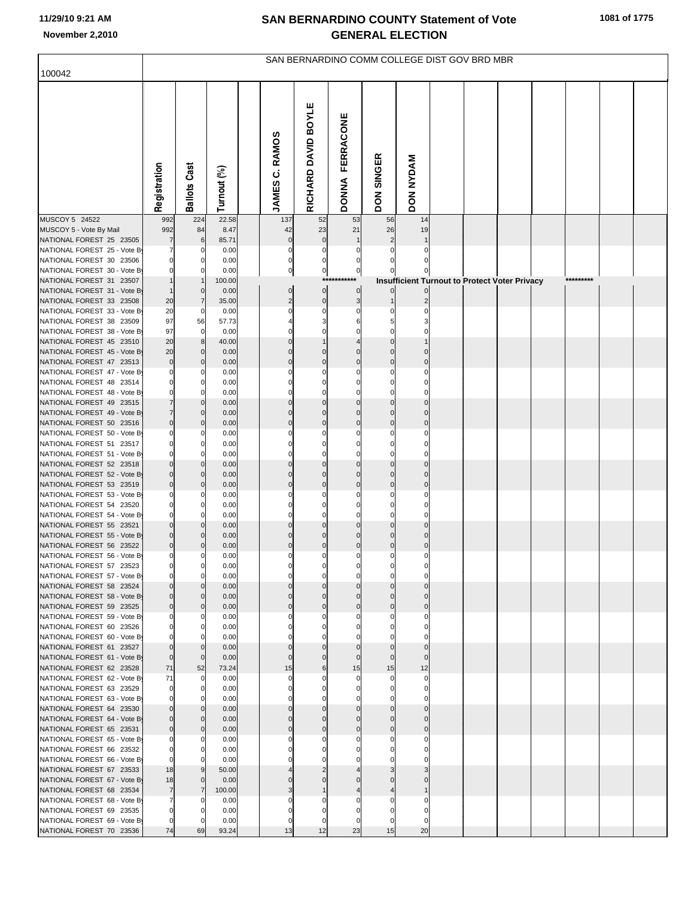| 100042                                                   |                               |                            |               |                       |                      |                         |              | SAN BERNARDINO COMM COLLEGE DIST GOV BRD MBR         |  |  |           |  |
|----------------------------------------------------------|-------------------------------|----------------------------|---------------|-----------------------|----------------------|-------------------------|--------------|------------------------------------------------------|--|--|-----------|--|
|                                                          |                               |                            |               |                       |                      |                         |              |                                                      |  |  |           |  |
|                                                          | Registration                  | <b>Ballots Cast</b>        | Turnout (%)   | <b>JAMES C. RAMOS</b> | RICHARD DAVID BOYLE  | DONNA FERRACONE         | DON SINGER   | <b>DON NYDAM</b>                                     |  |  |           |  |
| MUSCOY 5 24522                                           | 992                           | 224                        | 22.58         | 137                   | 52                   | 53                      | 56           | 14                                                   |  |  |           |  |
| MUSCOY 5 - Vote By Mail                                  | 992                           | 84                         | 8.47          | 42<br>$\mathbf{0}$    | 23<br>$\mathbf{0}$   | 21                      | 26           | 19                                                   |  |  |           |  |
| NATIONAL FOREST 25 23505<br>NATIONAL FOREST 25 - Vote By | $\overline{7}$                | 6<br>0                     | 85.71<br>0.00 | $\Omega$              |                      |                         |              |                                                      |  |  |           |  |
| NATIONAL FOREST 30 23506                                 | $\Omega$                      | $\Omega$                   | 0.00          | 0                     |                      |                         |              |                                                      |  |  |           |  |
| NATIONAL FOREST 30 - Vote By                             |                               |                            | 0.00          | 0                     | $\mathbf 0$          | $\overline{0}$          |              |                                                      |  |  |           |  |
| NATIONAL FOREST 31 23507                                 |                               |                            | 100.00        |                       |                      | ***********             |              | <b>Insufficient Turnout to Protect Voter Privacy</b> |  |  | ********* |  |
| NATIONAL FOREST 31 - Vote By                             |                               | $\mathbf 0$                | 0.00          | $\mathbf{0}$          | $\overline{0}$       | $\overline{0}$          |              |                                                      |  |  |           |  |
| NATIONAL FOREST 33 23508<br>NATIONAL FOREST 33 - Vote By | 20<br>20                      | $\overline{7}$<br>0        | 35.00<br>0.00 | $\overline{2}$        | $\mathbf 0$          | 3<br>0                  |              |                                                      |  |  |           |  |
| NATIONAL FOREST 38 23509                                 | 97                            | 56                         | 57.73         |                       |                      |                         |              |                                                      |  |  |           |  |
| NATIONAL FOREST 38 - Vote By                             | 97                            | 0                          | 0.00          |                       |                      |                         |              |                                                      |  |  |           |  |
| NATIONAL FOREST 45 23510                                 | 20                            | 8                          | 40.00         | $\Omega$              |                      |                         |              |                                                      |  |  |           |  |
| NATIONAL FOREST 45 - Vote By                             | 20                            | $\mathbf 0$                | 0.00          |                       |                      | $\Omega$                |              |                                                      |  |  |           |  |
| NATIONAL FOREST 47 23513<br>NATIONAL FOREST 47 - Vote By | $\bf 0$<br>$\Omega$           | $\mathbf 0$                | 0.00<br>0.00  | C                     | $\Omega$             | $\mathbf 0$<br>$\Omega$ | $\Omega$     |                                                      |  |  |           |  |
| NATIONAL FOREST 48 23514                                 | $\Omega$                      | 0                          | 0.00          |                       |                      | $\Omega$                |              |                                                      |  |  |           |  |
| NATIONAL FOREST 48 - Vote By                             | $\Omega$                      | $\Omega$                   | 0.00          |                       |                      | $\Omega$                |              |                                                      |  |  |           |  |
| NATIONAL FOREST 49 23515                                 | $\overline{7}$                | $\mathbf 0$                | 0.00          |                       | $\Omega$             | $\mathbf 0$             | $\Omega$     |                                                      |  |  |           |  |
| NATIONAL FOREST 49 - Vote By                             | $\overline{7}$<br>$\mathbf 0$ | $\mathbf 0$                | 0.00          | $\Omega$              | $\Omega$<br>$\Omega$ | $\Omega$<br>$\mathbf 0$ | $\mathbf 0$  | $\Omega$                                             |  |  |           |  |
| NATIONAL FOREST 50 23516<br>NATIONAL FOREST 50 - Vote By | $\Omega$                      | $\mathbf 0$<br>n           | 0.00<br>0.00  |                       |                      | $\Omega$                |              |                                                      |  |  |           |  |
| NATIONAL FOREST 51 23517                                 | $\Omega$                      | 0                          | 0.00          |                       |                      | $\Omega$                |              |                                                      |  |  |           |  |
| NATIONAL FOREST 51 - Vote By                             | $\Omega$                      |                            | 0.00          |                       |                      |                         |              |                                                      |  |  |           |  |
| NATIONAL FOREST 52 23518                                 | $\mathbf 0$                   | $\mathbf 0$                | 0.00          | $\Omega$              | $\Omega$             | $\mathbf 0$             | $\Omega$     |                                                      |  |  |           |  |
| NATIONAL FOREST 52 - Vote By<br>NATIONAL FOREST 53 23519 | $\Omega$<br>$\mathbf 0$       | $\mathbf 0$<br>$\mathbf 0$ | 0.00<br>0.00  | C                     | $\Omega$             | $\Omega$<br>$\mathbf 0$ | $\Omega$     |                                                      |  |  |           |  |
| NATIONAL FOREST 53 - Vote By                             | $\Omega$                      | n                          | 0.00          |                       |                      | $\Omega$                |              |                                                      |  |  |           |  |
| NATIONAL FOREST 54 23520                                 | $\Omega$                      | 0                          | 0.00          |                       |                      |                         |              |                                                      |  |  |           |  |
| NATIONAL FOREST 54 - Vote By                             | $\Omega$                      |                            | 0.00          |                       |                      | $\Omega$                |              |                                                      |  |  |           |  |
| NATIONAL FOREST 55 23521<br>NATIONAL FOREST 55 - Vote By | $\mathbf{0}$<br>$\Omega$      | $\mathbf 0$<br>$\Omega$    | 0.00<br>0.00  |                       | $\Omega$             | $\mathbf{0}$            | $\Omega$     |                                                      |  |  |           |  |
| NATIONAL FOREST 56 23522                                 | $\mathbf{0}$                  | $\mathbf 0$                | 0.00          | $\Omega$              | $\Omega$             | $\mathbf{0}$            | $\mathbf{0}$ |                                                      |  |  |           |  |
| NATIONAL FOREST 56 - Vote By                             | 0                             |                            | 0.00          |                       |                      |                         |              |                                                      |  |  |           |  |
| NATIONAL FOREST 57 23523                                 |                               |                            | 0.00          |                       |                      |                         |              |                                                      |  |  |           |  |
| NATIONAL FOREST 57 - Vote By                             | $\Omega$<br>$\Omega$          | $\Omega$                   | 0.00          |                       |                      | $\Omega$                |              |                                                      |  |  |           |  |
| NATIONAL FOREST 58 23524<br>NATIONAL FOREST 58 - Vote By | $\Omega$                      | $\mathbf 0$                | 0.00<br>0.00  |                       |                      |                         |              |                                                      |  |  |           |  |
| NATIONAL FOREST 59 23525                                 | $\Omega$                      | $\mathbf 0$                | 0.00          | $\Omega$              | $\Omega$             | $\mathbf{0}$            | $\mathbf 0$  |                                                      |  |  |           |  |
| NATIONAL FOREST 59 - Vote By                             |                               | n                          | 0.00          |                       |                      |                         |              |                                                      |  |  |           |  |
| NATIONAL FOREST 60 23526                                 | $\Omega$                      | 0                          | 0.00          |                       |                      |                         |              |                                                      |  |  |           |  |
| NATIONAL FOREST 60 - Vote By<br>NATIONAL FOREST 61 23527 | $\Omega$                      | $\Omega$                   | 0.00<br>0.00  |                       |                      |                         |              |                                                      |  |  |           |  |
| NATIONAL FOREST 61 - Vote By                             | $\mathbf 0$                   | $\mathbf 0$                | 0.00          |                       |                      | $\Omega$                |              |                                                      |  |  |           |  |
| NATIONAL FOREST 62 23528                                 | 71                            | 52                         | 73.24         | 15                    | 6                    | 15                      | 15           | 12                                                   |  |  |           |  |
| NATIONAL FOREST 62 - Vote By                             | 71                            | 0                          | 0.00          | $\Omega$              |                      | $\mathbf 0$             | $\mathbf 0$  | $\Omega$                                             |  |  |           |  |
| NATIONAL FOREST 63 23529<br>NATIONAL FOREST 63 - Vote By | $\Omega$                      | 0                          | 0.00<br>0.00  |                       |                      |                         |              |                                                      |  |  |           |  |
| NATIONAL FOREST 64 23530                                 |                               | $\Omega$                   | 0.00          |                       |                      | $\Omega$                |              |                                                      |  |  |           |  |
| NATIONAL FOREST 64 - Vote By                             |                               | $\Omega$                   | 0.00          |                       |                      |                         |              |                                                      |  |  |           |  |
| NATIONAL FOREST 65 23531                                 | $\Omega$                      | $\mathbf 0$                | 0.00          | $\Omega$              | $\Omega$             | $\mathbf{0}$            | $\mathbf 0$  |                                                      |  |  |           |  |
| NATIONAL FOREST 65 - Vote By                             |                               |                            | 0.00          |                       |                      |                         |              |                                                      |  |  |           |  |
| NATIONAL FOREST 66 23532<br>NATIONAL FOREST 66 - Vote By | $\Omega$                      |                            | 0.00<br>0.00  |                       |                      |                         |              |                                                      |  |  |           |  |
| NATIONAL FOREST 67 23533                                 | 18                            |                            | 50.00         |                       |                      |                         |              |                                                      |  |  |           |  |
| NATIONAL FOREST 67 - Vote By                             | 18                            | $\mathbf 0$                | 0.00          |                       |                      |                         |              |                                                      |  |  |           |  |
| NATIONAL FOREST 68 23534                                 | $\overline{7}$                | 7                          | 100.00        |                       |                      |                         |              |                                                      |  |  |           |  |
| NATIONAL FOREST 68 - Vote By<br>NATIONAL FOREST 69 23535 | 7                             |                            | 0.00<br>0.00  |                       |                      |                         |              |                                                      |  |  |           |  |
| NATIONAL FOREST 69 - Vote By                             |                               |                            | 0.00          |                       |                      |                         |              |                                                      |  |  |           |  |
| NATIONAL FOREST 70 23536                                 | 74                            | 69                         | 93.24         | 13                    | 12                   | 23                      | 15           | 20                                                   |  |  |           |  |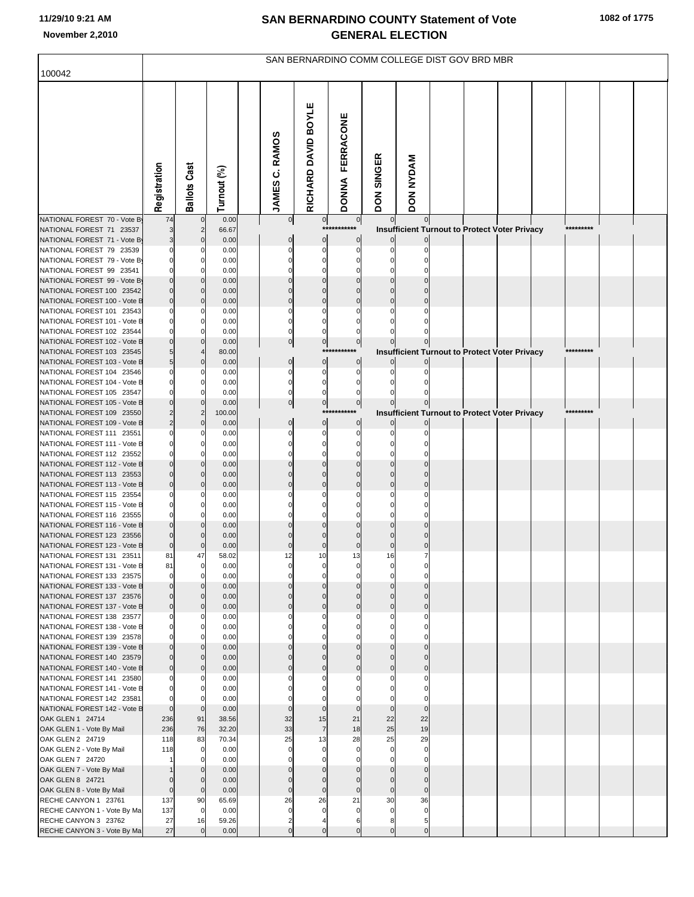|                                                           |                         |                                         |                |                       |                      |                           |                | SAN BERNARDINO COMM COLLEGE DIST GOV BRD MBR |  |                                                      |  |  |
|-----------------------------------------------------------|-------------------------|-----------------------------------------|----------------|-----------------------|----------------------|---------------------------|----------------|----------------------------------------------|--|------------------------------------------------------|--|--|
| 100042                                                    |                         |                                         |                |                       |                      |                           |                |                                              |  |                                                      |  |  |
|                                                           | Registration            | <b>Ballots Cast</b>                     | Turnout (%)    | <b>JAMES C. RAMOS</b> | RICHARD DAVID BOYLE  | FERRACONE<br><b>DONNA</b> | DON SINGER     | <b>DON NYDAM</b>                             |  |                                                      |  |  |
| NATIONAL FOREST 70 - Vote By                              | 74                      | $\mathbf{0}$                            | 0.00           | 0                     | $\overline{0}$       | $\overline{0}$            | $\overline{0}$ |                                              |  |                                                      |  |  |
| NATIONAL FOREST 71 23537<br>NATIONAL FOREST 71 - Vote By  |                         | $\overline{\mathbf{c}}$<br>$\mathbf{0}$ | 66.67<br>0.00  |                       | $***$<br>$\mathbf 0$ | $\mathbf 0$               |                |                                              |  | Insufficient Turnout to Protect Voter Privacy        |  |  |
| NATIONAL FOREST 79 23539                                  |                         |                                         | 0.00           |                       |                      | O                         |                |                                              |  |                                                      |  |  |
| NATIONAL FOREST 79 - Vote By                              |                         | $\Omega$                                | 0.00           |                       |                      |                           |                |                                              |  |                                                      |  |  |
| NATIONAL FOREST 99 23541                                  |                         | O                                       | 0.00           |                       |                      |                           |                |                                              |  |                                                      |  |  |
| NATIONAL FOREST 99 - Vote By<br>NATIONAL FOREST 100 23542 |                         | $\Omega$                                | 0.00<br>0.00   |                       |                      |                           |                |                                              |  |                                                      |  |  |
| NATIONAL FOREST 100 - Vote B                              | $\Omega$                | $\mathbf 0$                             | 0.00           |                       |                      |                           |                |                                              |  |                                                      |  |  |
| NATIONAL FOREST 101 23543                                 |                         |                                         | 0.00           |                       |                      |                           |                |                                              |  |                                                      |  |  |
| NATIONAL FOREST 101 - Vote B                              |                         | $\Omega$                                | 0.00           |                       |                      |                           |                |                                              |  |                                                      |  |  |
| NATIONAL FOREST 102 23544<br>NATIONAL FOREST 102 - Vote B |                         | $\Omega$                                | 0.00<br>0.00   | 0                     | $\pmb{0}$            | $\overline{0}$            |                |                                              |  |                                                      |  |  |
| NATIONAL FOREST 103 23545                                 |                         |                                         | 80.00          |                       | $***$                |                           |                |                                              |  | Insufficient Turnout to Protect Voter Privacy        |  |  |
| NATIONAL FOREST 103 - Vote B                              | 5                       | $\Omega$                                | 0.00           |                       | $\mathbf 0$          | $\mathbf 0$               |                |                                              |  |                                                      |  |  |
| NATIONAL FOREST 104 23546                                 |                         |                                         | 0.00           |                       |                      |                           |                |                                              |  |                                                      |  |  |
| NATIONAL FOREST 104 - Vote B<br>NATIONAL FOREST 105 23547 |                         |                                         | 0.00<br>0.00   |                       |                      |                           |                |                                              |  |                                                      |  |  |
| NATIONAL FOREST 105 - Vote B                              |                         | $\Omega$                                | 0.00           |                       | $\pmb{0}$            | $\overline{0}$            |                |                                              |  |                                                      |  |  |
| NATIONAL FOREST 109 23550                                 |                         |                                         | 100.00         |                       | $***$                |                           |                |                                              |  | <b>Insufficient Turnout to Protect Voter Privacy</b> |  |  |
| NATIONAL FOREST 109 - Vote B                              |                         | $\Omega$                                | 0.00           |                       | $\Omega$             | $\mathbf 0$               |                |                                              |  |                                                      |  |  |
| NATIONAL FOREST 111 23551<br>NATIONAL FOREST 111 - Vote B |                         | $\Omega$                                | 0.00<br>0.00   |                       |                      |                           |                |                                              |  |                                                      |  |  |
| NATIONAL FOREST 112 23552                                 |                         |                                         | 0.00           |                       |                      |                           |                |                                              |  |                                                      |  |  |
| NATIONAL FOREST 112 - Vote B                              |                         | $\Omega$                                | 0.00           |                       |                      |                           |                |                                              |  |                                                      |  |  |
| NATIONAL FOREST 113 23553                                 |                         | $\mathbf 0$                             | 0.00           |                       |                      |                           |                |                                              |  |                                                      |  |  |
| NATIONAL FOREST 113 - Vote B<br>NATIONAL FOREST 115 23554 | $\mathcal{C}$           | $\Omega$                                | 0.00<br>0.00   |                       |                      |                           |                |                                              |  |                                                      |  |  |
| NATIONAL FOREST 115 - Vote B                              |                         | $\mathbf 0$                             | 0.00           |                       |                      |                           |                |                                              |  |                                                      |  |  |
| NATIONAL FOREST 116 23555                                 |                         | 0                                       | 0.00           |                       |                      |                           |                |                                              |  |                                                      |  |  |
| NATIONAL FOREST 116 - Vote B                              |                         |                                         | 0.00           |                       |                      |                           |                |                                              |  |                                                      |  |  |
| NATIONAL FOREST 123 23556<br>NATIONAL FOREST 123 - Vote B | $\mathbf 0$             | $\overline{0}$                          | 0.00<br>0.00   |                       |                      |                           |                |                                              |  |                                                      |  |  |
| NATIONAL FOREST 131 23511                                 | 81                      | 47                                      | 58.02          | 12                    | 10                   | 13                        | 16             |                                              |  |                                                      |  |  |
| NATIONAL FOREST 131 - Vote B                              | 81                      | $\overline{0}$                          | 0.00           |                       |                      |                           |                |                                              |  |                                                      |  |  |
| NATIONAL FOREST 133 23575                                 | $\mathbf 0$<br>$\Omega$ | $\Omega$<br>$\mathbf{0}$                | 0.00<br>0.00   |                       |                      | O                         |                |                                              |  |                                                      |  |  |
| NATIONAL FOREST 133 - Vote B<br>NATIONAL FOREST 137 23576 |                         | $\Omega$                                | 0.00           |                       |                      |                           |                |                                              |  |                                                      |  |  |
| NATIONAL FOREST 137 - Vote B                              | $\mathbf 0$             | $\mathbf 0$                             | 0.00           |                       | $\sqrt{ }$           | $\Omega$                  | $\Omega$       |                                              |  |                                                      |  |  |
| NATIONAL FOREST 138 23577                                 | C                       | 0                                       | 0.00           |                       |                      |                           |                |                                              |  |                                                      |  |  |
| NATIONAL FOREST 138 - Vote B<br>NATIONAL FOREST 139 23578 | $\Omega$                | $\mathbf 0$<br>O                        | 0.00<br>0.00   |                       |                      |                           |                |                                              |  |                                                      |  |  |
| NATIONAL FOREST 139 - Vote B                              |                         | $\Omega$                                | 0.00           |                       |                      |                           |                |                                              |  |                                                      |  |  |
| NATIONAL FOREST 140 23579                                 |                         | $\mathbf{0}$                            | 0.00           |                       |                      |                           |                |                                              |  |                                                      |  |  |
| NATIONAL FOREST 140 - Vote B                              | $\Omega$                | $\overline{0}$                          | 0.00           |                       |                      | $\Omega$                  |                |                                              |  |                                                      |  |  |
| NATIONAL FOREST 141 23580<br>NATIONAL FOREST 141 - Vote B | C                       | 0<br>$\mathbf 0$                        | 0.00<br>0.00   |                       |                      |                           |                |                                              |  |                                                      |  |  |
| NATIONAL FOREST 142 23581                                 |                         | $\Omega$                                | 0.00           |                       |                      |                           |                |                                              |  |                                                      |  |  |
| NATIONAL FOREST 142 - Vote B                              | $\Omega$                | $\mathbf 0$                             | 0.00           |                       | $\mathbf{0}$         | $\Omega$                  | $\mathbf 0$    | $\Omega$                                     |  |                                                      |  |  |
| OAK GLEN 1 24714                                          | 236                     | 91                                      | 38.56          | 32                    | 15                   | 21                        | 22             | 22                                           |  |                                                      |  |  |
| OAK GLEN 1 - Vote By Mail<br>OAK GLEN 2 24719             | 236<br>118              | 76<br>83                                | 32.20<br>70.34 | 33<br>25              | $\overline{7}$<br>13 | 18<br>28                  | 25<br>25       | 19<br>29                                     |  |                                                      |  |  |
| OAK GLEN 2 - Vote By Mail                                 | 118                     | $\mathbf 0$                             | 0.00           |                       |                      | $\Omega$                  | $\Omega$       | $\mathbf 0$                                  |  |                                                      |  |  |
| OAK GLEN 7 24720                                          |                         |                                         | 0.00           |                       |                      |                           |                |                                              |  |                                                      |  |  |
| OAK GLEN 7 - Vote By Mail                                 |                         | $\Omega$                                | 0.00           |                       |                      |                           |                |                                              |  |                                                      |  |  |
| OAK GLEN 8 24721<br>OAK GLEN 8 - Vote By Mail             | $\mathbf 0$             | $\mathbf{0}$<br>$\overline{0}$          | 0.00<br>0.00   |                       | $\Omega$             | $\mathbf 0$               | $\mathbf{0}$   | $\Omega$                                     |  |                                                      |  |  |
| RECHE CANYON 1 23761                                      | 137                     | 90                                      | 65.69          | 26                    | 26                   | 21                        | 30             | 36                                           |  |                                                      |  |  |
| RECHE CANYON 1 - Vote By Ma                               | 137                     | $\overline{0}$                          | 0.00           | $\epsilon$            | $\sqrt{ }$           | $\Omega$                  | $\Omega$       |                                              |  |                                                      |  |  |
| RECHE CANYON 3 23762                                      | 27                      | 16                                      | 59.26          | 2                     |                      | 6                         |                |                                              |  |                                                      |  |  |
| RECHE CANYON 3 - Vote By Ma                               | 27                      | $\Omega$                                | 0.00           | $\mathcal{C}$         | $\Omega$             | $\Omega$                  | $\Omega$       | $\mathbf 0$                                  |  |                                                      |  |  |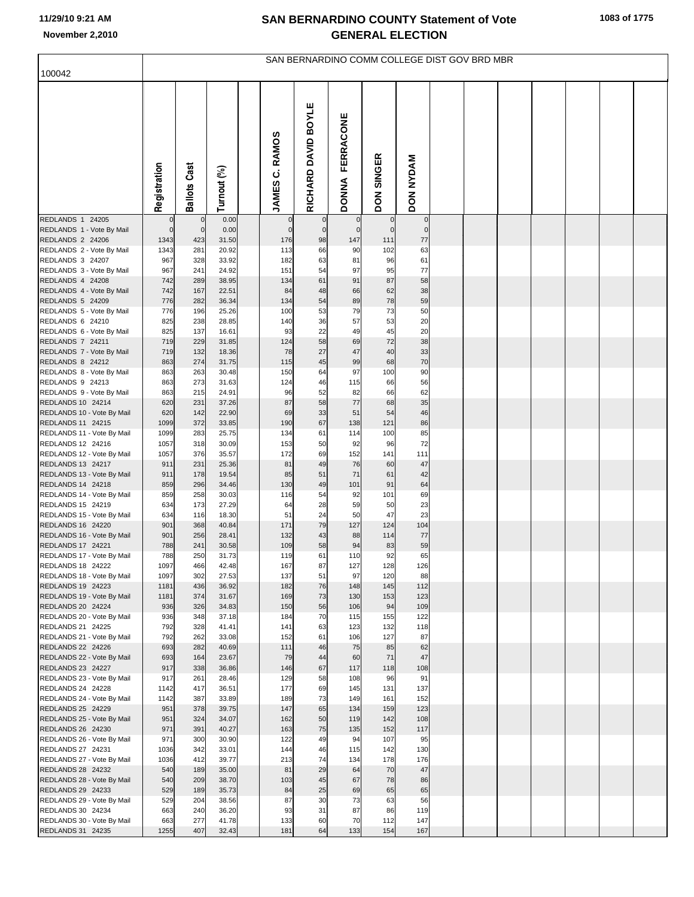| 100042                                          |                               |                             |                |                            |                               |                             |                            | SAN BERNARDINO COMM COLLEGE DIST GOV BRD MBR |  |  |  |  |
|-------------------------------------------------|-------------------------------|-----------------------------|----------------|----------------------------|-------------------------------|-----------------------------|----------------------------|----------------------------------------------|--|--|--|--|
|                                                 |                               |                             |                |                            |                               |                             |                            |                                              |  |  |  |  |
|                                                 | Registration                  | <b>Ballots Cast</b>         | Turnout (%)    | <b>RAMOS</b><br>ن<br>JAMES | <b>BOYLE</b><br>RICHARD DAVID | FERRACONE<br><b>DONNA</b>   | <b>SINGER</b><br>DON       | <b>DON NYDAM</b>                             |  |  |  |  |
| REDLANDS 1 24205<br>REDLANDS 1 - Vote By Mail   | $\mathbf 0$<br>$\overline{0}$ | $\mathbf{0}$<br>$\mathbf 0$ | 0.00<br>0.00   | $\bf{0}$<br>$\mathbf 0$    | $\mathbf 0$<br>$\mathbf 0$    | $\mathbf 0$<br>$\mathbf{0}$ | $\mathbf 0$<br>$\mathbf 0$ | $\overline{0}$<br>$\mathbf 0$                |  |  |  |  |
| REDLANDS 2 24206                                | 1343                          | 423                         | 31.50          | 176                        | 98                            | 147                         | 111                        | $77 \,$                                      |  |  |  |  |
| REDLANDS 2 - Vote By Mail                       | 1343                          | 281                         | 20.92          | 113                        | 66                            | 90                          | 102                        | 63                                           |  |  |  |  |
| REDLANDS 3 24207                                | 967                           | 328                         | 33.92          | 182                        | 63                            | 81                          | 96                         | 61                                           |  |  |  |  |
| REDLANDS 3 - Vote By Mail                       | 967                           | 241                         | 24.92          | 151                        | 54                            | 97                          | 95                         | 77                                           |  |  |  |  |
| REDLANDS 4 24208<br>REDLANDS 4 - Vote By Mail   | 742<br>742                    | 289<br>167                  | 38.95<br>22.51 | 134<br>84                  | 61<br>48                      | 91<br>66                    | 87<br>62                   | 58<br>38                                     |  |  |  |  |
| REDLANDS 5 24209                                | 776                           | 282                         | 36.34          | 134                        | 54                            | 89                          | 78                         | 59                                           |  |  |  |  |
| REDLANDS 5 - Vote By Mail                       | 776                           | 196                         | 25.26          | 100                        | 53                            | 79                          | 73                         | 50                                           |  |  |  |  |
| REDLANDS 6 24210                                | 825                           | 238                         | 28.85          | 140                        | 36                            | 57                          | 53                         | 20                                           |  |  |  |  |
| REDLANDS 6 - Vote By Mail                       | 825                           | 137                         | 16.61          | 93                         | 22                            | 49                          | 45                         | 20                                           |  |  |  |  |
| REDLANDS 7 24211<br>REDLANDS 7 - Vote By Mail   | 719<br>719                    | 229<br>132                  | 31.85<br>18.36 | 124<br>78                  | 58<br>27                      | 69<br>47                    | 72<br>40                   | 38<br>33                                     |  |  |  |  |
| REDLANDS 8 24212                                | 863                           | 274                         | 31.75          | 115                        | 45                            | 99                          | 68                         | 70                                           |  |  |  |  |
| REDLANDS 8 - Vote By Mail                       | 863                           | 263                         | 30.48          | 150                        | 64                            | 97                          | 100                        | 90                                           |  |  |  |  |
| REDLANDS 9 24213                                | 863                           | 273                         | 31.63          | 124                        | 46                            | 115                         | 66                         | 56                                           |  |  |  |  |
| REDLANDS 9 - Vote By Mail                       | 863                           | 215                         | 24.91          | 96                         | 52                            | 82                          | 66                         | 62                                           |  |  |  |  |
| REDLANDS 10 24214<br>REDLANDS 10 - Vote By Mail | 620<br>620                    | 231<br>142                  | 37.26<br>22.90 | 87<br>69                   | 58<br>33                      | 77<br>51                    | 68<br>54                   | 35<br>46                                     |  |  |  |  |
| REDLANDS 11 24215                               | 1099                          | 372                         | 33.85          | 190                        | 67                            | 138                         | 121                        | 86                                           |  |  |  |  |
| REDLANDS 11 - Vote By Mail                      | 1099                          | 283                         | 25.75          | 134                        | 61                            | 114                         | 100                        | 85                                           |  |  |  |  |
| REDLANDS 12 24216                               | 1057                          | 318                         | 30.09          | 153                        | 50                            | 92                          | 96                         | 72                                           |  |  |  |  |
| REDLANDS 12 - Vote By Mail<br>REDLANDS 13 24217 | 1057<br>911                   | 376<br>231                  | 35.57<br>25.36 | 172<br>81                  | 69<br>49                      | 152<br>76                   | 141<br>60                  | 111<br>47                                    |  |  |  |  |
| REDLANDS 13 - Vote By Mail                      | 911                           | 178                         | 19.54          | 85                         | 51                            | 71                          | 61                         | 42                                           |  |  |  |  |
| REDLANDS 14 24218                               | 859                           | 296                         | 34.46          | 130                        | 49                            | 101                         | 91                         | 64                                           |  |  |  |  |
| REDLANDS 14 - Vote By Mail                      | 859                           | 258                         | 30.03          | 116                        | 54                            | 92                          | 101                        | 69                                           |  |  |  |  |
| REDLANDS 15 24219                               | 634                           | 173                         | 27.29<br>18.30 | 64<br>51                   | 28                            | 59                          | 50<br>47                   | 23                                           |  |  |  |  |
| REDLANDS 15 - Vote By Mail<br>REDLANDS 16 24220 | 634<br>901                    | 116<br>368                  | 40.84          | 171                        | 24<br>79                      | 50<br>127                   | 124                        | 23<br>104                                    |  |  |  |  |
| REDLANDS 16 - Vote By Mail                      | 901                           | 256                         | 28.41          | 132                        | 43                            | 88                          | 114                        | $77 \,$                                      |  |  |  |  |
| REDLANDS 17 24221                               | 788                           | 241                         | 30.58          | 109                        | 58                            | 94                          | 83                         | 59                                           |  |  |  |  |
| REDLANDS 17 - Vote By Mail                      | 788                           | 250                         | 31.73          | 119                        | 61                            | 110                         | 92                         | 65                                           |  |  |  |  |
| REDLANDS 18 24222<br>REDLANDS 18 - Vote By Mail | 1097<br>1097                  | 466<br>302                  | 42.48<br>27.53 | 167<br>137                 | 87<br>51                      | 127<br>97                   | 128<br>120                 | 126<br>88                                    |  |  |  |  |
| REDLANDS 19 24223                               | 1181                          | 436                         | 36.92          | 182                        | 76                            | 148                         | 145                        | 112                                          |  |  |  |  |
| REDLANDS 19 - Vote By Mail                      | 1181                          | 374                         | 31.67          | 169                        | 73                            | 130                         | 153                        | 123                                          |  |  |  |  |
| REDLANDS 20 24224                               | 936                           | 326                         | 34.83          | 150                        | 56                            | 106                         | 94                         | 109                                          |  |  |  |  |
| REDLANDS 20 - Vote By Mail<br>REDLANDS 21 24225 | 936<br>792                    | 348<br>328                  | 37.18<br>41.41 | 184<br>141                 | 70<br>63                      | 115<br>123                  | 155<br>132                 | 122<br>118                                   |  |  |  |  |
| REDLANDS 21 - Vote By Mail                      | 792                           | 262                         | 33.08          | 152                        | 61                            | 106                         | 127                        | 87                                           |  |  |  |  |
| REDLANDS 22 24226                               | 693                           | 282                         | 40.69          | 111                        | 46                            | 75                          | 85                         | 62                                           |  |  |  |  |
| REDLANDS 22 - Vote By Mail                      | 693                           | 164                         | 23.67          | 79                         | 44                            | 60                          | 71                         | 47                                           |  |  |  |  |
| REDLANDS 23 24227<br>REDLANDS 23 - Vote By Mail | 917<br>917                    | 338<br>261                  | 36.86<br>28.46 | 146<br>129                 | 67<br>58                      | 117<br>108                  | 118<br>96                  | 108<br>91                                    |  |  |  |  |
| REDLANDS 24 24228                               | 1142                          | 417                         | 36.51          | 177                        | 69                            | 145                         | 131                        | 137                                          |  |  |  |  |
| REDLANDS 24 - Vote By Mail                      | 1142                          | 387                         | 33.89          | 189                        | 73                            | 149                         | 161                        | 152                                          |  |  |  |  |
| REDLANDS 25 24229                               | 951                           | 378                         | 39.75          | 147                        | 65                            | 134                         | 159                        | 123                                          |  |  |  |  |
| REDLANDS 25 - Vote By Mail                      | 951                           | 324                         | 34.07          | 162                        | 50                            | 119                         | 142                        | 108                                          |  |  |  |  |
| REDLANDS 26 24230<br>REDLANDS 26 - Vote By Mail | 971<br>971                    | 391<br>300                  | 40.27<br>30.90 | 163<br>122                 | 75<br>49                      | 135<br>94                   | 152<br>107                 | 117<br>95                                    |  |  |  |  |
| REDLANDS 27 24231                               | 1036                          | 342                         | 33.01          | 144                        | 46                            | 115                         | 142                        | 130                                          |  |  |  |  |
| REDLANDS 27 - Vote By Mail                      | 1036                          | 412                         | 39.77          | 213                        | 74                            | 134                         | 178                        | 176                                          |  |  |  |  |
| REDLANDS 28 24232                               | 540                           | 189                         | 35.00          | 81                         | 29                            | 64                          | 70                         | 47                                           |  |  |  |  |
| REDLANDS 28 - Vote By Mail                      | 540                           | 209                         | 38.70          | 103                        | 45                            | 67                          | 78                         | 86                                           |  |  |  |  |
| REDLANDS 29 24233<br>REDLANDS 29 - Vote By Mail | 529<br>529                    | 189<br>204                  | 35.73<br>38.56 | 84<br>87                   | 25<br>30                      | 69<br>73                    | 65<br>63                   | 65<br>56                                     |  |  |  |  |
| REDLANDS 30 24234                               | 663                           | 240                         | 36.20          | 93                         | 31                            | 87                          | 86                         | 119                                          |  |  |  |  |
| REDLANDS 30 - Vote By Mail                      | 663                           | 277                         | 41.78          | 133                        | 60                            | 70                          | 112                        | 147                                          |  |  |  |  |
| REDLANDS 31 24235                               | 1255                          | 407                         | 32.43          | 181                        | 64                            | 133                         | 154                        | 167                                          |  |  |  |  |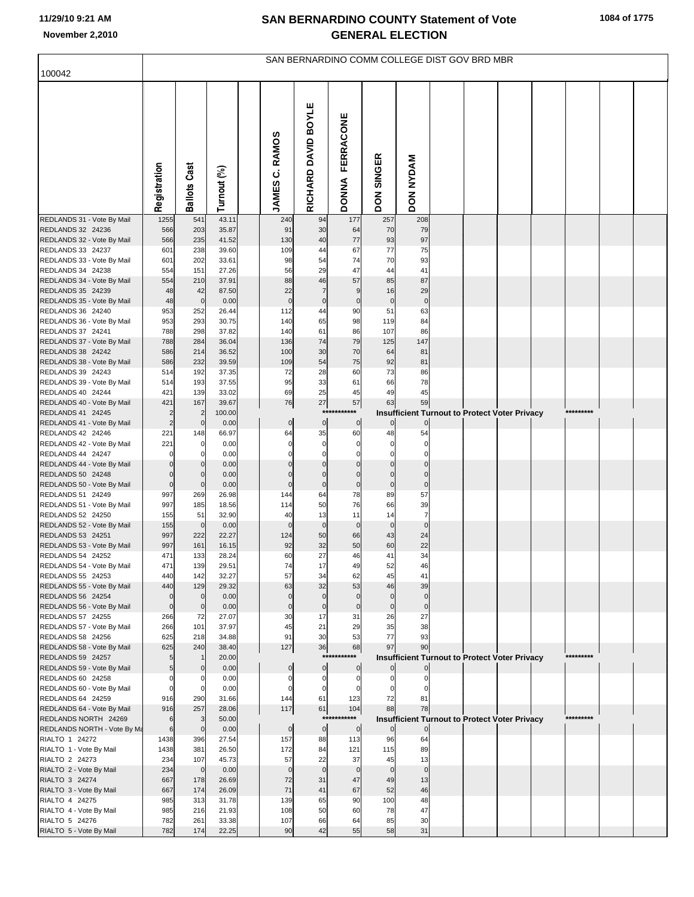| 100042                                             |                            |                             |                |                                   |                          |                                  |                             |                                                            | SAN BERNARDINO COMM COLLEGE DIST GOV BRD MBR |  |           |  |
|----------------------------------------------------|----------------------------|-----------------------------|----------------|-----------------------------------|--------------------------|----------------------------------|-----------------------------|------------------------------------------------------------|----------------------------------------------|--|-----------|--|
|                                                    |                            |                             |                |                                   |                          |                                  |                             |                                                            |                                              |  |           |  |
|                                                    | Registration               | <b>Ballots Cast</b>         | Turnout (%)    | <b>RAMOS</b><br>ن<br><b>JAMES</b> | RICHARD DAVID BOYLE      | <b>FERRACONE</b><br><b>DONNA</b> | <b>SINGER</b><br><b>NOQ</b> | <b>DON NYDAM</b>                                           |                                              |  |           |  |
| REDLANDS 31 - Vote By Mail<br>REDLANDS 32 24236    | 1255<br>566                | 541<br>203                  | 43.11<br>35.87 | 240<br>91                         | 94<br>30                 | 177<br>64                        | 257<br>70                   | 208<br>79                                                  |                                              |  |           |  |
| REDLANDS 32 - Vote By Mail                         | 566                        | 235                         | 41.52          | 130                               | 40                       | 77                               | 93                          | 97                                                         |                                              |  |           |  |
| REDLANDS 33 24237                                  | 601                        | 238                         | 39.60          | 109                               | 44                       | 67                               | 77                          | 75                                                         |                                              |  |           |  |
| REDLANDS 33 - Vote By Mail                         | 601                        | 202                         | 33.61          | 98                                | 54                       | 74                               | 70                          | 93                                                         |                                              |  |           |  |
| REDLANDS 34 24238<br>REDLANDS 34 - Vote By Mail    | 554<br>554                 | 151<br>210                  | 27.26<br>37.91 | 56<br>88                          | 29<br>46                 | 47<br>57                         | 44<br>85                    | 41<br>87                                                   |                                              |  |           |  |
| REDLANDS 35 24239                                  | 48                         | 42                          | 87.50          | 22                                | $\overline{7}$           | $\boldsymbol{9}$                 | 16                          | 29                                                         |                                              |  |           |  |
| REDLANDS 35 - Vote By Mail                         | 48                         | $\mathbf 0$                 | 0.00           | $\mathbf 0$                       | $\pmb{0}$                | $\pmb{0}$                        | $\mathbf 0$                 | $\pmb{0}$                                                  |                                              |  |           |  |
| REDLANDS 36 24240                                  | 953                        | 252                         | 26.44          | 112                               | 44                       | 90                               | 51                          | 63                                                         |                                              |  |           |  |
| REDLANDS 36 - Vote By Mail<br>REDLANDS 37 24241    | 953<br>788                 | 293<br>298                  | 30.75<br>37.82 | 140<br>140                        | 65<br>61                 | 98<br>86                         | 119<br>107                  | 84<br>86                                                   |                                              |  |           |  |
| REDLANDS 37 - Vote By Mail                         | 788                        | 284                         | 36.04          | 136                               | 74                       | 79                               | 125                         | 147                                                        |                                              |  |           |  |
| REDLANDS 38 24242                                  | 586                        | 214                         | 36.52          | 100                               | 30                       | 70                               | 64                          | 81                                                         |                                              |  |           |  |
| REDLANDS 38 - Vote By Mail                         | 586                        | 232                         | 39.59          | 109                               | 54                       | 75                               | 92                          | 81                                                         |                                              |  |           |  |
| REDLANDS 39 24243                                  | 514                        | 192                         | 37.35          | 72                                | 28                       | 60                               | 73                          | 86                                                         |                                              |  |           |  |
| REDLANDS 39 - Vote By Mail<br>REDLANDS 40 24244    | 514<br>421                 | 193<br>139                  | 37.55<br>33.02 | 95<br>69                          | 33<br>25                 | 61<br>45                         | 66<br>49                    | 78<br>45                                                   |                                              |  |           |  |
| REDLANDS 40 - Vote By Mail                         | 421                        | 167                         | 39.67          | 76                                | 27                       | 57                               | 63                          | 59                                                         |                                              |  |           |  |
| REDLANDS 41 24245                                  | $\overline{\mathbf{c}}$    | $\overline{c}$              | 100.00         |                                   | $***$                    | ***                              |                             | Insufficient Turnout to Protect Voter Privacy              |                                              |  | ********* |  |
| REDLANDS 41 - Vote By Mail                         | $\overline{2}$             | $\mathbf 0$                 | 0.00           | $\pmb{0}$                         | $\pmb{0}$                | $\overline{0}$                   | $\overline{0}$              | $\pmb{0}$                                                  |                                              |  |           |  |
| REDLANDS 42 24246<br>REDLANDS 42 - Vote By Mail    | 221<br>221                 | 148<br>$\overline{0}$       | 66.97<br>0.00  | 64<br>$\mathbf 0$                 | 35<br>$\pmb{0}$          | 60<br>$\mathbf 0$                | 48<br>0                     | 54<br>$\mathbf 0$                                          |                                              |  |           |  |
| REDLANDS 44 24247                                  | 0                          | $\mathbf 0$                 | 0.00           | $\mathbf 0$                       | $\Omega$                 | $\Omega$                         | 0                           | $\Omega$                                                   |                                              |  |           |  |
| REDLANDS 44 - Vote By Mail                         | $\mathbf 0$                | $\overline{0}$              | 0.00           | $\mathbf 0$                       | $\mathbf 0$              | $\mathbf 0$                      | $\mathbf 0$                 | $\mathbf 0$                                                |                                              |  |           |  |
| REDLANDS 50 24248                                  | $\mathbf 0$                | $\overline{0}$              | 0.00           | $\Omega$                          | $\mathbf 0$              | $\mathbf 0$                      | $\mathbf 0$                 | $\mathbf 0$                                                |                                              |  |           |  |
| REDLANDS 50 - Vote By Mail<br>REDLANDS 51 24249    | $\mathbf 0$<br>997         | $\overline{0}$<br>269       | 0.00<br>26.98  | $\mathbf 0$<br>144                | $\mathbf 0$<br>64        | $\pmb{0}$<br>78                  | $\pmb{0}$<br>89             | $\pmb{0}$<br>57                                            |                                              |  |           |  |
| REDLANDS 51 - Vote By Mail                         | 997                        | 185                         | 18.56          | 114                               | 50                       | 76                               | 66                          | 39                                                         |                                              |  |           |  |
| REDLANDS 52 24250                                  | 155                        | 51                          | 32.90          | 40                                | 13                       | 11                               | 14                          | $\overline{7}$                                             |                                              |  |           |  |
| REDLANDS 52 - Vote By Mail                         | 155                        | $\overline{0}$              | 0.00           | $\mathbf 0$                       | $\mathbf 0$              | $\mathbf 0$                      | $\mathbf 0$                 | $\pmb{0}$                                                  |                                              |  |           |  |
| REDLANDS 53 24251                                  | 997                        | 222                         | 22.27          | 124                               | 50                       | 66                               | 43                          | 24                                                         |                                              |  |           |  |
| REDLANDS 53 - Vote By Mail<br>REDLANDS 54 24252    | 997<br>471                 | 161<br>133                  | 16.15<br>28.24 | 92<br>60                          | 32<br>27                 | 50<br>46                         | 60<br>41                    | 22<br>34                                                   |                                              |  |           |  |
| REDLANDS 54 - Vote By Mail                         | 471                        | 139                         | 29.51          |                                   | 17                       | 49                               | 52                          | 46                                                         |                                              |  |           |  |
| REDLANDS 55 24253                                  | 440                        | 142                         | 32.27          | 57                                | 34                       | 62                               | 45                          | 41                                                         |                                              |  |           |  |
| REDLANDS 55 - Vote By Mail                         | 440                        | 129                         | 29.32          | 63                                | 32                       | 53                               | 46                          | 39                                                         |                                              |  |           |  |
| REDLANDS 56 24254<br>REDLANDS 56 - Vote By Mail    | $\mathbf 0$<br>$\mathbf 0$ | $\mathbf{0}$<br>$\mathbf 0$ | 0.00<br>0.00   | $\mathbf 0$<br>$\mathbf 0$        | $\mathbf 0$<br>$\pmb{0}$ | $\mathbf 0$<br>$\mathbf 0$       | $\mathbf 0$<br>$\mathbf 0$  | $\mathbf 0$<br>$\mathbf 0$                                 |                                              |  |           |  |
| REDLANDS 57 24255                                  | 266                        | 72                          | 27.07          | 30                                | 17                       | 31                               | 26                          | 27                                                         |                                              |  |           |  |
| REDLANDS 57 - Vote By Mail                         | 266                        | 101                         | 37.97          | 45                                | 21                       | 29                               | 35                          | 38                                                         |                                              |  |           |  |
| REDLANDS 58 24256                                  | 625                        | 218                         | 34.88          | 91                                | 30                       | 53                               | 77                          | 93                                                         |                                              |  |           |  |
| REDLANDS 58 - Vote By Mail<br>REDLANDS 59 24257    | 625<br>5                   | 240                         | 38.40<br>20.00 | 127                               | 36<br>$***$              | 68<br>****                       | 97                          | 90<br><b>Insufficient Turnout to Protect Voter Privacy</b> |                                              |  | ********* |  |
| REDLANDS 59 - Vote By Mail                         | 5                          | $\mathbf 0$                 | 0.00           | $\mathbf 0$                       | $\mathbf 0$              | $\bf{0}$                         | $\overline{0}$              | $\overline{0}$                                             |                                              |  |           |  |
| REDLANDS 60 24258                                  | 0                          | 0                           | 0.00           | 0                                 | $\mathbf 0$              | 0                                | 0                           | $\mathbf 0$                                                |                                              |  |           |  |
| REDLANDS 60 - Vote By Mail                         | $\mathbf 0$                | $\mathbf{0}$                | 0.00           | $\mathbf 0$                       | $\pmb{0}$                | 0                                | 0                           | 0                                                          |                                              |  |           |  |
| REDLANDS 64 24259                                  | 916<br>916                 | 290<br>257                  | 31.66<br>28.06 | 144<br>117                        | 61<br>61                 | 123<br>104                       | 72<br>88                    | 81<br>78                                                   |                                              |  |           |  |
| REDLANDS 64 - Vote By Mail<br>REDLANDS NORTH 24269 | 6                          | 3                           | 50.00          |                                   | $***$                    | ****                             |                             | <b>Insufficient Turnout to Protect Voter Privacy</b>       |                                              |  | ********* |  |
| REDLANDS NORTH - Vote By Ma                        | 6                          | $\mathbf 0$                 | 0.00           | $\pmb{0}$                         | $\pmb{0}$                | $\mathbf 0$                      | $\overline{0}$              | $\overline{0}$                                             |                                              |  |           |  |
| RIALTO 1 24272                                     | 1438                       | 396                         | 27.54          | 157                               | 88                       | 113                              | 96                          | 64                                                         |                                              |  |           |  |
| RIALTO 1 - Vote By Mail                            | 1438                       | 381                         | 26.50          | 172                               | 84                       | 121                              | 115                         | 89                                                         |                                              |  |           |  |
| RIALTO 2 24273<br>RIALTO 2 - Vote By Mail          | 234<br>234                 | 107<br>$\overline{0}$       | 45.73<br>0.00  | 57<br>$\mathbf 0$                 | 22<br>$\mathbf 0$        | 37<br>$\mathbf 0$                | 45<br>$\mathbf 0$           | 13<br>$\mathbf 0$                                          |                                              |  |           |  |
| RIALTO 3 24274                                     | 667                        | 178                         | 26.69          | 72                                | 31                       | 47                               | 49                          | 13                                                         |                                              |  |           |  |
| RIALTO 3 - Vote By Mail                            | 667                        | 174                         | 26.09          | 71                                | 41                       | 67                               | 52                          | 46                                                         |                                              |  |           |  |
| RIALTO 4 24275                                     | 985                        | 313                         | 31.78          | 139                               | 65                       | 90                               | 100                         | 48                                                         |                                              |  |           |  |
| RIALTO 4 - Vote By Mail<br>RIALTO 5 24276          | 985                        | 216<br>261                  | 21.93          | 108<br>107                        | 50                       | 60<br>64                         | 78                          | 47<br>30                                                   |                                              |  |           |  |
| RIALTO 5 - Vote By Mail                            | 782<br>782                 | 174                         | 33.38<br>22.25 | 90                                | 66<br>42                 | 55                               | 85<br>58                    | 31                                                         |                                              |  |           |  |
|                                                    |                            |                             |                |                                   |                          |                                  |                             |                                                            |                                              |  |           |  |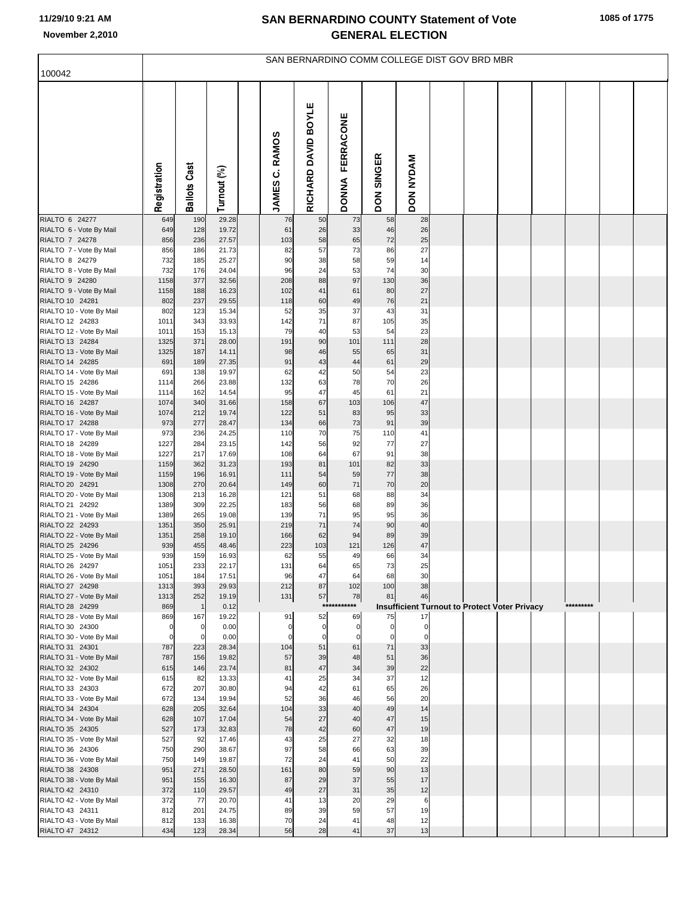|                                             | SAN BERNARDINO COMM COLLEGE DIST GOV BRD MBR |                      |                |  |                         |                            |                            |                             |                                                      |  |  |  |  |           |  |  |
|---------------------------------------------|----------------------------------------------|----------------------|----------------|--|-------------------------|----------------------------|----------------------------|-----------------------------|------------------------------------------------------|--|--|--|--|-----------|--|--|
| 100042                                      |                                              |                      |                |  |                         |                            |                            |                             |                                                      |  |  |  |  |           |  |  |
|                                             | Registration                                 | <b>Ballots Cast</b>  | Turnout (%)    |  | <b>JAMES C. RAMOS</b>   | RICHARD DAVID BOYLE        | FERRACONE<br><b>PNNOC</b>  | <b>SINGER</b><br><b>NOQ</b> | DON NYDAM                                            |  |  |  |  |           |  |  |
| RIALTO 6 24277                              | 649                                          | 190                  | 29.28          |  | 76                      | 50                         | 73                         | 58                          | 28                                                   |  |  |  |  |           |  |  |
| RIALTO 6 - Vote By Mail<br>RIALTO 7 24278   | 649<br>856                                   | 128<br>236           | 19.72<br>27.57 |  | 61<br>103               | 26<br>58                   | 33<br>65                   | 46<br>72                    | 26<br>25                                             |  |  |  |  |           |  |  |
| RIALTO 7 - Vote By Mail                     | 856                                          | 186                  | 21.73          |  | 82                      | 57                         | 73                         | 86                          | 27                                                   |  |  |  |  |           |  |  |
| RIALTO 8 24279                              | 732                                          | 185                  | 25.27          |  | 90                      | 38                         | 58                         | 59                          | 14                                                   |  |  |  |  |           |  |  |
| RIALTO 8 - Vote By Mail                     | 732<br>1158                                  | 176<br>377           | 24.04<br>32.56 |  | 96<br>208               | 24<br>88                   | 53<br>97                   | 74<br>130                   | 30<br>36                                             |  |  |  |  |           |  |  |
| RIALTO 9 24280<br>RIALTO 9 - Vote By Mail   | 1158                                         | 188                  | 16.23          |  | 102                     | 41                         | 61                         | 80                          | 27                                                   |  |  |  |  |           |  |  |
| RIALTO 10 24281                             | 802                                          | 237                  | 29.55          |  | 118                     | 60                         | 49                         | 76                          | 21                                                   |  |  |  |  |           |  |  |
| RIALTO 10 - Vote By Mail                    | 802                                          | 123                  | 15.34          |  | 52                      | 35                         | 37                         | 43                          | 31                                                   |  |  |  |  |           |  |  |
| RIALTO 12 24283                             | 1011                                         | 343                  | 33.93          |  | 142                     | 71                         | 87                         | 105                         | 35                                                   |  |  |  |  |           |  |  |
| RIALTO 12 - Vote By Mail<br>RIALTO 13 24284 | 1011<br>1325                                 | 153<br>371           | 15.13<br>28.00 |  | 79<br>191               | 40<br>90                   | 53<br>101                  | 54<br>111                   | 23<br>28                                             |  |  |  |  |           |  |  |
| RIALTO 13 - Vote By Mail                    | 1325                                         | 187                  | 14.11          |  | 98                      | 46                         | 55                         | 65                          | 31                                                   |  |  |  |  |           |  |  |
| RIALTO 14 24285                             | 691                                          | 189                  | 27.35          |  | 91                      | 43                         | 44                         | 61                          | 29                                                   |  |  |  |  |           |  |  |
| RIALTO 14 - Vote By Mail                    | 691                                          | 138                  | 19.97          |  | 62                      | 42                         | 50                         | 54                          | 23                                                   |  |  |  |  |           |  |  |
| RIALTO 15 24286<br>RIALTO 15 - Vote By Mail | 1114<br>1114                                 | 266<br>162           | 23.88<br>14.54 |  | 132<br>95               | 63<br>47                   | 78<br>45                   | 70<br>61                    | 26<br>21                                             |  |  |  |  |           |  |  |
| RIALTO 16 24287                             | 1074                                         | 340                  | 31.66          |  | 158                     | 67                         | 103                        | 106                         | 47                                                   |  |  |  |  |           |  |  |
| RIALTO 16 - Vote By Mail                    | 1074                                         | 212                  | 19.74          |  | 122                     | 51                         | 83                         | 95                          | 33                                                   |  |  |  |  |           |  |  |
| RIALTO 17 24288                             | 973                                          | 277                  | 28.47          |  | 134                     | 66                         | 73                         | 91                          | 39                                                   |  |  |  |  |           |  |  |
| RIALTO 17 - Vote By Mail<br>RIALTO 18 24289 | 973<br>1227                                  | 236<br>284           | 24.25<br>23.15 |  | 110<br>142              | 70<br>56                   | 75<br>92                   | 110<br>77                   | 41<br>27                                             |  |  |  |  |           |  |  |
| RIALTO 18 - Vote By Mail                    | 1227                                         | 217                  | 17.69          |  | 108                     | 64                         | 67                         | 91                          | 38                                                   |  |  |  |  |           |  |  |
| RIALTO 19 24290                             | 1159                                         | 362                  | 31.23          |  | 193                     | 81                         | 101                        | 82                          | 33                                                   |  |  |  |  |           |  |  |
| RIALTO 19 - Vote By Mail                    | 1159                                         | 196                  | 16.91          |  | 111                     | 54                         | 59                         | 77                          | 38                                                   |  |  |  |  |           |  |  |
| RIALTO 20 24291<br>RIALTO 20 - Vote By Mail | 1308<br>1308                                 | 270<br>213           | 20.64<br>16.28 |  | 149<br>121              | 60<br>51                   | 71<br>68                   | 70<br>88                    | 20<br>34                                             |  |  |  |  |           |  |  |
| RIALTO 21 24292                             | 1389                                         | 309                  | 22.25          |  | 183                     | 56                         | 68                         | 89                          | 36                                                   |  |  |  |  |           |  |  |
| RIALTO 21 - Vote By Mail                    | 1389                                         | 265                  | 19.08          |  | 139                     | 71                         | 95                         | 95                          | 36                                                   |  |  |  |  |           |  |  |
| RIALTO 22 24293                             | 1351                                         | 350                  | 25.91          |  | 219                     | 71                         | 74                         | 90                          | 40                                                   |  |  |  |  |           |  |  |
| RIALTO 22 - Vote By Mail<br>RIALTO 25 24296 | 1351<br>939                                  | 258<br>455           | 19.10<br>48.46 |  | 166<br>223              | 62<br>103                  | 94<br>121                  | 89<br>126                   | 39<br>47                                             |  |  |  |  |           |  |  |
| RIALTO 25 - Vote By Mail                    | 939                                          | 159                  | 16.93          |  | 62                      | 55                         | 49                         | 66                          | 34                                                   |  |  |  |  |           |  |  |
| RIALTO 26 24297                             | 1051                                         | 233                  | 22.17          |  | 131                     | 64                         | 65                         | 73                          | 25                                                   |  |  |  |  |           |  |  |
| RIALTO 26 - Vote By Mail                    | 1051                                         | 184                  | 17.51          |  | 96                      | 47                         | 64                         | 68                          | 30                                                   |  |  |  |  |           |  |  |
| RIALTO 27 24298<br>RIALTO 27 - Vote By Mail | 1313<br>1313                                 | 393<br>252           | 29.93<br>19.19 |  | 212<br>131              | 87<br>57                   | 102<br>78                  | 100<br>81                   | 38<br>46                                             |  |  |  |  |           |  |  |
| RIALTO 28 24299                             | 869                                          | $\mathbf{1}$         | 0.12           |  |                         |                            | ***********                |                             | <b>Insufficient Turnout to Protect Voter Privacy</b> |  |  |  |  | ********* |  |  |
| RIALTO 28 - Vote By Mail                    | 869                                          | 167                  | 19.22          |  | 91                      | 52                         | 69                         | 75                          | 17                                                   |  |  |  |  |           |  |  |
| RIALTO 30 24300                             | $\Omega$<br>$\Omega$                         | $\Omega$<br>$\Omega$ | 0.00           |  | $\mathbf 0$<br>$\Omega$ | $\mathbf 0$<br>$\mathbf 0$ | $\mathbf 0$<br>$\mathbf 0$ | $\mathbf 0$<br>$\Omega$     | $\mathbf 0$<br>$\mathbf 0$                           |  |  |  |  |           |  |  |
| RIALTO 30 - Vote By Mail<br>RIALTO 31 24301 | 787                                          | 223                  | 0.00<br>28.34  |  | 104                     | 51                         | 61                         | 71                          | 33                                                   |  |  |  |  |           |  |  |
| RIALTO 31 - Vote By Mail                    | 787                                          | 156                  | 19.82          |  | 57                      | 39                         | 48                         | 51                          | 36                                                   |  |  |  |  |           |  |  |
| RIALTO 32 24302                             | 615                                          | 146                  | 23.74          |  | 81                      | 47                         | 34                         | 39                          | 22                                                   |  |  |  |  |           |  |  |
| RIALTO 32 - Vote By Mail                    | 615<br>672                                   | 82                   | 13.33<br>30.80 |  | 41<br>94                | 25<br>42                   | 34<br>61                   | 37<br>65                    | 12<br>26                                             |  |  |  |  |           |  |  |
| RIALTO 33 24303<br>RIALTO 33 - Vote By Mail | 672                                          | 207<br>134           | 19.94          |  | 52                      | 36                         | 46                         | 56                          | 20                                                   |  |  |  |  |           |  |  |
| RIALTO 34 24304                             | 628                                          | 205                  | 32.64          |  | 104                     | 33                         | 40                         | 49                          | 14                                                   |  |  |  |  |           |  |  |
| RIALTO 34 - Vote By Mail                    | 628                                          | 107                  | 17.04          |  | 54                      | 27                         | 40                         | 47                          | 15                                                   |  |  |  |  |           |  |  |
| RIALTO 35 24305                             | 527<br>527                                   | 173                  | 32.83          |  | 78<br>43                | 42<br>25                   | 60<br>27                   | 47<br>32                    | 19                                                   |  |  |  |  |           |  |  |
| RIALTO 35 - Vote By Mail<br>RIALTO 36 24306 | 750                                          | 92<br>290            | 17.46<br>38.67 |  | 97                      | 58                         | 66                         | 63                          | 18<br>39                                             |  |  |  |  |           |  |  |
| RIALTO 36 - Vote By Mail                    | 750                                          | 149                  | 19.87          |  | 72                      | 24                         | 41                         | 50                          | 22                                                   |  |  |  |  |           |  |  |
| RIALTO 38 24308                             | 951                                          | 271                  | 28.50          |  | 161                     | 80                         | 59                         | 90                          | 13                                                   |  |  |  |  |           |  |  |
| RIALTO 38 - Vote By Mail                    | 951                                          | 155                  | 16.30          |  | 87                      | 29                         | 37                         | 55                          | 17                                                   |  |  |  |  |           |  |  |
| RIALTO 42 24310<br>RIALTO 42 - Vote By Mail | 372<br>372                                   | 110<br>77            | 29.57<br>20.70 |  | 49<br>41                | 27<br>13                   | 31<br>20                   | 35<br>29                    | 12<br>6                                              |  |  |  |  |           |  |  |
| RIALTO 43 24311                             | 812                                          | 201                  | 24.75          |  | 89                      | 39                         | 59                         | 57                          | 19                                                   |  |  |  |  |           |  |  |
| RIALTO 43 - Vote By Mail                    | 812                                          | 133                  | 16.38          |  | 70                      | 24                         | 41                         | 48                          | 12                                                   |  |  |  |  |           |  |  |
| RIALTO 47 24312                             | 434                                          | 123                  | 28.34          |  | 56                      | 28                         | 41                         | 37                          | 13                                                   |  |  |  |  |           |  |  |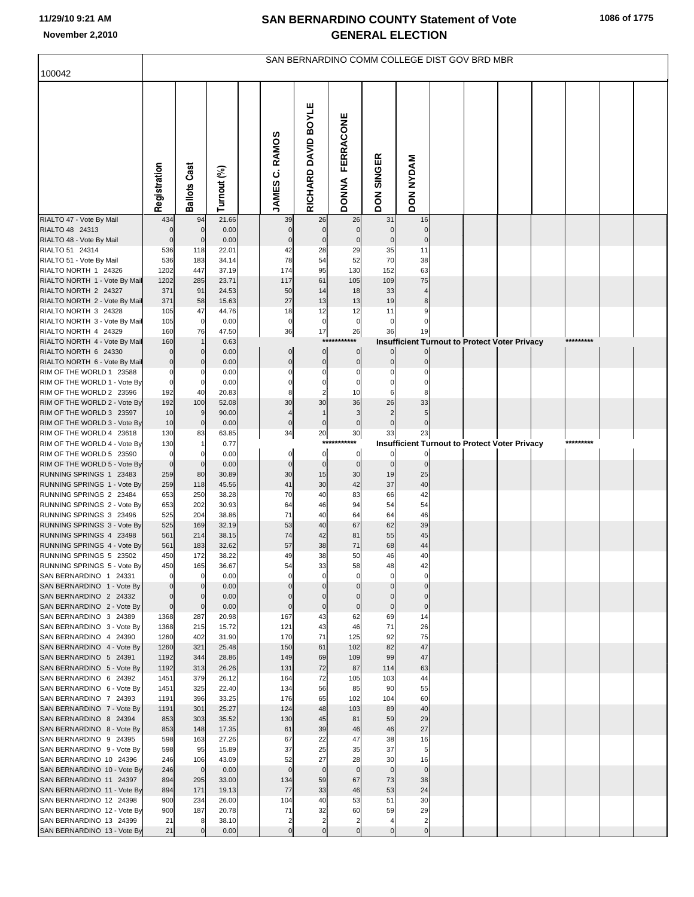|                                                          | SAN BERNARDINO COMM COLLEGE DIST GOV BRD MBR |                            |                |  |                                   |                               |                                  |                             |                                                      |  |  |  |  |  |  |
|----------------------------------------------------------|----------------------------------------------|----------------------------|----------------|--|-----------------------------------|-------------------------------|----------------------------------|-----------------------------|------------------------------------------------------|--|--|--|--|--|--|
| 100042                                                   |                                              |                            |                |  |                                   |                               |                                  |                             |                                                      |  |  |  |  |  |  |
|                                                          | Registration                                 | <b>Ballots Cast</b>        | Turnout (%)    |  | <b>RAMOS</b><br>ن<br><b>JAMES</b> | RICHARD DAVID BOYLE           | <b>FERRACONE</b><br><b>DONNA</b> | <b>SINGER</b><br><b>NOQ</b> | DON NYDAM                                            |  |  |  |  |  |  |
| RIALTO 47 - Vote By Mail                                 | 434                                          | 94                         | 21.66          |  | 39                                | 26                            | 26                               | 31                          | 16                                                   |  |  |  |  |  |  |
| RIALTO 48 24313<br>RIALTO 48 - Vote By Mail              | $\Omega$<br>$\Omega$                         | $\mathbf 0$<br>$\mathbf 0$ | 0.00<br>0.00   |  | $\mathbf 0$<br>$\mathbf 0$        | $\overline{0}$<br>$\mathbf 0$ | $\mathbf 0$<br>$\mathbf 0$       | $\mathbf 0$                 | $\mathbf 0$<br>$\mathbf 0$                           |  |  |  |  |  |  |
| RIALTO 51 24314                                          | 536                                          | 118                        | 22.01          |  | 42                                | 28                            | 29                               | 35                          | 11                                                   |  |  |  |  |  |  |
| RIALTO 51 - Vote By Mail                                 | 536                                          | 183                        | 34.14          |  | 78                                | 54                            | 52                               | 70                          | 38                                                   |  |  |  |  |  |  |
| RIALTO NORTH 1 24326                                     | 1202                                         | 447                        | 37.19          |  | 174                               | 95                            | 130                              | 152                         | 63                                                   |  |  |  |  |  |  |
| RIALTO NORTH 1 - Vote By Mail                            | 1202                                         | 285                        | 23.71          |  | 117                               | 61                            | 105                              | 109                         | 75                                                   |  |  |  |  |  |  |
| RIALTO NORTH 2 24327                                     | 371                                          | 91                         | 24.53          |  | 50                                | 14                            | 18                               | 33                          |                                                      |  |  |  |  |  |  |
| RIALTO NORTH 2 - Vote By Mail                            | 371                                          | 58                         | 15.63          |  | 27                                | 13                            | 13                               | 19                          | 8                                                    |  |  |  |  |  |  |
| RIALTO NORTH 3 24328<br>RIALTO NORTH 3 - Vote By Mail    | 105<br>105                                   | 47<br>$\mathbf 0$          | 44.76<br>0.00  |  | 18<br>$\mathbf 0$                 | 12<br>$\overline{0}$          | 12<br>$\mathbf 0$                | 11<br>$\mathbf 0$           |                                                      |  |  |  |  |  |  |
| RIALTO NORTH 4 24329                                     | 160                                          | 76                         | 47.50          |  | 36                                | 17                            | 26                               | 36                          | 19                                                   |  |  |  |  |  |  |
| RIALTO NORTH 4 - Vote By Mail                            | 160                                          |                            | 0.63           |  |                                   | $***$                         | $***$                            |                             | Insufficient Turnout to Protect Voter Privacy        |  |  |  |  |  |  |
| RIALTO NORTH 6 24330                                     | $\Omega$                                     | $\mathbf 0$                | 0.00           |  | $\overline{0}$                    | $\overline{0}$                | $\overline{0}$                   |                             |                                                      |  |  |  |  |  |  |
| RIALTO NORTH 6 - Vote By Mail                            | $\mathbf 0$                                  | 0                          | 0.00           |  | $\Omega$                          | $\overline{0}$                | $\mathbf 0$                      |                             |                                                      |  |  |  |  |  |  |
| RIM OF THE WORLD 1 23588<br>RIM OF THE WORLD 1 - Vote By | $\Omega$                                     | $\Omega$                   | 0.00<br>0.00   |  |                                   | $\Omega$<br>$\Omega$          | $\Omega$                         |                             |                                                      |  |  |  |  |  |  |
| RIM OF THE WORLD 2 23596                                 | 192                                          | 40                         | 20.83          |  |                                   |                               | 10                               |                             |                                                      |  |  |  |  |  |  |
| RIM OF THE WORLD 2 - Vote By                             | 192                                          | 100                        | 52.08          |  | 30                                | 30                            | 36                               | 26                          | 33                                                   |  |  |  |  |  |  |
| RIM OF THE WORLD 3 23597                                 | 10                                           | 9                          | 90.00          |  | $\overline{4}$                    |                               | 3                                |                             |                                                      |  |  |  |  |  |  |
| RIM OF THE WORLD 3 - Vote By                             | 10                                           | $\mathbf 0$                | 0.00           |  | $\mathbf 0$                       | $\overline{0}$                | $\mathbf 0$                      |                             |                                                      |  |  |  |  |  |  |
| RIM OF THE WORLD 4 23618                                 | 130                                          | 83                         | 63.85          |  | 34                                | 20<br>$***$                   | $30\,$                           | 33                          | 23                                                   |  |  |  |  |  |  |
| RIM OF THE WORLD 4 - Vote By<br>RIM OF THE WORLD 5 23590 | 130<br>$\mathbf 0$                           |                            | 0.77<br>0.00   |  | $\mathbf 0$                       | $\overline{0}$                | $\mathbf 0$                      |                             | <b>Insufficient Turnout to Protect Voter Privacy</b> |  |  |  |  |  |  |
| RIM OF THE WORLD 5 - Vote By                             | $\mathbf 0$                                  | $\Omega$                   | 0.00           |  | $\mathbf 0$                       | $\overline{0}$                | $\mathbf 0$                      | $\mathbf 0$                 | $\mathbf 0$                                          |  |  |  |  |  |  |
| RUNNING SPRINGS 1 23483                                  | 259                                          | 80                         | 30.89          |  | 30                                | 15                            | 30                               | 19                          | 25                                                   |  |  |  |  |  |  |
| RUNNING SPRINGS 1 - Vote By                              | 259                                          | 118                        | 45.56          |  | 41                                | 30                            | 42                               | 37                          | 40                                                   |  |  |  |  |  |  |
| RUNNING SPRINGS 2 23484<br>RUNNING SPRINGS 2 - Vote By   | 653                                          | 250                        | 38.28          |  | 70                                | 40                            | 83                               | 66                          | 42                                                   |  |  |  |  |  |  |
| RUNNING SPRINGS 3 23496                                  | 653<br>525                                   | 202<br>204                 | 30.93<br>38.86 |  | 64<br>71                          | 46<br>40                      | 94<br>64                         | 54<br>64                    | 54<br>46                                             |  |  |  |  |  |  |
| RUNNING SPRINGS 3 - Vote By                              | 525                                          | 169                        | 32.19          |  | 53                                | 40                            | 67                               | 62                          | 39                                                   |  |  |  |  |  |  |
| RUNNING SPRINGS 4 23498                                  | 561                                          | 214                        | 38.15          |  | 74                                | 42                            | 81                               | 55                          | 45                                                   |  |  |  |  |  |  |
| RUNNING SPRINGS 4 - Vote By                              | 561                                          | 183                        | 32.62          |  | 57                                | 38                            | 71                               | 68                          | 44                                                   |  |  |  |  |  |  |
| RUNNING SPRINGS 5 23502                                  | 450                                          | 172                        | 38.22          |  | 49                                | 38                            | 50                               | 46                          | 40                                                   |  |  |  |  |  |  |
| RUNNING SPRINGS 5 - Vote By<br>SAN BERNARDINO 1 24331    | 450<br>$\mathbf 0$                           | 165<br>0                   | 36.67<br>0.00  |  | 54<br>$\mathbf 0$                 | 33<br>$\mathbf 0$             | 58<br>$\mathbf 0$                | 48                          | 42<br>0                                              |  |  |  |  |  |  |
| SAN BERNARDINO 1 - Vote By                               | $\Omega$                                     |                            | 0.00           |  |                                   |                               |                                  |                             | $\overline{0}$                                       |  |  |  |  |  |  |
| SAN BERNARDINO 2 24332                                   | $\Omega$                                     | $\mathbf 0$                | 0.00           |  |                                   | $\mathbf 0$                   |                                  |                             | $\mathbf 0$                                          |  |  |  |  |  |  |
| SAN BERNARDINO 2 - Vote By                               | $\mathbf 0$                                  | $\mathbf 0$                | 0.00           |  | $\mathbf 0$                       | $\mathbf 0$                   | $\mathbf 0$                      | $\mathbf 0$                 | $\overline{0}$                                       |  |  |  |  |  |  |
| SAN BERNARDINO 3 24389                                   | 1368                                         | 287                        | 20.98          |  | 167                               | 43                            | 62                               | 69<br>71                    | 14                                                   |  |  |  |  |  |  |
| SAN BERNARDINO 3 - Vote By<br>SAN BERNARDINO 4 24390     | 1368<br>1260                                 | 215<br>402                 | 15.72<br>31.90 |  | 121<br>170                        | 43<br>71                      | 46<br>125                        | 92                          | 26<br>75                                             |  |  |  |  |  |  |
| SAN BERNARDINO 4 - Vote By                               | 1260                                         | 321                        | 25.48          |  | 150                               | 61                            | 102                              | 82                          | 47                                                   |  |  |  |  |  |  |
| SAN BERNARDINO 5 24391                                   | 1192                                         | 344                        | 28.86          |  | 149                               | 69                            | 109                              | 99                          | 47                                                   |  |  |  |  |  |  |
| SAN BERNARDINO 5 - Vote By                               | 1192                                         | 313                        | 26.26          |  | 131                               | 72                            | 87                               | 114                         | 63                                                   |  |  |  |  |  |  |
| SAN BERNARDINO 6 24392                                   | 1451                                         | 379                        | 26.12          |  | 164                               | 72                            | 105                              | 103                         | 44                                                   |  |  |  |  |  |  |
| SAN BERNARDINO 6 - Vote By<br>SAN BERNARDINO 7 24393     | 1451<br>1191                                 | 325<br>396                 | 22.40<br>33.25 |  | 134<br>176                        | 56<br>65                      | 85<br>102                        | 90<br>104                   | 55<br>60                                             |  |  |  |  |  |  |
| SAN BERNARDINO 7 - Vote By                               | 1191                                         | 301                        | 25.27          |  | 124                               | 48                            | 103                              | 89                          | 40                                                   |  |  |  |  |  |  |
| SAN BERNARDINO 8 24394                                   | 853                                          | 303                        | 35.52          |  | 130                               | 45                            | 81                               | 59                          | 29                                                   |  |  |  |  |  |  |
| SAN BERNARDINO 8 - Vote By                               | 853                                          | 148                        | 17.35          |  | 61                                | 39                            | 46                               | 46                          | 27                                                   |  |  |  |  |  |  |
| SAN BERNARDINO 9 24395                                   | 598                                          | 163                        | 27.26          |  | 67                                | 22                            | 47                               | 38                          | 16                                                   |  |  |  |  |  |  |
| SAN BERNARDINO 9 - Vote By<br>SAN BERNARDINO 10 24396    | 598<br>246                                   | 95<br>106                  | 15.89<br>43.09 |  | 37<br>52                          | 25<br>27                      | 35<br>28                         | 37<br>30                    | 5<br>16                                              |  |  |  |  |  |  |
| SAN BERNARDINO 10 - Vote By                              | 246                                          | $\mathbf 0$                | 0.00           |  | $\mathbf 0$                       | $\overline{0}$                | $\mathbf 0$                      | $\mathbf 0$                 | $\overline{0}$                                       |  |  |  |  |  |  |
| SAN BERNARDINO 11 24397                                  | 894                                          | 295                        | 33.00          |  | 134                               | 59                            | 67                               | 73                          | 38                                                   |  |  |  |  |  |  |
| SAN BERNARDINO 11 - Vote By                              | 894                                          | 171                        | 19.13          |  | 77                                | 33                            | 46                               | 53                          | 24                                                   |  |  |  |  |  |  |
| SAN BERNARDINO 12 24398                                  | 900                                          | 234                        | 26.00          |  | 104                               | 40                            | 53                               | 51                          | 30                                                   |  |  |  |  |  |  |
| SAN BERNARDINO 12 - Vote By<br>SAN BERNARDINO 13 24399   | 900<br>21                                    | 187<br>8                   | 20.78<br>38.10 |  | 71<br>$\overline{2}$              | 32<br>$\overline{2}$          | 60                               | 59                          | 29<br>$\overline{2}$                                 |  |  |  |  |  |  |
| SAN BERNARDINO 13 - Vote By                              | 21                                           |                            | 0.00           |  | $\mathbf 0$                       | $\Omega$                      | $\mathbf 0$                      | $\mathbf 0$                 | $\overline{0}$                                       |  |  |  |  |  |  |
|                                                          |                                              |                            |                |  |                                   |                               |                                  |                             |                                                      |  |  |  |  |  |  |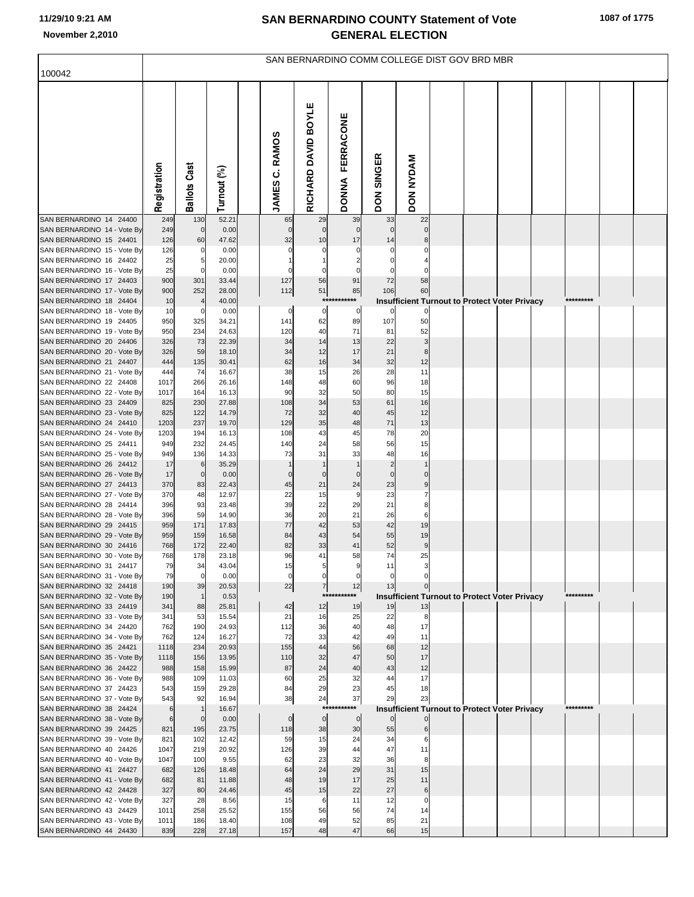| 100042                                                 | SAN BERNARDINO COMM COLLEGE DIST GOV BRD MBR |                     |                |  |                     |                         |                                  |                             |                  |  |  |                                                      |  |           |  |
|--------------------------------------------------------|----------------------------------------------|---------------------|----------------|--|---------------------|-------------------------|----------------------------------|-----------------------------|------------------|--|--|------------------------------------------------------|--|-----------|--|
|                                                        |                                              |                     |                |  |                     |                         |                                  |                             |                  |  |  |                                                      |  |           |  |
|                                                        | Registration                                 | <b>Ballots Cast</b> | Turnout (%)    |  | JAMES C. RAMOS      | RICHARD DAVID BOYLE     | <b>FERRACONE</b><br><b>DONNA</b> | <b>SINGER</b><br><b>NOQ</b> | <b>DON NYDAM</b> |  |  |                                                      |  |           |  |
| SAN BERNARDINO 14 24400                                | 249                                          | 130                 | 52.21          |  | 65                  | 29                      | 39                               | 33                          | 22               |  |  |                                                      |  |           |  |
| SAN BERNARDINO 14 - Vote By<br>SAN BERNARDINO 15 24401 | 249<br>126                                   | $\mathbf 0$<br>60   | 0.00<br>47.62  |  | $\mathbf 0$<br>32   | $\mathbf 0$<br>10       | $\mathbf 0$<br>17                | $\mathbf 0$<br>14           | $\mathbf 0$<br>8 |  |  |                                                      |  |           |  |
| SAN BERNARDINO 15 - Vote By                            | 126                                          | 0                   | 0.00           |  |                     | C                       |                                  | 0                           | 0                |  |  |                                                      |  |           |  |
| SAN BERNARDINO 16 24402                                | 25                                           | 5                   | 20.00          |  |                     |                         |                                  |                             |                  |  |  |                                                      |  |           |  |
| SAN BERNARDINO 16 - Vote By                            | 25                                           | $\Omega$            | 0.00           |  |                     |                         |                                  |                             | 0                |  |  |                                                      |  |           |  |
| SAN BERNARDINO 17 24403                                | 900                                          | 301                 | 33.44          |  | 127                 | 56                      | 91                               | 72                          | 58               |  |  |                                                      |  |           |  |
| SAN BERNARDINO 17 - Vote By<br>SAN BERNARDINO 18 24404 | 900                                          | 252                 | 28.00          |  | 112                 | 51                      | 85<br>***********                | 106                         | 60               |  |  |                                                      |  | ********* |  |
| SAN BERNARDINO 18 - Vote By                            | 10<br>10                                     | 0                   | 40.00<br>0.00  |  | $\mathbf 0$         | 0                       | 0                                | $\Omega$                    | 0                |  |  | <b>Insufficient Turnout to Protect Voter Privacy</b> |  |           |  |
| SAN BERNARDINO 19 24405                                | 950                                          | 325                 | 34.21          |  | 141                 | 62                      | 89                               | 107                         | 50               |  |  |                                                      |  |           |  |
| SAN BERNARDINO 19 - Vote By                            | 950                                          | 234                 | 24.63          |  | 120                 | 40                      | 71                               | 81                          | 52               |  |  |                                                      |  |           |  |
| SAN BERNARDINO 20 24406                                | 326                                          | 73                  | 22.39          |  | 34                  | 14                      | 13                               | 22                          | 3                |  |  |                                                      |  |           |  |
| SAN BERNARDINO 20 - Vote By                            | 326                                          | 59                  | 18.10          |  | 34                  | 12                      | 17                               | 21                          | 8                |  |  |                                                      |  |           |  |
| SAN BERNARDINO 21 24407<br>SAN BERNARDINO 21 - Vote By | 444<br>444                                   | 135<br>74           | 30.41<br>16.67 |  | 62<br>38            | 16<br>15                | 34<br>26                         | 32<br>28                    | 12<br>11         |  |  |                                                      |  |           |  |
| SAN BERNARDINO 22 24408                                | 1017                                         | 266                 | 26.16          |  | 148                 | 48                      | 60                               | 96                          | 18               |  |  |                                                      |  |           |  |
| SAN BERNARDINO 22 - Vote By                            | 1017                                         | 164                 | 16.13          |  | 90                  | 32                      | 50                               | 80                          | 15               |  |  |                                                      |  |           |  |
| SAN BERNARDINO 23 24409                                | 825                                          | 230                 | 27.88          |  | 108                 | 34                      | 53                               | 61                          | 16               |  |  |                                                      |  |           |  |
| SAN BERNARDINO 23 - Vote By                            | 825                                          | 122<br>237          | 14.79          |  | 72<br>129           | 32<br>35                | 40                               | 45<br>71                    | 12               |  |  |                                                      |  |           |  |
| SAN BERNARDINO 24 24410<br>SAN BERNARDINO 24 - Vote By | 1203<br>1203                                 | 194                 | 19.70<br>16.13 |  | 108                 | 43                      | 48<br>45                         | 78                          | 13<br>20         |  |  |                                                      |  |           |  |
| SAN BERNARDINO 25 24411                                | 949                                          | 232                 | 24.45          |  | 140                 | 24                      | 58                               | 56                          | 15               |  |  |                                                      |  |           |  |
| SAN BERNARDINO 25 - Vote By                            | 949                                          | 136                 | 14.33          |  | 73                  | 31                      | 33                               | 48                          | 16               |  |  |                                                      |  |           |  |
| SAN BERNARDINO 26 24412                                | 17                                           | 6                   | 35.29          |  |                     |                         |                                  | $\overline{2}$              |                  |  |  |                                                      |  |           |  |
| SAN BERNARDINO 26 - Vote By<br>SAN BERNARDINO 27 24413 | 17<br>370                                    | $\mathbf 0$<br>83   | 0.00<br>22.43  |  | $\mathcal{C}$<br>45 | $\mathbf 0$<br>21       | $\mathbf 0$<br>24                | $\mathbf 0$<br>23           | $\mathbf 0$<br>9 |  |  |                                                      |  |           |  |
| SAN BERNARDINO 27 - Vote By                            | 370                                          | 48                  | 12.97          |  | 22                  | 15                      | 9                                | 23                          | $\overline{7}$   |  |  |                                                      |  |           |  |
| SAN BERNARDINO 28 24414                                | 396                                          | 93                  | 23.48          |  | 39                  | 22                      | 29                               | 21                          | 8                |  |  |                                                      |  |           |  |
| SAN BERNARDINO 28 - Vote By                            | 396                                          | 59                  | 14.90          |  | 36                  | 20                      | 21                               | 26                          | 6                |  |  |                                                      |  |           |  |
| SAN BERNARDINO 29 24415                                | 959                                          | 171                 | 17.83          |  | 77                  | 42                      | 53                               | 42                          | 19               |  |  |                                                      |  |           |  |
| SAN BERNARDINO 29 - Vote By<br>SAN BERNARDINO 30 24416 | 959<br>768                                   | 159<br>172          | 16.58<br>22.40 |  | 84<br>82            | 43<br>33                | 54<br>41                         | 55<br>52                    | 19<br>9          |  |  |                                                      |  |           |  |
| SAN BERNARDINO 30 - Vote By                            | 768                                          | 178                 | 23.18          |  | 96                  | 41                      | 58                               | 74                          | 25               |  |  |                                                      |  |           |  |
| SAN BERNARDINO 31 24417                                | 79                                           | 34                  | 43.04          |  | 15                  |                         |                                  | 11                          |                  |  |  |                                                      |  |           |  |
| SAN BERNARDINO 31 - Vote By                            | 79                                           | $\mathbf 0$         | 0.00           |  | $\mathbf 0$         | 0                       | 0                                | $\mathbf 0$                 |                  |  |  |                                                      |  |           |  |
| SAN BERNARDINO 32 24418<br>SAN BERNARDINO 32 - Vote By | 190<br>190                                   | 39<br>$\mathbf{1}$  | 20.53<br>0.53  |  | 22                  | $\overline{7}$<br>$***$ | 12<br>*******                    | 13                          |                  |  |  | <b>Insufficient Turnout to Protect Voter Privacy</b> |  | ********* |  |
| SAN BERNARDINO 33 24419                                | 341                                          | 88                  | 25.81          |  | 42                  | 12                      | 19                               | 19                          | 13               |  |  |                                                      |  |           |  |
| SAN BERNARDINO 33 - Vote By                            | 341                                          | 53                  | 15.54          |  | 21                  | 16                      | 25                               | 22                          | 8                |  |  |                                                      |  |           |  |
| SAN BERNARDINO 34 24420                                | 762                                          | 190                 | 24.93          |  | 112                 | 36                      | 40                               | 48                          | 17               |  |  |                                                      |  |           |  |
| SAN BERNARDINO 34 - Vote By<br>SAN BERNARDINO 35 24421 | 762<br>1118                                  | 124<br>234          | 16.27<br>20.93 |  | 72<br>155           | 33<br>44                | 42<br>56                         | 49<br>68                    | 11<br>12         |  |  |                                                      |  |           |  |
| SAN BERNARDINO 35 - Vote By                            | 1118                                         | 156                 | 13.95          |  | 110                 | 32                      | 47                               | 50                          | 17               |  |  |                                                      |  |           |  |
| SAN BERNARDINO 36 24422                                | 988                                          | 158                 | 15.99          |  | 87                  | 24                      | 40                               | 43                          | 12               |  |  |                                                      |  |           |  |
| SAN BERNARDINO 36 - Vote By                            | 988                                          | 109                 | 11.03          |  | 60                  | 25                      | 32                               | 44                          | 17               |  |  |                                                      |  |           |  |
| SAN BERNARDINO 37 24423                                | 543                                          | 159                 | 29.28          |  | 84                  | 29                      | 23                               | 45                          | 18               |  |  |                                                      |  |           |  |
| SAN BERNARDINO 37 - Vote By<br>SAN BERNARDINO 38 24424 | 543<br>6                                     | 92                  | 16.94<br>16.67 |  | 38                  | 24                      | 37<br>***********                | 29                          | 23               |  |  | <b>Insufficient Turnout to Protect Voter Privacy</b> |  | ********* |  |
| SAN BERNARDINO 38 - Vote By                            | 6                                            | $\mathbf 0$         | 0.00           |  | $\mathbf 0$         | $\mathbf 0$             | $\mathbf 0$                      | $\mathbf 0$                 |                  |  |  |                                                      |  |           |  |
| SAN BERNARDINO 39 24425                                | 821                                          | 195                 | 23.75          |  | 118                 | 38                      | 30                               | 55                          | 6                |  |  |                                                      |  |           |  |
| SAN BERNARDINO 39 - Vote By                            | 821                                          | 102                 | 12.42          |  | 59                  | 15                      | 24                               | 34                          | 6                |  |  |                                                      |  |           |  |
| SAN BERNARDINO 40 24426                                | 1047<br>1047                                 | 219<br>100          | 20.92<br>9.55  |  | 126<br>62           | 39<br>23                | 44<br>32                         | 47<br>36                    | 11<br>8          |  |  |                                                      |  |           |  |
| SAN BERNARDINO 40 - Vote By<br>SAN BERNARDINO 41 24427 | 682                                          | 126                 | 18.48          |  | 64                  | 24                      | 29                               | 31                          | 15               |  |  |                                                      |  |           |  |
| SAN BERNARDINO 41 - Vote By                            | 682                                          | 81                  | 11.88          |  | 48                  | 19                      | 17                               | 25                          | 11               |  |  |                                                      |  |           |  |
| SAN BERNARDINO 42 24428                                | 327                                          | 80                  | 24.46          |  | 45                  | 15                      | 22                               | 27                          | 6                |  |  |                                                      |  |           |  |
| SAN BERNARDINO 42 - Vote By                            | 327                                          | 28                  | 8.56           |  | 15                  | 6                       | 11                               | 12                          | $\mathbf 0$      |  |  |                                                      |  |           |  |
| SAN BERNARDINO 43 24429<br>SAN BERNARDINO 43 - Vote By | 1011<br>1011                                 | 258<br>186          | 25.52<br>18.40 |  | 155<br>108          | 56<br>49                | 56<br>52                         | 74<br>85                    | 14<br>21         |  |  |                                                      |  |           |  |
| SAN BERNARDINO 44 24430                                | 839                                          | 228                 | 27.18          |  | 157                 | 48                      | 47                               | 66                          | 15               |  |  |                                                      |  |           |  |
|                                                        |                                              |                     |                |  |                     |                         |                                  |                             |                  |  |  |                                                      |  |           |  |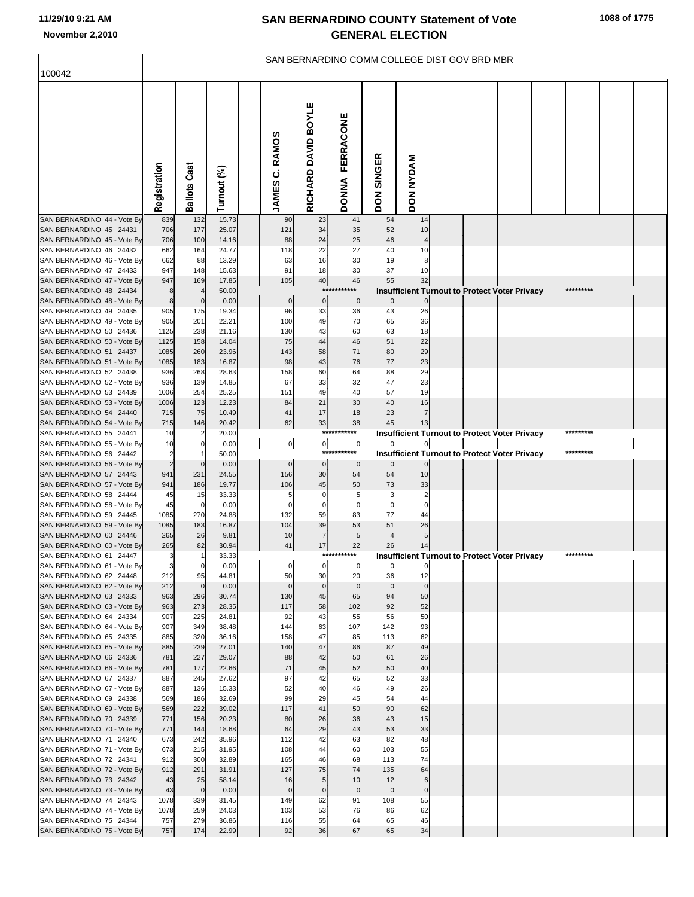|                                                        | SAN BERNARDINO COMM COLLEGE DIST GOV BRD MBR |                        |                |  |                          |                     |                           |                      |                      |  |                                                      |  |  |           |  |  |
|--------------------------------------------------------|----------------------------------------------|------------------------|----------------|--|--------------------------|---------------------|---------------------------|----------------------|----------------------|--|------------------------------------------------------|--|--|-----------|--|--|
| 100042                                                 |                                              |                        |                |  |                          |                     |                           |                      |                      |  |                                                      |  |  |           |  |  |
|                                                        | Registration                                 | Cast<br><b>Ballots</b> | Turnout (%)    |  | <b>RAMOS</b><br>JAMES C. | RICHARD DAVID BOYLE | FERRACONE<br><b>DONNA</b> | <b>SINGER</b><br>DON | DON NYDAM            |  |                                                      |  |  |           |  |  |
| SAN BERNARDINO 44 - Vote By                            | 839                                          | 132                    | 15.73          |  | 90                       | 23                  | 41                        | 54                   | 14                   |  |                                                      |  |  |           |  |  |
| SAN BERNARDINO 45 24431<br>SAN BERNARDINO 45 - Vote By | 706<br>706                                   | 177<br>100             | 25.07<br>14.16 |  | 121<br>88                | 34<br>24            | 35<br>25                  | 52<br>46             | 10                   |  |                                                      |  |  |           |  |  |
| SAN BERNARDINO 46 24432                                | 662                                          | 164                    | 24.77          |  | 118                      | 22                  | 27                        | 40                   | 10                   |  |                                                      |  |  |           |  |  |
| SAN BERNARDINO 46 - Vote By                            | 662                                          | 88                     | 13.29          |  | 63                       | 16                  | 30                        | 19                   | 8                    |  |                                                      |  |  |           |  |  |
| SAN BERNARDINO 47 24433                                | 947                                          | 148                    | 15.63          |  | 91                       | 18                  | 30                        | 37                   | 10                   |  |                                                      |  |  |           |  |  |
| SAN BERNARDINO 47 - Vote By                            | 947                                          | 169                    | 17.85          |  | 105                      | 40                  | 46                        | 55                   | 32                   |  |                                                      |  |  |           |  |  |
| SAN BERNARDINO 48 24434                                | 8                                            |                        | 50.00          |  |                          | $***$               |                           |                      |                      |  | <b>Insufficient Turnout to Protect Voter Privacy</b> |  |  | ********* |  |  |
| SAN BERNARDINO 48 - Vote By<br>SAN BERNARDINO 49 24435 | 8<br>905                                     | $\mathbf{0}$<br>175    | 0.00<br>19.34  |  | $\pmb{0}$<br>96          | $\circ$<br>33       | $\mathbf 0$<br>36         | 43                   | 26                   |  |                                                      |  |  |           |  |  |
| SAN BERNARDINO 49 - Vote By                            | 905                                          | 201                    | 22.21          |  | 100                      | 49                  | 70                        | 65                   | 36                   |  |                                                      |  |  |           |  |  |
| SAN BERNARDINO 50 24436                                | 1125                                         | 238                    | 21.16          |  | 130                      | 43                  | 60                        | 63                   | 18                   |  |                                                      |  |  |           |  |  |
| SAN BERNARDINO 50 - Vote By                            | 1125                                         | 158                    | 14.04          |  | 75                       | 44                  | 46                        | 51                   | 22                   |  |                                                      |  |  |           |  |  |
| SAN BERNARDINO 51 24437                                | 1085                                         | 260                    | 23.96          |  | 143                      | 58                  | 71                        | 80                   | 29                   |  |                                                      |  |  |           |  |  |
| SAN BERNARDINO 51 - Vote By                            | 1085                                         | 183                    | 16.87          |  | 98                       | 43                  | 76                        | 77                   | 23                   |  |                                                      |  |  |           |  |  |
| SAN BERNARDINO 52 24438                                | 936                                          | 268                    | 28.63          |  | 158                      | 60                  | 64                        | 88                   | 29                   |  |                                                      |  |  |           |  |  |
| SAN BERNARDINO 52 - Vote By                            | 936                                          | 139                    | 14.85          |  | 67                       | 33                  | 32                        | 47                   | 23                   |  |                                                      |  |  |           |  |  |
| SAN BERNARDINO 53 24439                                | 1006                                         | 254                    | 25.25<br>12.23 |  | 151<br>84                | 49<br>21            | 40<br>30                  | 57<br>40             | 19                   |  |                                                      |  |  |           |  |  |
| SAN BERNARDINO 53 - Vote By<br>SAN BERNARDINO 54 24440 | 1006<br>715                                  | 123<br>75              | 10.49          |  | 41                       | 17                  | 18                        | 23                   | 16<br>$\overline{7}$ |  |                                                      |  |  |           |  |  |
| SAN BERNARDINO 54 - Vote By                            | 715                                          | 146                    | 20.42          |  | 62                       | 33                  | 38                        | 45                   | 13                   |  |                                                      |  |  |           |  |  |
| SAN BERNARDINO 55 24441                                | 10                                           |                        | 20.00          |  |                          |                     | ***********               |                      |                      |  | <b>Insufficient Turnout to Protect Voter Privacy</b> |  |  |           |  |  |
| SAN BERNARDINO 55 - Vote By                            | 10                                           | 0                      | 0.00           |  | 이                        | $\overline{0}$      | $\overline{0}$            | $\mathbf{0}$         |                      |  |                                                      |  |  |           |  |  |
| SAN BERNARDINO 56 24442                                | $\overline{2}$                               |                        | 50.00          |  |                          | ***                 |                           |                      |                      |  | Insufficient Turnout to Protect Voter Privacy        |  |  | ********* |  |  |
| SAN BERNARDINO 56 - Vote By                            | $\overline{2}$                               | $\Omega$               | 0.00           |  | $\pmb{0}$                | $\overline{0}$      | 0                         |                      |                      |  |                                                      |  |  |           |  |  |
| SAN BERNARDINO 57 24443                                | 941                                          | 231<br>186             | 24.55<br>19.77 |  | 156                      | 30                  | 54<br>50                  | 54<br>73             | 10                   |  |                                                      |  |  |           |  |  |
| SAN BERNARDINO 57 - Vote By<br>SAN BERNARDINO 58 24444 | 941<br>45                                    | 15                     | 33.33          |  | 106<br>5                 | 45<br>0             | 5                         | 3                    | 33                   |  |                                                      |  |  |           |  |  |
| SAN BERNARDINO 58 - Vote By                            | 45                                           | 0                      | 0.00           |  | $\Omega$                 | 0                   | 0                         | $\Omega$             |                      |  |                                                      |  |  |           |  |  |
| SAN BERNARDINO 59 24445                                | 1085                                         | 270                    | 24.88          |  | 132                      | 59                  | 83                        | 77                   | 44                   |  |                                                      |  |  |           |  |  |
| SAN BERNARDINO 59 - Vote By                            | 1085                                         | 183                    | 16.87          |  | 104                      | 39                  | 53                        | 51                   | 26                   |  |                                                      |  |  |           |  |  |
| SAN BERNARDINO 60 24446                                | 265                                          | 26                     | 9.81           |  | 10                       | $\overline{7}$      | 5                         |                      | 5                    |  |                                                      |  |  |           |  |  |
| SAN BERNARDINO 60 - Vote By                            | 265                                          | 82                     | 30.94          |  | 41                       | 17                  | 22<br>***********         | 26                   | 14                   |  |                                                      |  |  |           |  |  |
| SAN BERNARDINO 61 24447<br>SAN BERNARDINO 61 - Vote By | 3<br>3                                       | $\overline{0}$         | 33.33<br>0.00  |  |                          |                     | $\mathbf{0}$              |                      |                      |  | <b>Insufficient Turnout to Protect Voter Privacy</b> |  |  |           |  |  |
| SAN BERNARDINO 62 24448                                | 212                                          | 95                     | 44.81          |  | 50                       | 30                  | 20                        | 36                   | 12                   |  |                                                      |  |  |           |  |  |
| SAN BERNARDINO 62 - Vote By                            | 212                                          | $\mathbf 0$            | 0.00           |  | $\mathbf 0$              | $\mathbf 0$         | $\overline{0}$            | $\mathbf 0$          | $\mathbf 0$          |  |                                                      |  |  |           |  |  |
| SAN BERNARDINO 63 24333                                | 963                                          | 296                    | 30.74          |  | 130                      | 45                  | 65                        | 94                   | 50                   |  |                                                      |  |  |           |  |  |
| SAN BERNARDINO 63 - Vote By                            | 963                                          | 273                    | 28.35          |  | 117                      | 58                  | 102                       | 92                   | 52                   |  |                                                      |  |  |           |  |  |
| SAN BERNARDINO 64 24334                                | 907                                          | 225                    | 24.81          |  | 92                       | 43                  | 55                        | 56                   | 50                   |  |                                                      |  |  |           |  |  |
| SAN BERNARDINO 64 - Vote By<br>SAN BERNARDINO 65 24335 | 907<br>885                                   | 349<br>320             | 38.48<br>36.16 |  | 144<br>158               | 63<br>47            | 107<br>85                 | 142<br>113           | 93<br>62             |  |                                                      |  |  |           |  |  |
| SAN BERNARDINO 65 - Vote By                            | 885                                          | 239                    | 27.01          |  | 140                      | 47                  | 86                        | 87                   | 49                   |  |                                                      |  |  |           |  |  |
| SAN BERNARDINO 66 24336                                | 781                                          | 227                    | 29.07          |  | 88                       | 42                  | 50                        | 61                   | 26                   |  |                                                      |  |  |           |  |  |
| SAN BERNARDINO 66 - Vote By                            | 781                                          | 177                    | 22.66          |  | 71                       | 45                  | 52                        | 50                   | 40                   |  |                                                      |  |  |           |  |  |
| SAN BERNARDINO 67 24337                                | 887                                          | 245                    | 27.62          |  | 97                       | 42                  | 65                        | 52                   | 33                   |  |                                                      |  |  |           |  |  |
| SAN BERNARDINO 67 - Vote By                            | 887                                          | 136                    | 15.33          |  | 52                       | 40                  | 46                        | 49                   | 26                   |  |                                                      |  |  |           |  |  |
| SAN BERNARDINO 69 24338<br>SAN BERNARDINO 69 - Vote By | 569<br>569                                   | 186<br>222             | 32.69<br>39.02 |  | 99<br>117                | 29<br>41            | 45<br>50                  | 54<br>90             | 44<br>62             |  |                                                      |  |  |           |  |  |
| SAN BERNARDINO 70 24339                                | 771                                          | 156                    | 20.23          |  | 80                       | 26                  | 36                        | 43                   | 15                   |  |                                                      |  |  |           |  |  |
| SAN BERNARDINO 70 - Vote By                            | 771                                          | 144                    | 18.68          |  | 64                       | 29                  | 43                        | 53                   | 33                   |  |                                                      |  |  |           |  |  |
| SAN BERNARDINO 71 24340                                | 673                                          | 242                    | 35.96          |  | 112                      | 42                  | 63                        | 82                   | 48                   |  |                                                      |  |  |           |  |  |
| SAN BERNARDINO 71 - Vote By                            | 673                                          | 215                    | 31.95          |  | 108                      | 44                  | 60                        | 103                  | 55                   |  |                                                      |  |  |           |  |  |
| SAN BERNARDINO 72 24341                                | 912                                          | 300                    | 32.89          |  | 165                      | 46                  | 68                        | 113                  | 74                   |  |                                                      |  |  |           |  |  |
| SAN BERNARDINO 72 - Vote By                            | 912                                          | 291                    | 31.91          |  | 127                      | 75                  | 74                        | 135                  | 64                   |  |                                                      |  |  |           |  |  |
| SAN BERNARDINO 73 24342                                | 43                                           | 25                     | 58.14          |  | 16                       | 5                   | 10                        | 12                   | 6                    |  |                                                      |  |  |           |  |  |
| SAN BERNARDINO 73 - Vote By<br>SAN BERNARDINO 74 24343 | 43<br>1078                                   | $\mathbf 0$<br>339     | 0.00<br>31.45  |  | $\mathbf 0$<br>149       | $\pmb{0}$<br>62     | $\overline{0}$<br>91      | $\mathbf 0$<br>108   | $\mathbf 0$<br>55    |  |                                                      |  |  |           |  |  |
| SAN BERNARDINO 74 - Vote By                            | 1078                                         | 259                    | 24.03          |  | 103                      | 53                  | 76                        | 86                   | 62                   |  |                                                      |  |  |           |  |  |
| SAN BERNARDINO 75 24344                                | 757                                          | 279                    | 36.86          |  | 116                      | 55                  | 64                        | 65                   | 46                   |  |                                                      |  |  |           |  |  |
| SAN BERNARDINO 75 - Vote By                            | 757                                          | 174                    | 22.99          |  | 92                       | 36                  | 67                        | 65                   | 34                   |  |                                                      |  |  |           |  |  |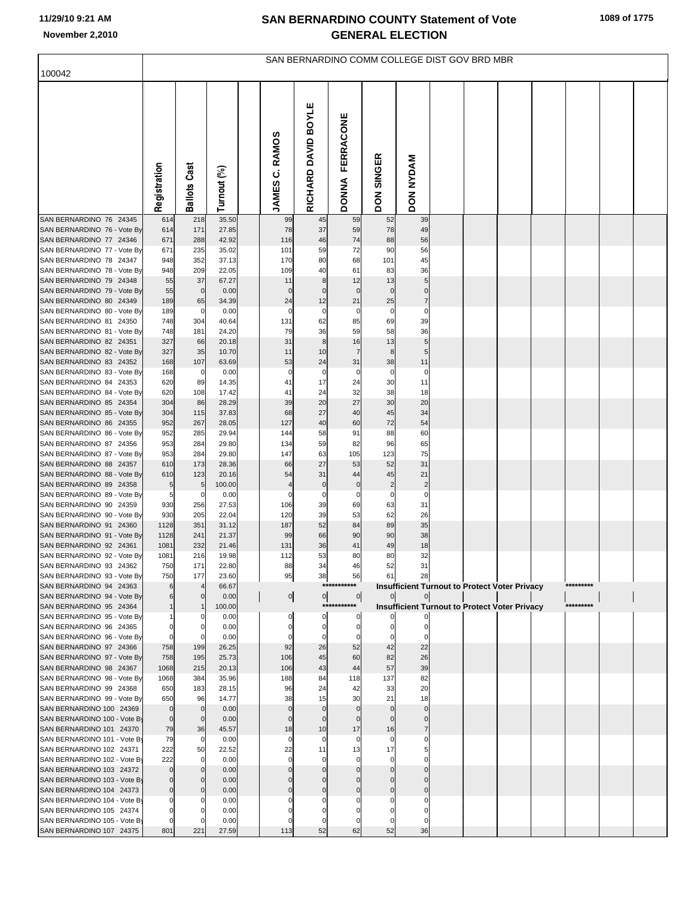|                                                          | SAN BERNARDINO COMM COLLEGE DIST GOV BRD MBR |                       |                 |  |                   |                     |                                  |                               |                               |  |  |                                                      |  |           |  |  |
|----------------------------------------------------------|----------------------------------------------|-----------------------|-----------------|--|-------------------|---------------------|----------------------------------|-------------------------------|-------------------------------|--|--|------------------------------------------------------|--|-----------|--|--|
| 100042                                                   |                                              |                       |                 |  |                   |                     |                                  |                               |                               |  |  |                                                      |  |           |  |  |
|                                                          | Registration                                 | Cast<br>Ballots       | Turnout (%)     |  | JAMES C. RAMOS    | RICHARD DAVID BOYLE | <b>FERRACONE</b><br><b>DONNA</b> | <b>SINGER</b><br><b>NOQ</b>   | DON NYDAM                     |  |  |                                                      |  |           |  |  |
| SAN BERNARDINO 76 24345                                  | 614                                          | 218                   | 35.50           |  | 99                | 45                  | 59                               | 52                            | 39                            |  |  |                                                      |  |           |  |  |
| SAN BERNARDINO 76 - Vote By                              | 614                                          | 171                   | 27.85           |  | 78                | 37                  | 59                               | 78                            | 49                            |  |  |                                                      |  |           |  |  |
| SAN BERNARDINO 77 24346<br>SAN BERNARDINO 77 - Vote By   | 671<br>671                                   | 288<br>235            | 42.92<br>35.02  |  | 116<br>101        | 46<br>59            | 74<br>72                         | 88<br>90                      | 56<br>56                      |  |  |                                                      |  |           |  |  |
| SAN BERNARDINO 78 24347                                  | 948                                          | 352                   | 37.13           |  | 170               | 80                  | 68                               | 101                           | 45                            |  |  |                                                      |  |           |  |  |
| SAN BERNARDINO 78 - Vote By                              | 948                                          | 209                   | 22.05           |  | 109               | 40                  | 61                               | 83                            | 36                            |  |  |                                                      |  |           |  |  |
| SAN BERNARDINO 79 24348                                  | 55                                           | 37                    | 67.27           |  | 11                | 8                   | 12                               | 13                            | 5                             |  |  |                                                      |  |           |  |  |
| SAN BERNARDINO 79 - Vote By                              | 55                                           | $\mathbf 0$           | 0.00            |  | $\mathbf 0$       | $\pmb{0}$           | $\mathbf 0$                      | $\mathbf 0$                   | $\pmb{0}$                     |  |  |                                                      |  |           |  |  |
| SAN BERNARDINO 80 24349<br>SAN BERNARDINO 80 - Vote By   | 189<br>189                                   | 65<br>0               | 34.39<br>0.00   |  | 24<br>$\mathbf 0$ | 12<br>$\pmb{0}$     | 21<br>$\pmb{0}$                  | 25<br>$\pmb{0}$               | $\overline{7}$<br>$\mathbf 0$ |  |  |                                                      |  |           |  |  |
| SAN BERNARDINO 81 24350                                  | 748                                          | 304                   | 40.64           |  | 131               | 62                  | 85                               | 69                            | 39                            |  |  |                                                      |  |           |  |  |
| SAN BERNARDINO 81 - Vote By                              | 748                                          | 181                   | 24.20           |  | 79                | 36                  | 59                               | 58                            | 36                            |  |  |                                                      |  |           |  |  |
| SAN BERNARDINO 82 24351                                  | 327                                          | 66                    | 20.18           |  | 31                | 8                   | 16                               | 13                            | 5                             |  |  |                                                      |  |           |  |  |
| SAN BERNARDINO 82 - Vote By                              | 327                                          | 35                    | 10.70           |  | 11                | 10                  | $\overline{7}$                   | 8                             | 5                             |  |  |                                                      |  |           |  |  |
| SAN BERNARDINO 83 24352<br>SAN BERNARDINO 83 - Vote By   | 168<br>168                                   | 107<br>$\overline{0}$ | 63.69<br>0.00   |  | 53<br>$\pmb{0}$   | 24<br>$\pmb{0}$     | 31<br>$\pmb{0}$                  | 38<br>$\pmb{0}$               | 11<br>$\pmb{0}$               |  |  |                                                      |  |           |  |  |
| SAN BERNARDINO 84 24353                                  | 620                                          | 89                    | 14.35           |  | 41                | 17                  | 24                               | 30                            | 11                            |  |  |                                                      |  |           |  |  |
| SAN BERNARDINO 84 - Vote By                              | 620                                          | 108                   | 17.42           |  | 41                | 24                  | 32                               | 38                            | 18                            |  |  |                                                      |  |           |  |  |
| SAN BERNARDINO 85 24354                                  | 304                                          | 86                    | 28.29           |  | 39                | 20                  | 27                               | 30                            | 20                            |  |  |                                                      |  |           |  |  |
| SAN BERNARDINO 85 - Vote By                              | 304<br>952                                   | 115<br>267            | 37.83<br>28.05  |  | 68<br>127         | 27<br>40            | 40<br>60                         | 45<br>72                      | 34<br>54                      |  |  |                                                      |  |           |  |  |
| SAN BERNARDINO 86 24355<br>SAN BERNARDINO 86 - Vote By   | 952                                          | 285                   | 29.94           |  | 144               | 58                  | 91                               | 88                            | 60                            |  |  |                                                      |  |           |  |  |
| SAN BERNARDINO 87 24356                                  | 953                                          | 284                   | 29.80           |  | 134               | 59                  | 82                               | 96                            | 65                            |  |  |                                                      |  |           |  |  |
| SAN BERNARDINO 87 - Vote By                              | 953                                          | 284                   | 29.80           |  | 147               | 63                  | 105                              | 123                           | 75                            |  |  |                                                      |  |           |  |  |
| SAN BERNARDINO 88 24357                                  | 610                                          | 173                   | 28.36           |  | 66                | 27                  | 53                               | 52                            | 31                            |  |  |                                                      |  |           |  |  |
| SAN BERNARDINO 88 - Vote By<br>SAN BERNARDINO 89 24358   | 610<br>5                                     | 123<br>5              | 20.16<br>100.00 |  | 54<br>4           | 31<br>$\pmb{0}$     | 44<br>$\pmb{0}$                  | 45<br>$\overline{\mathbf{c}}$ | 21<br>$\overline{\mathbf{c}}$ |  |  |                                                      |  |           |  |  |
| SAN BERNARDINO 89 - Vote By                              | 5                                            | 0                     | 0.00            |  | $\Omega$          | $\pmb{0}$           | $\pmb{0}$                        | $\pmb{0}$                     | $\pmb{0}$                     |  |  |                                                      |  |           |  |  |
| SAN BERNARDINO 90 24359                                  | 930                                          | 256                   | 27.53           |  | 106               | 39                  | 69                               | 63                            | 31                            |  |  |                                                      |  |           |  |  |
| SAN BERNARDINO 90 - Vote By                              | 930                                          | 205                   | 22.04           |  | 120               | 39                  | 53                               | 62                            | 26                            |  |  |                                                      |  |           |  |  |
| SAN BERNARDINO 91 24360<br>SAN BERNARDINO 91 - Vote By   | 1128<br>1128                                 | 351<br>241            | 31.12<br>21.37  |  | 187<br>99         | 52<br>66            | 84<br>90                         | 89<br>90                      | 35<br>38                      |  |  |                                                      |  |           |  |  |
| SAN BERNARDINO 92 24361                                  | 1081                                         | 232                   | 21.46           |  | 131               | 36                  | 41                               | 49                            | 18                            |  |  |                                                      |  |           |  |  |
| SAN BERNARDINO 92 - Vote By                              | 1081                                         | 216                   | 19.98           |  | 112               | 53                  | 80                               | 80                            | 32                            |  |  |                                                      |  |           |  |  |
| SAN BERNARDINO 93 24362                                  | 750                                          | 171                   | 22.80           |  | 88                | 34                  | 46                               | 52                            |                               |  |  |                                                      |  |           |  |  |
| SAN BERNARDINO 93 - Vote By<br>SAN BERNARDINO 94 24363   | 750                                          | 177                   | 23.60<br>66.67  |  | 95                | 38                  | 56<br>***********                | 61                            | 28                            |  |  | <b>Insufficient Turnout to Protect Voter Privacy</b> |  | ********* |  |  |
| SAN BERNARDINO 94 - Vote By                              |                                              |                       | 0.00            |  | $\mathbf{0}$      | 0                   | $\overline{0}$                   |                               |                               |  |  |                                                      |  |           |  |  |
| SAN BERNARDINO 95 24364                                  |                                              |                       | 100.00          |  |                   |                     | ***********                      |                               |                               |  |  | <b>Insufficient Turnout to Protect Voter Privacy</b> |  | ********* |  |  |
| SAN BERNARDINO 95 - Vote By                              |                                              |                       | 0.00            |  |                   | $\Omega$            | $\Omega$                         |                               |                               |  |  |                                                      |  |           |  |  |
| SAN BERNARDINO 96 24365<br>SAN BERNARDINO 96 - Vote By   | O                                            |                       | 0.00<br>0.00    |  |                   | $\mathbf 0$         | $\mathbf 0$                      |                               |                               |  |  |                                                      |  |           |  |  |
| SAN BERNARDINO 97 24366                                  | 758                                          | 199                   | 26.25           |  | 92                | 26                  | 52                               | 42                            | 22                            |  |  |                                                      |  |           |  |  |
| SAN BERNARDINO 97 - Vote By                              | 758                                          | 195                   | 25.73           |  | 106               | 45                  | 60                               | 82                            | 26                            |  |  |                                                      |  |           |  |  |
| SAN BERNARDINO 98 24367                                  | 1068                                         | 215                   | 20.13           |  | 106               | 43                  | 44                               | 57                            | 39                            |  |  |                                                      |  |           |  |  |
| SAN BERNARDINO 98 - Vote By<br>SAN BERNARDINO 99 24368   | 1068<br>650                                  | 384<br>183            | 35.96<br>28.15  |  | 188<br>96         | 84<br>24            | 118<br>42                        | 137<br>33                     | 82<br>20                      |  |  |                                                      |  |           |  |  |
| SAN BERNARDINO 99 - Vote By                              | 650                                          | 96                    | 14.77           |  | 38                | 15                  | 30                               | 21                            | 18                            |  |  |                                                      |  |           |  |  |
| SAN BERNARDINO 100 24369                                 | $\mathbf 0$                                  | $\mathbf 0$           | 0.00            |  | $\mathbf{0}$      | $\mathbf{0}$        | $\Omega$                         | $\mathbf 0$                   | $\mathbf 0$                   |  |  |                                                      |  |           |  |  |
| SAN BERNARDINO 100 - Vote By                             | $\mathbf 0$                                  | $\mathbf 0$           | 0.00            |  | $\Omega$          | $\Omega$            | $\Omega$                         | $\Omega$                      |                               |  |  |                                                      |  |           |  |  |
| SAN BERNARDINO 101 24370                                 | 79                                           | 36<br>$\mathbf 0$     | 45.57           |  | 18<br>$\Omega$    | 10<br>$\Omega$      | 17<br>$\mathbf 0$                | 16<br>$\Omega$                | $\overline{7}$                |  |  |                                                      |  |           |  |  |
| SAN BERNARDINO 101 - Vote By<br>SAN BERNARDINO 102 24371 | 79<br>222                                    | 50                    | 0.00<br>22.52   |  | 22                | 11                  | 13                               | 17                            |                               |  |  |                                                      |  |           |  |  |
| SAN BERNARDINO 102 - Vote By                             | 222                                          | $\Omega$              | 0.00            |  |                   |                     |                                  | $\Omega$                      |                               |  |  |                                                      |  |           |  |  |
| SAN BERNARDINO 103 24372                                 |                                              | $\Omega$              | 0.00            |  | $\Omega$          |                     |                                  |                               |                               |  |  |                                                      |  |           |  |  |
| SAN BERNARDINO 103 - Vote By                             |                                              |                       | 0.00            |  |                   |                     |                                  |                               |                               |  |  |                                                      |  |           |  |  |
| SAN BERNARDINO 104 24373<br>SAN BERNARDINO 104 - Vote By |                                              | $\Omega$              | 0.00<br>0.00    |  |                   | $\Omega$            | $\Omega$                         | $\Omega$                      | $\Omega$                      |  |  |                                                      |  |           |  |  |
| SAN BERNARDINO 105 24374                                 |                                              |                       | 0.00            |  |                   |                     |                                  |                               |                               |  |  |                                                      |  |           |  |  |
| SAN BERNARDINO 105 - Vote By                             |                                              |                       | 0.00            |  |                   |                     |                                  |                               |                               |  |  |                                                      |  |           |  |  |
| SAN BERNARDINO 107 24375                                 | 801                                          | 221                   | 27.59           |  | 113               | 52                  | 62                               | 52                            | 36                            |  |  |                                                      |  |           |  |  |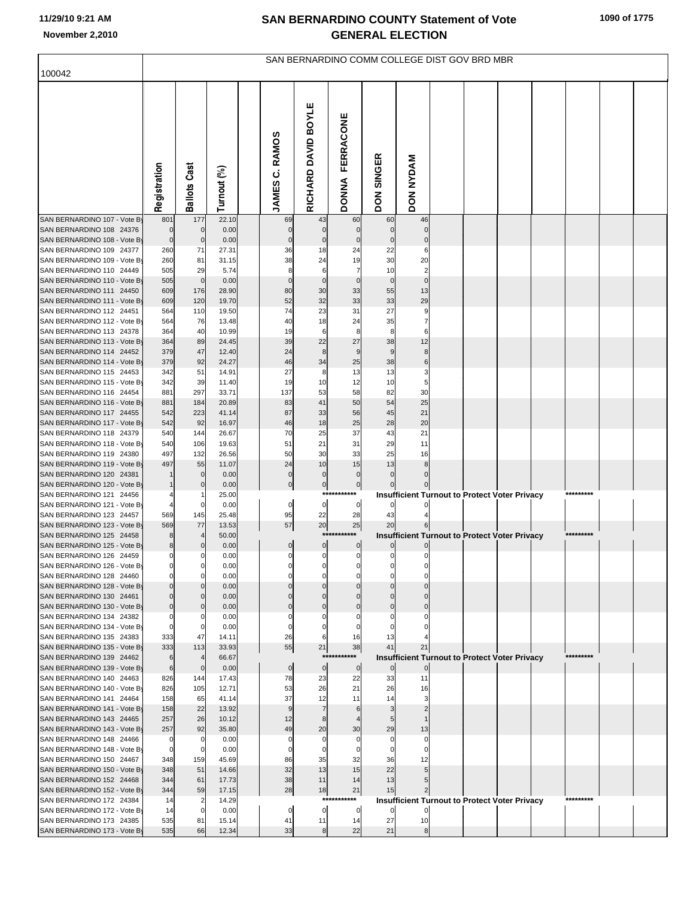| 100042                                                   | SAN BERNARDINO COMM COLLEGE DIST GOV BRD MBR |                     |                |  |                 |                     |                                  |                             |                    |  |  |                                                      |  |           |  |
|----------------------------------------------------------|----------------------------------------------|---------------------|----------------|--|-----------------|---------------------|----------------------------------|-----------------------------|--------------------|--|--|------------------------------------------------------|--|-----------|--|
|                                                          |                                              |                     |                |  |                 |                     |                                  |                             |                    |  |  |                                                      |  |           |  |
|                                                          | Registration                                 | <b>Ballots Cast</b> | Turnout (%)    |  | JAMES C. RAMOS  | RICHARD DAVID BOYLE | <b>FERRACONE</b><br><b>DONNA</b> | <b>SINGER</b><br><b>NOQ</b> | DON NYDAM          |  |  |                                                      |  |           |  |
| SAN BERNARDINO 107 - Vote By                             | 801                                          | 177                 | 22.10          |  | 69              | 43                  | 60                               | 60                          | 46                 |  |  |                                                      |  |           |  |
| SAN BERNARDINO 108 24376                                 | $\pmb{0}$                                    | $\mathbf 0$         | 0.00           |  | $\pmb{0}$       | $\pmb{0}$           | $\mathbf 0$                      | $\mathbf 0$                 | $\mathbf 0$        |  |  |                                                      |  |           |  |
| SAN BERNARDINO 108 - Vote By<br>SAN BERNARDINO 109 24377 | $\mathbf 0$<br>260                           | $\mathbf 0$<br>71   | 0.00<br>27.31  |  | $\pmb{0}$<br>36 | $\pmb{0}$<br>18     | $\pmb{0}$<br>24                  | $\pmb{0}$<br>22             | $\mathbf 0$<br>6   |  |  |                                                      |  |           |  |
| SAN BERNARDINO 109 - Vote By                             | 260                                          | 81                  | 31.15          |  | 38              | 24                  | 19                               | 30                          | 20                 |  |  |                                                      |  |           |  |
| SAN BERNARDINO 110 24449                                 | 505                                          | 29                  | 5.74           |  | 8               | 6                   | 7                                | 10                          | $\overline{2}$     |  |  |                                                      |  |           |  |
| SAN BERNARDINO 110 - Vote By                             | 505                                          | $\mathbf 0$         | 0.00           |  | $\pmb{0}$       | $\pmb{0}$           | $\mathbf 0$                      | $\mathbf 0$                 | $\mathbf 0$        |  |  |                                                      |  |           |  |
| SAN BERNARDINO 111 24450<br>SAN BERNARDINO 111 - Vote By | 609                                          | 176                 | 28.90          |  | 80              | 30                  | 33                               | 55                          | 13                 |  |  |                                                      |  |           |  |
| SAN BERNARDINO 112 24451                                 | 609<br>564                                   | 120<br>110          | 19.70<br>19.50 |  | 52<br>74        | 32<br>23            | 33<br>31                         | 33<br>27                    | 29<br>9            |  |  |                                                      |  |           |  |
| SAN BERNARDINO 112 - Vote By                             | 564                                          | 76                  | 13.48          |  | 40              | 18                  | 24                               | 35                          | 7                  |  |  |                                                      |  |           |  |
| SAN BERNARDINO 113 24378                                 | 364                                          | 40                  | 10.99          |  | 19              | 6                   | 8                                | 8                           | 6                  |  |  |                                                      |  |           |  |
| SAN BERNARDINO 113 - Vote By                             | 364                                          | 89                  | 24.45          |  | 39              | 22                  | 27                               | 38                          | 12                 |  |  |                                                      |  |           |  |
| SAN BERNARDINO 114 24452<br>SAN BERNARDINO 114 - Vote By | 379<br>379                                   | 47                  | 12.40          |  | 24<br>46        | 8<br>34             | 9                                | 9                           | 8<br>6             |  |  |                                                      |  |           |  |
| SAN BERNARDINO 115 24453                                 | 342                                          | 92<br>51            | 24.27<br>14.91 |  | 27              | 8                   | 25<br>13                         | 38<br>13                    | 3                  |  |  |                                                      |  |           |  |
| SAN BERNARDINO 115 - Vote By                             | 342                                          | 39                  | 11.40          |  | 19              | 10                  | 12                               | 10                          | 5                  |  |  |                                                      |  |           |  |
| SAN BERNARDINO 116 24454                                 | 881                                          | 297                 | 33.71          |  | 137             | 53                  | 58                               | 82                          | 30                 |  |  |                                                      |  |           |  |
| SAN BERNARDINO 116 - Vote By                             | 881                                          | 184                 | 20.89          |  | 83              | 41                  | 50                               | 54                          | 25                 |  |  |                                                      |  |           |  |
| SAN BERNARDINO 117 24455<br>SAN BERNARDINO 117 - Vote By | 542<br>542                                   | 223<br>92           | 41.14<br>16.97 |  | 87<br>46        | 33<br>18            | 56<br>25                         | 45<br>28                    | 21<br>20           |  |  |                                                      |  |           |  |
| SAN BERNARDINO 118 24379                                 | 540                                          | 144                 | 26.67          |  | 70              | 25                  | 37                               | 43                          | 21                 |  |  |                                                      |  |           |  |
| SAN BERNARDINO 118 - Vote By                             | 540                                          | 106                 | 19.63          |  | 51              | 21                  | 31                               | 29                          | 11                 |  |  |                                                      |  |           |  |
| SAN BERNARDINO 119 24380                                 | 497                                          | 132                 | 26.56          |  | 50              | 30                  | 33                               | 25                          | 16                 |  |  |                                                      |  |           |  |
| SAN BERNARDINO 119 - Vote By<br>SAN BERNARDINO 120 24381 | 497                                          | 55<br>0             | 11.07<br>0.00  |  | 24<br>$\pmb{0}$ | 10<br>$\mathbf 0$   | 15<br>$\mathbf 0$                | 13<br>$\Omega$              | 8                  |  |  |                                                      |  |           |  |
| SAN BERNARDINO 120 - Vote By                             |                                              |                     | 0.00           |  | $\overline{0}$  | $\circ$             | $\mathbf{0}$                     |                             |                    |  |  |                                                      |  |           |  |
| SAN BERNARDINO 121 24456                                 |                                              |                     | 25.00          |  |                 | $***$               |                                  |                             |                    |  |  | <b>Insufficient Turnout to Protect Voter Privacy</b> |  | ********* |  |
| SAN BERNARDINO 121 - Vote By                             |                                              | 0                   | 0.00           |  | $\overline{0}$  | $\mathbf{0}$        | $\pmb{0}$                        | $\mathbf 0$                 |                    |  |  |                                                      |  |           |  |
| SAN BERNARDINO 123 24457                                 | 569                                          | 145                 | 25.48          |  | 95<br>57        | 22                  | 28                               | 43                          |                    |  |  |                                                      |  |           |  |
| SAN BERNARDINO 123 - Vote By<br>SAN BERNARDINO 125 24458 | 569<br>8                                     | 77                  | 13.53<br>50.00 |  |                 | 20<br>$***$         | 25                               | 20                          |                    |  |  | <b>Insufficient Turnout to Protect Voter Privacy</b> |  | ********* |  |
| SAN BERNARDINO 125 - Vote By                             | 8                                            |                     | 0.00           |  | $\overline{0}$  | 0                   | $\boldsymbol{0}$                 |                             |                    |  |  |                                                      |  |           |  |
| SAN BERNARDINO 126 24459                                 | $\pmb{0}$                                    |                     | 0.00           |  | $\mathbf 0$     | $\mathbf 0$         | $\mathbf 0$                      | $\mathbf 0$                 |                    |  |  |                                                      |  |           |  |
| SAN BERNARDINO 126 - Vote By                             |                                              |                     | 0.00           |  |                 |                     |                                  |                             |                    |  |  |                                                      |  |           |  |
| SAN BERNARDINO 128 24460<br>SAN BERNARDINO 128 - Vote By | $\Omega$<br>$\mathbf 0$                      | 0                   | 0.00<br>0.00   |  | $\Omega$        | O<br>$\Omega$       | C<br>C                           |                             |                    |  |  |                                                      |  |           |  |
| SAN BERNARDINO 130 24461                                 | $\Omega$                                     |                     | 0.00           |  |                 | $\Omega$            |                                  |                             |                    |  |  |                                                      |  |           |  |
| SAN BERNARDINO 130 - Vote By                             | $\mathbf 0$                                  | $\Omega$            | 0.00           |  | $\Omega$        | $\mathbf 0$         | $\mathbf 0$                      | $\mathcal{C}$               |                    |  |  |                                                      |  |           |  |
| SAN BERNARDINO 134 24382                                 | $\Omega$                                     |                     | 0.00           |  |                 |                     |                                  |                             |                    |  |  |                                                      |  |           |  |
| SAN BERNARDINO 134 - Vote By<br>SAN BERNARDINO 135 24383 | $\mathbf 0$<br>333                           | 0<br>47             | 0.00<br>14.11  |  | 26              | 0                   | 16                               | 13                          |                    |  |  |                                                      |  |           |  |
| SAN BERNARDINO 135 - Vote By                             | 333                                          | 113                 | 33.93          |  | 55              | 21                  | 38                               | 41                          | 21                 |  |  |                                                      |  |           |  |
| SAN BERNARDINO 139 24462                                 | 6                                            |                     | 66.67          |  |                 | ***                 |                                  |                             |                    |  |  | <b>Insufficient Turnout to Protect Voter Privacy</b> |  | ********* |  |
| SAN BERNARDINO 139 - Vote By                             | 6                                            | $\mathbf 0$         | 0.00           |  | $\overline{0}$  | $\overline{0}$      | $\pmb{0}$                        | $\overline{0}$              | $\boldsymbol{0}$   |  |  |                                                      |  |           |  |
| SAN BERNARDINO 140 24463<br>SAN BERNARDINO 140 - Vote By | 826<br>826                                   | 144<br>105          | 17.43<br>12.71 |  | 78<br>53        | 23<br>26            | 22<br>21                         | 33<br>26                    | 11<br>16           |  |  |                                                      |  |           |  |
| SAN BERNARDINO 141 24464                                 | 158                                          | 65                  | 41.14          |  | 37              | 12                  | 11                               | 14                          |                    |  |  |                                                      |  |           |  |
| SAN BERNARDINO 141 - Vote By                             | 158                                          | 22                  | 13.92          |  | 9               | $\overline{7}$      | 6                                |                             |                    |  |  |                                                      |  |           |  |
| SAN BERNARDINO 143 24465                                 | 257                                          | 26                  | 10.12          |  | 12              | 8                   |                                  | 5                           |                    |  |  |                                                      |  |           |  |
| SAN BERNARDINO 143 - Vote By<br>SAN BERNARDINO 148 24466 | 257<br>$\mathbf 0$                           | 92                  | 35.80<br>0.00  |  | 49<br>$\Omega$  | 20<br>$\Omega$      | 30<br>$\Omega$                   | 29<br>$\mathsf{C}$          | 13<br>$\mathsf{C}$ |  |  |                                                      |  |           |  |
| SAN BERNARDINO 148 - Vote By                             | $\mathbf 0$                                  | 0                   | 0.00           |  |                 | $\mathbf 0$         | $\Omega$                         | $\mathsf{C}$                | C                  |  |  |                                                      |  |           |  |
| SAN BERNARDINO 150 24467                                 | 348                                          | 159                 | 45.69          |  | 86              | 35                  | 32                               | 36                          | 12                 |  |  |                                                      |  |           |  |
| SAN BERNARDINO 150 - Vote By                             | 348                                          | 51                  | 14.66          |  | 32              | 13                  | 15                               | 22                          |                    |  |  |                                                      |  |           |  |
| SAN BERNARDINO 152 24468                                 | 344                                          | 61                  | 17.73          |  | 38              | 11                  | 14                               | 13                          |                    |  |  |                                                      |  |           |  |
| SAN BERNARDINO 152 - Vote By<br>SAN BERNARDINO 172 24384 | 344<br>14                                    | 59<br>2             | 17.15<br>14.29 |  | 28              | 18<br>***           | 21<br>****                       | 15                          |                    |  |  | <b>Insufficient Turnout to Protect Voter Privacy</b> |  | ********* |  |
| SAN BERNARDINO 172 - Vote By                             | 14                                           | 0                   | 0.00           |  | 0               | $\overline{0}$      | $\mathbf 0$                      |                             |                    |  |  |                                                      |  |           |  |
| SAN BERNARDINO 173 24385                                 | 535                                          | 81                  | 15.14          |  | 41              | 11                  | 14                               | 27                          | 10                 |  |  |                                                      |  |           |  |
| SAN BERNARDINO 173 - Vote By                             | 535                                          | 66                  | 12.34          |  | 33              | 8                   | 22                               | 21                          | 8                  |  |  |                                                      |  |           |  |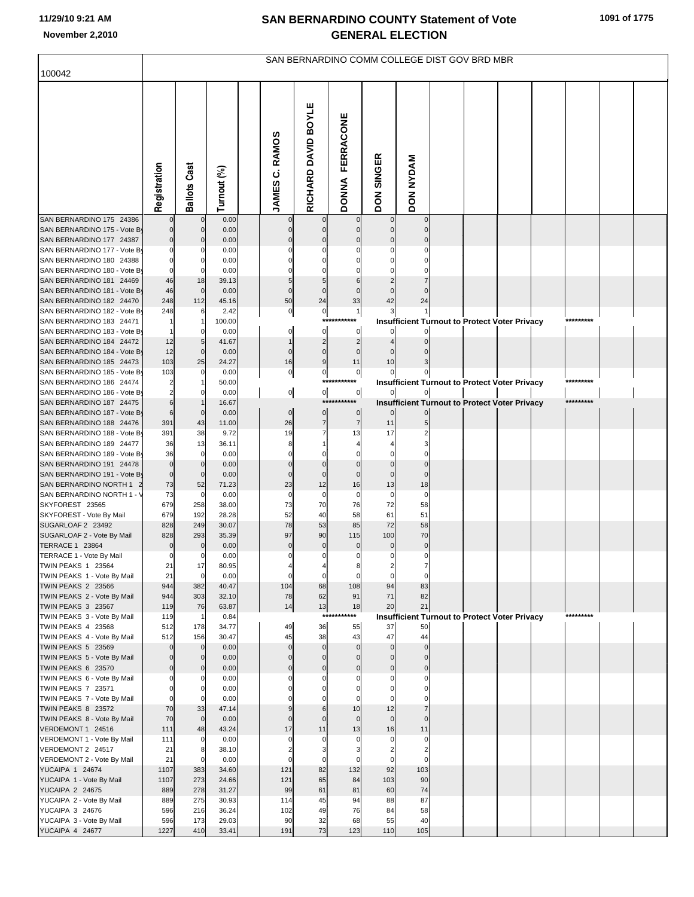# **11/29/10 9:21 AM**

|                                                          | SAN BERNARDINO COMM COLLEGE DIST GOV BRD MBR |                          |                |  |                          |                             |                                  |                             |                            |  |                                                      |  |  |           |  |
|----------------------------------------------------------|----------------------------------------------|--------------------------|----------------|--|--------------------------|-----------------------------|----------------------------------|-----------------------------|----------------------------|--|------------------------------------------------------|--|--|-----------|--|
| 100042                                                   |                                              |                          |                |  |                          |                             |                                  |                             |                            |  |                                                      |  |  |           |  |
|                                                          | Registration                                 | <b>Ballots Cast</b>      | Turnout (%)    |  | JAMES C. RAMOS           | RICHARD DAVID BOYLE         | <b>FERRACONE</b><br><b>DONNA</b> | <b>SINGER</b><br><b>NOD</b> | <b>DON NYDAM</b>           |  |                                                      |  |  |           |  |
| SAN BERNARDINO 175 24386                                 |                                              |                          | 0.00           |  |                          |                             |                                  |                             |                            |  |                                                      |  |  |           |  |
| SAN BERNARDINO 175 - Vote By<br>SAN BERNARDINO 177 24387 | $\mathbf 0$<br>$\mathbf 0$                   |                          | 0.00<br>0.00   |  |                          |                             |                                  |                             |                            |  |                                                      |  |  |           |  |
| SAN BERNARDINO 177 - Vote By                             | $\Omega$                                     |                          | 0.00           |  |                          |                             |                                  |                             |                            |  |                                                      |  |  |           |  |
| SAN BERNARDINO 180 24388                                 | $\Omega$                                     |                          | 0.00           |  |                          |                             |                                  |                             |                            |  |                                                      |  |  |           |  |
| SAN BERNARDINO 180 - Vote By                             | $\mathbf 0$                                  |                          | 0.00           |  |                          |                             |                                  |                             |                            |  |                                                      |  |  |           |  |
| SAN BERNARDINO 181 24469<br>SAN BERNARDINO 181 - Vote By | 46<br>46                                     | 18<br>$\mathbf 0$        | 39.13          |  | $\Omega$                 |                             |                                  |                             |                            |  |                                                      |  |  |           |  |
| SAN BERNARDINO 182 24470                                 | 248                                          | 112                      | 0.00<br>45.16  |  | 50                       | $\mathbf 0$<br>24           | 33                               | 42                          | 24                         |  |                                                      |  |  |           |  |
| SAN BERNARDINO 182 - Vote By                             | 248                                          |                          | 2.42           |  | 0                        | $\pmb{\mathsf{O}}$          | 1                                |                             |                            |  |                                                      |  |  |           |  |
| SAN BERNARDINO 183 24471                                 |                                              |                          | 100.00         |  |                          | $***$                       |                                  |                             |                            |  | <b>Insufficient Turnout to Protect Voter Privacy</b> |  |  | ********* |  |
| SAN BERNARDINO 183 - Vote By                             |                                              |                          | 0.00           |  |                          | 0                           | 0                                |                             |                            |  |                                                      |  |  |           |  |
| SAN BERNARDINO 184 24472<br>SAN BERNARDINO 184 - Vote By | 12<br>12                                     | $\mathbf 0$              | 41.67<br>0.00  |  | $\mathbf 0$              | $\overline{c}$<br>$\pmb{0}$ | $\overline{2}$<br>$\mathbf 0$    |                             |                            |  |                                                      |  |  |           |  |
| SAN BERNARDINO 185 24473                                 | 103                                          | 25                       | 24.27          |  | 16                       | $\boldsymbol{9}$            | 11                               | 10                          |                            |  |                                                      |  |  |           |  |
| SAN BERNARDINO 185 - Vote By                             | 103                                          |                          | 0.00           |  | $\mathbf 0$              | $\mathbf 0$                 | $\pmb{0}$                        |                             |                            |  |                                                      |  |  |           |  |
| SAN BERNARDINO 186 24474                                 |                                              |                          | 50.00          |  |                          | ****                        |                                  |                             |                            |  | <b>Insufficient Turnout to Protect Voter Privacy</b> |  |  | ********* |  |
| SAN BERNARDINO 186 - Vote By<br>SAN BERNARDINO 187 24475 | $\overline{2}$<br>$6\phantom{1}6$            |                          | 0.00<br>16.67  |  | $\overline{0}$           | $\overline{0}$<br>***       | $\overline{0}$                   |                             |                            |  |                                                      |  |  | ********* |  |
| SAN BERNARDINO 187 - Vote By                             | 6                                            |                          | 0.00           |  | $\mathbf 0$              | $\pmb{0}$                   | 0                                |                             |                            |  | <b>Insufficient Turnout to Protect Voter Privacy</b> |  |  |           |  |
| SAN BERNARDINO 188 24476                                 | 391                                          | 43                       | 11.00          |  | 26                       | $\overline{7}$              | $\overline{7}$                   | 11                          |                            |  |                                                      |  |  |           |  |
| SAN BERNARDINO 188 - Vote By                             | 391                                          | 38                       | 9.72           |  | 19                       |                             | 13                               | 17                          |                            |  |                                                      |  |  |           |  |
| SAN BERNARDINO 189 24477                                 | 36                                           | 13                       | 36.11          |  |                          |                             |                                  |                             |                            |  |                                                      |  |  |           |  |
| SAN BERNARDINO 189 - Vote By<br>SAN BERNARDINO 191 24478 | 36<br>$\mathbf 0$                            |                          | 0.00<br>0.00   |  |                          | $\Omega$                    | $\mathbf 0$                      |                             |                            |  |                                                      |  |  |           |  |
| SAN BERNARDINO 191 - Vote By                             | $\mathbf 0$                                  |                          | 0.00           |  |                          | $\mathbf 0$                 | $\mathbf 0$                      | $\mathbf 0$                 | $\Omega$                   |  |                                                      |  |  |           |  |
| SAN BERNARDINO NORTH 1                                   | 73                                           | 52                       | 71.23          |  | 23                       | 12                          | 16                               | 13                          | 18                         |  |                                                      |  |  |           |  |
| SAN BERNARDINO NORTH 1 - \                               | 73                                           | $\mathbf 0$              | 0.00           |  | 0                        | 0                           | $\mathbf 0$                      | $\mathbf 0$                 | $\mathbf 0$                |  |                                                      |  |  |           |  |
| SKYFOREST 23565<br>SKYFOREST - Vote By Mail              | 679<br>679                                   | 258<br>192               | 38.00<br>28.28 |  | 73<br>52                 | 70<br>40                    | 76<br>58                         | 72<br>61                    | 58<br>51                   |  |                                                      |  |  |           |  |
| SUGARLOAF 2 23492                                        | 828                                          | 249                      | 30.07          |  | 78                       | 53                          | 85                               | 72                          | 58                         |  |                                                      |  |  |           |  |
| SUGARLOAF 2 - Vote By Mail                               | 828                                          | 293                      | 35.39          |  | 97                       | 90                          | 115                              | 100                         | 70                         |  |                                                      |  |  |           |  |
| TERRACE 1 23864                                          | $\mathbf 0$                                  |                          | 0.00           |  | $\mathbf 0$              | $\mathbf 0$<br>$\mathbf 0$  | $\bf 0$<br>$\mathbf 0$           | $\bf 0$<br>$\mathbf 0$      | $\mathbf 0$<br>$\mathbf 0$ |  |                                                      |  |  |           |  |
| TERRACE 1 - Vote By Mail<br><b>TWIN PEAKS 1 23564</b>    | $\mathbf 0$<br>21                            | 17                       | 0.00<br>80.95  |  | 0                        |                             | 8                                | $\overline{a}$              |                            |  |                                                      |  |  |           |  |
| TWIN PEAKS 1 - Vote By Mail                              | 21                                           | $\mathbf 0$              | 0.00           |  | $\mathbf 0$              | $\mathbf 0$                 | $\mathbf 0$                      | $\mathbf 0$                 | $\mathbf 0$                |  |                                                      |  |  |           |  |
| <b>TWIN PEAKS 2 23566</b>                                | 944                                          | 382                      | 40.47          |  | 104                      | 68                          | 108                              | 94                          | 83                         |  |                                                      |  |  |           |  |
| TWIN PEAKS 2 - Vote By Mail<br><b>TWIN PEAKS 3 23567</b> | 944<br>119                                   | 303                      | 32.10<br>63.87 |  | 78                       | 62<br>13                    | 91<br>18                         | 71<br>20                    | 82<br>21                   |  |                                                      |  |  |           |  |
| TWIN PEAKS 3 - Vote By Mail                              | 119                                          | 76<br>-1                 | 0.84           |  | 14                       | $***$                       | ****                             |                             |                            |  | <b>Insufficient Turnout to Protect Voter Privacy</b> |  |  | ********* |  |
| <b>TWIN PEAKS 4 23568</b>                                | 512                                          | 178                      | 34.77          |  | 49                       | 36                          | 55                               | 37                          | 50                         |  |                                                      |  |  |           |  |
| TWIN PEAKS 4 - Vote By Mail                              | 512                                          | 156                      | 30.47          |  | 45                       | 38                          | 43                               | 47                          | 44                         |  |                                                      |  |  |           |  |
| <b>TWIN PEAKS 5 23569</b><br>TWIN PEAKS 5 - Vote By Mail | $\mathbf 0$<br>$\mathbf 0$                   | $\mathbf{0}$<br>$\Omega$ | 0.00<br>0.00   |  | $\mathbf{0}$<br>$\Omega$ | $\mathbf 0$<br>$\mathbf 0$  | $\mathbf 0$<br>$\mathbf 0$       | $\mathbf 0$<br>$\mathbf 0$  | $\mathbf 0$<br>$\mathbf 0$ |  |                                                      |  |  |           |  |
| <b>TWIN PEAKS 6 23570</b>                                | $\mathbf 0$                                  | $\Omega$                 | 0.00           |  | $\Omega$                 | $\mathbf 0$                 | $\overline{0}$                   | $\overline{0}$              | $\mathbf 0$                |  |                                                      |  |  |           |  |
| TWIN PEAKS 6 - Vote By Mail                              | $\mathbf 0$                                  | 0                        | 0.00           |  | O                        | $\Omega$                    | $\Omega$                         | $\Omega$                    | $\Omega$                   |  |                                                      |  |  |           |  |
| <b>TWIN PEAKS 7 23571</b>                                | $\mathbf 0$                                  | $\Omega$                 | 0.00           |  |                          | $\Omega$                    | $\Omega$                         | $\Omega$                    | $\Omega$                   |  |                                                      |  |  |           |  |
| TWIN PEAKS 7 - Vote By Mail                              | $\mathbf 0$                                  | 0                        | 0.00           |  |                          | $\Omega$                    | $\mathbf 0$                      | $\mathbf 0$                 | $\Omega$                   |  |                                                      |  |  |           |  |
| <b>TWIN PEAKS 8 23572</b><br>TWIN PEAKS 8 - Vote By Mail | 70<br>70                                     | 33<br>$\mathbf 0$        | 47.14<br>0.00  |  | 9<br>$\Omega$            | 6<br>$\mathbf 0$            | 10<br>$\mathbf 0$                | 12<br>$\mathbf 0$           | $\mathbf 0$                |  |                                                      |  |  |           |  |
| VERDEMONT 1 24516                                        | 111                                          | 48                       | 43.24          |  | 17                       | 11                          | 13                               | 16                          | 11                         |  |                                                      |  |  |           |  |
| VERDEMONT 1 - Vote By Mail                               | 111                                          | 0                        | 0.00           |  | $\Omega$                 | $\Omega$                    | $\Omega$                         | $\mathbf 0$                 | $\mathbf 0$                |  |                                                      |  |  |           |  |
| VERDEMONT 2 24517                                        | 21                                           | 8                        | 38.10          |  | $\overline{2}$           | 3                           | 3                                | $\overline{2}$              | $\overline{2}$             |  |                                                      |  |  |           |  |
| VERDEMONT 2 - Vote By Mail<br>YUCAIPA 1 24674            | 21<br>1107                                   | 0<br>383                 | 0.00<br>34.60  |  | $\Omega$<br>121          | $\Omega$<br>82              | $\Omega$<br>132                  | $\mathbf 0$<br>92           | $\mathbf 0$<br>103         |  |                                                      |  |  |           |  |
| YUCAIPA 1 - Vote By Mail                                 | 1107                                         | 273                      | 24.66          |  | 121                      | 65                          | 84                               | 103                         | 90                         |  |                                                      |  |  |           |  |
| <b>YUCAIPA 2 24675</b>                                   | 889                                          | 278                      | 31.27          |  | 99                       | 61                          | 81                               | 60                          | 74                         |  |                                                      |  |  |           |  |
| YUCAIPA 2 - Vote By Mail                                 | 889                                          | 275                      | 30.93          |  | 114                      | 45                          | 94                               | 88                          | 87                         |  |                                                      |  |  |           |  |
| YUCAIPA 3 24676                                          | 596                                          | 216                      | 36.24          |  | 102                      | 49                          | 76                               | 84                          | 58                         |  |                                                      |  |  |           |  |
| YUCAIPA 3 - Vote By Mail<br>YUCAIPA 4 24677              | 596<br>1227                                  | 173<br>410               | 29.03<br>33.41 |  | 90<br>191                | 32<br>73                    | 68<br>123                        | 55<br>110                   | 40<br>105                  |  |                                                      |  |  |           |  |
|                                                          |                                              |                          |                |  |                          |                             |                                  |                             |                            |  |                                                      |  |  |           |  |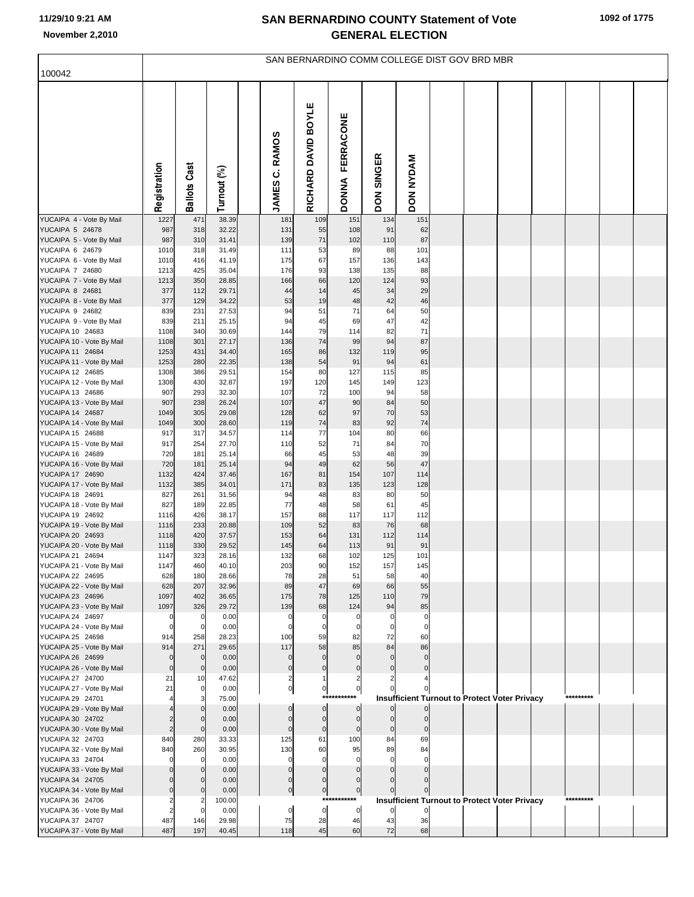| 100042                                        | SAN BERNARDINO COMM COLLEGE DIST GOV BRD MBR |                     |                |  |                                   |                               |                           |                             |                                                      |  |  |  |  |           |  |
|-----------------------------------------------|----------------------------------------------|---------------------|----------------|--|-----------------------------------|-------------------------------|---------------------------|-----------------------------|------------------------------------------------------|--|--|--|--|-----------|--|
|                                               |                                              |                     |                |  |                                   |                               |                           |                             |                                                      |  |  |  |  |           |  |
|                                               | Registration                                 | <b>Ballots Cast</b> | Turnout (%)    |  | <b>RAMOS</b><br>ن<br><b>JAMES</b> | <b>BOYLE</b><br>RICHARD DAVID | FERRACONE<br><b>DONNA</b> | <b>SINGER</b><br><b>NOG</b> | <b>DON NYDAM</b>                                     |  |  |  |  |           |  |
| YUCAIPA 4 - Vote By Mail                      | 1227                                         | 471                 | 38.39          |  | 181                               | 109                           | 151                       | 134                         | 151                                                  |  |  |  |  |           |  |
| YUCAIPA 5 24678<br>YUCAIPA 5 - Vote By Mail   | 987<br>987                                   | 318<br>310          | 32.22<br>31.41 |  | 131<br>139                        | 55<br>71                      | 108<br>102                | 91<br>110                   | 62<br>87                                             |  |  |  |  |           |  |
| YUCAIPA 6 24679                               | 1010                                         | 318                 | 31.49          |  | 111                               | 53                            | 89                        | 88                          | 101                                                  |  |  |  |  |           |  |
| YUCAIPA 6 - Vote By Mail                      | 1010                                         | 416                 | 41.19          |  | 175                               | 67                            | 157                       | 136                         | 143                                                  |  |  |  |  |           |  |
| YUCAIPA 7 24680                               | 1213                                         | 425                 | 35.04          |  | 176                               | 93                            | 138                       | 135                         | 88                                                   |  |  |  |  |           |  |
| YUCAIPA 7 - Vote By Mail<br>YUCAIPA 8 24681   | 1213<br>377                                  | 350<br>112          | 28.85<br>29.71 |  | 166<br>44                         | 66<br>14                      | 120<br>45                 | 124<br>34                   | 93<br>29                                             |  |  |  |  |           |  |
| YUCAIPA 8 - Vote By Mail                      | 377                                          | 129                 | 34.22          |  | 53                                | 19                            | 48                        | 42                          | 46                                                   |  |  |  |  |           |  |
| YUCAIPA 9 24682                               | 839                                          | 231                 | 27.53          |  | 94                                | 51                            | 71                        | 64                          | 50                                                   |  |  |  |  |           |  |
| YUCAIPA 9 - Vote By Mail                      | 839                                          | 211                 | 25.15          |  | 94                                | 45                            | 69                        | 47                          | 42                                                   |  |  |  |  |           |  |
| YUCAIPA 10 24683<br>YUCAIPA 10 - Vote By Mail | 1108<br>1108                                 | 340<br>301          | 30.69<br>27.17 |  | 144<br>136                        | 79<br>74                      | 114<br>99                 | 82<br>94                    | 71<br>87                                             |  |  |  |  |           |  |
| YUCAIPA 11 24684                              | 1253                                         | 431                 | 34.40          |  | 165                               | 86                            | 132                       | 119                         | 95                                                   |  |  |  |  |           |  |
| YUCAIPA 11 - Vote By Mail                     | 1253                                         | 280                 | 22.35          |  | 138                               | 54                            | 91                        | 94                          | 61                                                   |  |  |  |  |           |  |
| YUCAIPA 12 24685                              | 1308                                         | 386                 | 29.51          |  | 154                               | 80                            | 127                       | 115                         | 85                                                   |  |  |  |  |           |  |
| YUCAIPA 12 - Vote By Mail<br>YUCAIPA 13 24686 | 1308<br>907                                  | 430<br>293          | 32.87<br>32.30 |  | 197<br>107                        | 120<br>72                     | 145<br>100                | 149<br>94                   | 123<br>58                                            |  |  |  |  |           |  |
| YUCAIPA 13 - Vote By Mail                     | 907                                          | 238                 | 26.24          |  | 107                               | 47                            | 90                        | 84                          | 50                                                   |  |  |  |  |           |  |
| YUCAIPA 14 24687                              | 1049                                         | 305                 | 29.08          |  | 128                               | 62                            | 97                        | 70                          | 53                                                   |  |  |  |  |           |  |
| YUCAIPA 14 - Vote By Mail                     | 1049                                         | 300                 | 28.60          |  | 119                               | 74                            | 83                        | 92                          | 74                                                   |  |  |  |  |           |  |
| YUCAIPA 15 24688<br>YUCAIPA 15 - Vote By Mail | 917<br>917                                   | 317<br>254          | 34.57<br>27.70 |  | 114<br>110                        | 77<br>52                      | 104<br>71                 | 80<br>84                    | 66<br>70                                             |  |  |  |  |           |  |
| YUCAIPA 16 24689                              | 720                                          | 181                 | 25.14          |  | 66                                | 45                            | 53                        | 48                          | 39                                                   |  |  |  |  |           |  |
| YUCAIPA 16 - Vote By Mail                     | 720                                          | 181                 | 25.14          |  | 94                                | 49                            | 62                        | 56                          | 47                                                   |  |  |  |  |           |  |
| YUCAIPA 17 24690                              | 1132<br>1132                                 | 424                 | 37.46          |  | 167                               | 81                            | 154                       | 107<br>123                  | 114<br>128                                           |  |  |  |  |           |  |
| YUCAIPA 17 - Vote By Mail<br>YUCAIPA 18 24691 | 827                                          | 385<br>261          | 34.01<br>31.56 |  | 171<br>94                         | 83<br>48                      | 135<br>83                 | 80                          | 50                                                   |  |  |  |  |           |  |
| YUCAIPA 18 - Vote By Mail                     | 827                                          | 189                 | 22.85          |  | 77                                | 48                            | 58                        | 61                          | 45                                                   |  |  |  |  |           |  |
| YUCAIPA 19 24692                              | 1116                                         | 426                 | 38.17          |  | 157                               | 88                            | 117                       | 117                         | 112                                                  |  |  |  |  |           |  |
| YUCAIPA 19 - Vote By Mail<br>YUCAIPA 20 24693 | 1116<br>1118                                 | 233<br>420          | 20.88<br>37.57 |  | 109<br>153                        | 52<br>64                      | 83<br>131                 | 76<br>112                   | 68<br>114                                            |  |  |  |  |           |  |
| YUCAIPA 20 - Vote By Mail                     | 1118                                         | 330                 | 29.52          |  | 145                               | 64                            | 113                       | 91                          | 91                                                   |  |  |  |  |           |  |
| YUCAIPA 21 24694                              | 1147                                         | 323                 | 28.16          |  | 132                               | 68                            | 102                       | 125                         | 101                                                  |  |  |  |  |           |  |
| YUCAIPA 21 - Vote By Mail                     | 1147                                         | 460                 | 40.10          |  | 203                               | 90                            | 152                       | 15/                         | 145                                                  |  |  |  |  |           |  |
| YUCAIPA 22 24695<br>YUCAIPA 22 - Vote By Mail | 628<br>628                                   | 180<br>207          | 28.66<br>32.96 |  | 78<br>89                          | 28<br>47                      | 51<br>69                  | 58<br>66                    | 40<br>55                                             |  |  |  |  |           |  |
| YUCAIPA 23 24696                              | 1097                                         | 402                 | 36.65          |  | 175                               | 78                            | 125                       | 110                         | 79                                                   |  |  |  |  |           |  |
| YUCAIPA 23 - Vote By Mail                     | 1097                                         | 326                 | 29.72          |  | 139                               | 68                            | 124                       | 94                          | 85                                                   |  |  |  |  |           |  |
| YUCAIPA 24 24697                              | $\mathbf 0$<br>$\Omega$                      | $\Omega$            | 0.00           |  | $\Omega$<br>$\Omega$              | $\Omega$                      | $\Omega$                  | $\Omega$                    | $\Omega$                                             |  |  |  |  |           |  |
| YUCAIPA 24 - Vote By Mail<br>YUCAIPA 25 24698 | 914                                          | 0<br>258            | 0.00<br>28.23  |  | 100                               | n<br>59                       | C<br>82                   | 72                          | 0<br>60                                              |  |  |  |  |           |  |
| YUCAIPA 25 - Vote By Mail                     | 914                                          | 271                 | 29.65          |  | 117                               | 58                            | 85                        | 84                          | 86                                                   |  |  |  |  |           |  |
| YUCAIPA 26 24699                              | $\Omega$                                     | $\Omega$            | 0.00           |  | $\Omega$                          | $\Omega$                      | $\Omega$                  |                             | $\Omega$                                             |  |  |  |  |           |  |
| YUCAIPA 26 - Vote By Mail<br>YUCAIPA 27 24700 | $\Omega$<br>21                               | $\mathbf 0$<br>10   | 0.00<br>47.62  |  | O<br>2                            | $\Omega$                      | $\Omega$                  |                             | $\Omega$                                             |  |  |  |  |           |  |
| YUCAIPA 27 - Vote By Mail                     | 21                                           | 0                   | 0.00           |  | $\overline{0}$                    | $\overline{0}$                | $\mathbf 0$               |                             |                                                      |  |  |  |  |           |  |
| YUCAIPA 29 24701                              |                                              |                     | 75.00          |  |                                   | ***                           |                           |                             | <b>Insufficient Turnout to Protect Voter Privacy</b> |  |  |  |  | ********* |  |
| YUCAIPA 29 - Vote By Mail                     |                                              |                     | 0.00           |  | $\Omega$                          | $\Omega$                      | $\mathbf 0$               |                             | $\overline{0}$                                       |  |  |  |  |           |  |
| YUCAIPA 30 24702<br>YUCAIPA 30 - Vote By Mail |                                              | $\Omega$            | 0.00<br>0.00   |  | $\Omega$<br>$\Omega$              | $\Omega$<br>$\mathbf{0}$      | $\Omega$<br>$\Omega$      | $\Omega$                    | $\Omega$                                             |  |  |  |  |           |  |
| YUCAIPA 32 24703                              | 840                                          | 280                 | 33.33          |  | 125                               | 61                            | 100                       | 84                          | 69                                                   |  |  |  |  |           |  |
| YUCAIPA 32 - Vote By Mail                     | 840                                          | 260                 | 30.95          |  | 130                               | 60                            | 95                        | 89                          | 84                                                   |  |  |  |  |           |  |
| YUCAIPA 33 24704                              |                                              |                     | 0.00           |  | $\Omega$                          | $\Omega$                      |                           |                             |                                                      |  |  |  |  |           |  |
| YUCAIPA 33 - Vote By Mail<br>YUCAIPA 34 24705 |                                              | $\Omega$            | 0.00<br>0.00   |  | $\Omega$                          | $\Omega$<br>$\Omega$          | $\Omega$                  |                             |                                                      |  |  |  |  |           |  |
| YUCAIPA 34 - Vote By Mail                     |                                              | O                   | 0.00           |  | $\mathbf 0$                       | $\overline{0}$                | $\mathbf 0$               |                             |                                                      |  |  |  |  |           |  |
| YUCAIPA 36 24706                              |                                              |                     | 100.00         |  |                                   |                               | ***********               |                             | <b>Insufficient Turnout to Protect Voter Privacy</b> |  |  |  |  | ********* |  |
| YUCAIPA 36 - Vote By Mail                     |                                              | $\Omega$            | 0.00           |  | $\mathbf 0$                       | $\overline{0}$                | $\overline{0}$            | $\mathbf{0}$                | $\overline{0}$                                       |  |  |  |  |           |  |
| YUCAIPA 37 24707<br>YUCAIPA 37 - Vote By Mail | 487<br>487                                   | 146<br>197          | 29.98<br>40.45 |  | 75<br>118                         | 28<br>45                      | 46<br>60                  | 43<br>72                    | 36<br>68                                             |  |  |  |  |           |  |